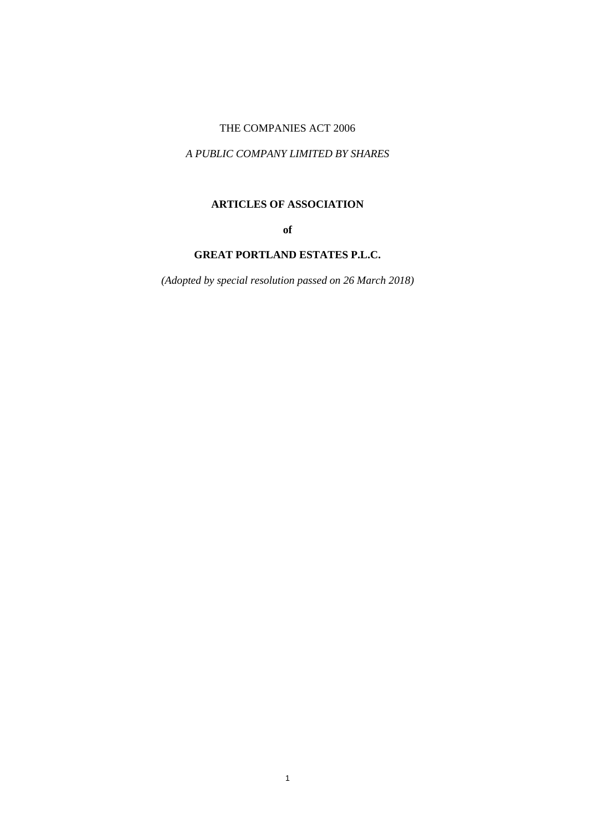# THE COMPANIES ACT 2006

## *A PUBLIC COMPANY LIMITED BY SHARES*

# **ARTICLES OF ASSOCIATION**

**of**

# **GREAT PORTLAND ESTATES P.L.C.**

*(Adopted by special resolution passed on 26 March 2018)*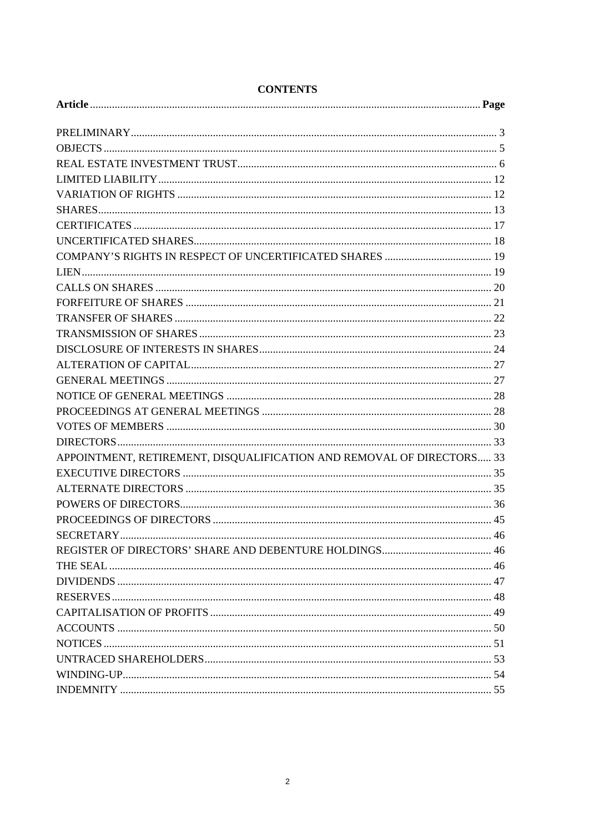| APPOINTMENT, RETIREMENT, DISQUALIFICATION AND REMOVAL OF DIRECTORS 33 |  |
|-----------------------------------------------------------------------|--|
|                                                                       |  |
|                                                                       |  |
|                                                                       |  |
|                                                                       |  |
|                                                                       |  |
|                                                                       |  |
|                                                                       |  |
|                                                                       |  |
|                                                                       |  |
|                                                                       |  |
|                                                                       |  |
|                                                                       |  |
|                                                                       |  |
|                                                                       |  |
|                                                                       |  |

# **CONTENTS**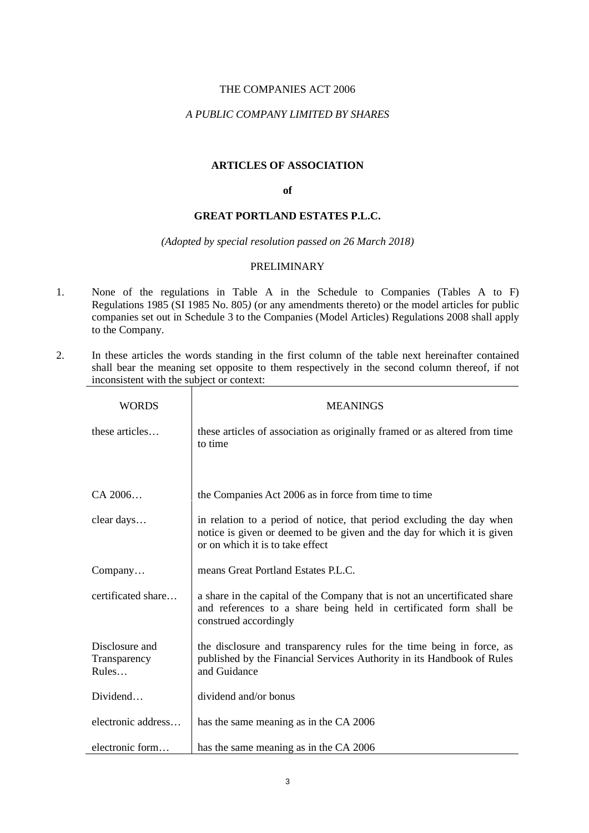## THE COMPANIES ACT 2006

# *A PUBLIC COMPANY LIMITED BY SHARES*

## **ARTICLES OF ASSOCIATION**

#### **of**

## **GREAT PORTLAND ESTATES P.L.C.**

#### *(Adopted by special resolution passed on 26 March 2018)*

## PRELIMINARY

- 1. None of the regulations in Table A in the Schedule to Companies (Tables A to F) Regulations 1985 (SI 1985 No. 805*)* (or any amendments thereto) or the model articles for public companies set out in Schedule 3 to the Companies (Model Articles) Regulations 2008 shall apply to the Company.
- 2. In these articles the words standing in the first column of the table next hereinafter contained shall bear the meaning set opposite to them respectively in the second column thereof, if not inconsistent with the subject or context:

| WORDS                                   | <b>MEANINGS</b>                                                                                                                                                                      |
|-----------------------------------------|--------------------------------------------------------------------------------------------------------------------------------------------------------------------------------------|
| these articles                          | these articles of association as originally framed or as altered from time<br>to time                                                                                                |
| $CA\,2006$                              | the Companies Act 2006 as in force from time to time                                                                                                                                 |
| clear days                              | in relation to a period of notice, that period excluding the day when<br>notice is given or deemed to be given and the day for which it is given<br>or on which it is to take effect |
| Company                                 | means Great Portland Estates P.L.C.                                                                                                                                                  |
| certificated share                      | a share in the capital of the Company that is not an uncertificated share<br>and references to a share being held in certificated form shall be<br>construed accordingly             |
| Disclosure and<br>Transparency<br>Rules | the disclosure and transparency rules for the time being in force, as<br>published by the Financial Services Authority in its Handbook of Rules<br>and Guidance                      |
| Dividend                                | dividend and/or bonus                                                                                                                                                                |
| electronic address                      | has the same meaning as in the CA 2006                                                                                                                                               |
| electronic form                         | has the same meaning as in the CA 2006                                                                                                                                               |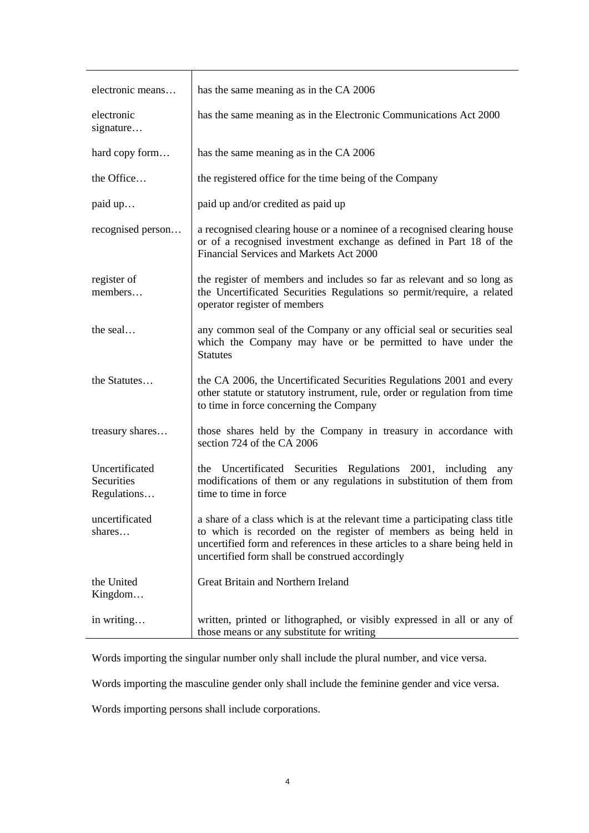| electronic means                            | has the same meaning as in the CA 2006                                                                                                                                                                                                                                            |
|---------------------------------------------|-----------------------------------------------------------------------------------------------------------------------------------------------------------------------------------------------------------------------------------------------------------------------------------|
| electronic<br>signature                     | has the same meaning as in the Electronic Communications Act 2000                                                                                                                                                                                                                 |
| hard copy form                              | has the same meaning as in the CA 2006                                                                                                                                                                                                                                            |
| the Office                                  | the registered office for the time being of the Company                                                                                                                                                                                                                           |
| paid up                                     | paid up and/or credited as paid up                                                                                                                                                                                                                                                |
| recognised person                           | a recognised clearing house or a nominee of a recognised clearing house<br>or of a recognised investment exchange as defined in Part 18 of the<br>Financial Services and Markets Act 2000                                                                                         |
| register of<br>members                      | the register of members and includes so far as relevant and so long as<br>the Uncertificated Securities Regulations so permit/require, a related<br>operator register of members                                                                                                  |
| the seal                                    | any common seal of the Company or any official seal or securities seal<br>which the Company may have or be permitted to have under the<br><b>Statutes</b>                                                                                                                         |
| the Statutes                                | the CA 2006, the Uncertificated Securities Regulations 2001 and every<br>other statute or statutory instrument, rule, order or regulation from time<br>to time in force concerning the Company                                                                                    |
| treasury shares                             | those shares held by the Company in treasury in accordance with<br>section 724 of the CA 2006                                                                                                                                                                                     |
| Uncertificated<br>Securities<br>Regulations | the Uncertificated Securities Regulations 2001, including<br>any<br>modifications of them or any regulations in substitution of them from<br>time to time in force                                                                                                                |
| uncertificated<br>shares                    | a share of a class which is at the relevant time a participating class title<br>to which is recorded on the register of members as being held in<br>uncertified form and references in these articles to a share being held in<br>uncertified form shall be construed accordingly |
| the United<br>Kingdom                       | Great Britain and Northern Ireland                                                                                                                                                                                                                                                |
| in writing                                  | written, printed or lithographed, or visibly expressed in all or any of<br>those means or any substitute for writing                                                                                                                                                              |

Words importing the singular number only shall include the plural number, and vice versa.

Words importing the masculine gender only shall include the feminine gender and vice versa.

Words importing persons shall include corporations.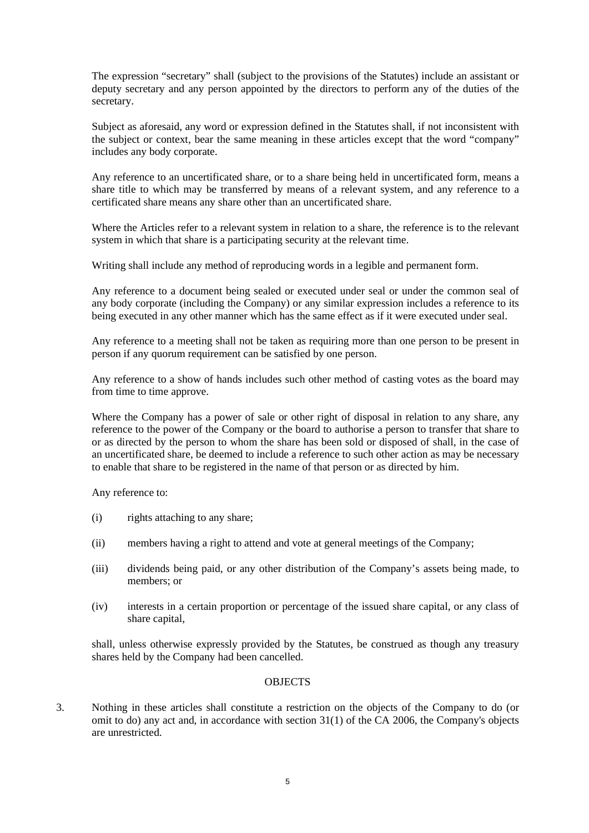The expression "secretary" shall (subject to the provisions of the Statutes) include an assistant or deputy secretary and any person appointed by the directors to perform any of the duties of the secretary.

Subject as aforesaid, any word or expression defined in the Statutes shall, if not inconsistent with the subject or context, bear the same meaning in these articles except that the word "company" includes any body corporate.

Any reference to an uncertificated share, or to a share being held in uncertificated form, means a share title to which may be transferred by means of a relevant system, and any reference to a certificated share means any share other than an uncertificated share.

Where the Articles refer to a relevant system in relation to a share, the reference is to the relevant system in which that share is a participating security at the relevant time.

Writing shall include any method of reproducing words in a legible and permanent form.

Any reference to a document being sealed or executed under seal or under the common seal of any body corporate (including the Company) or any similar expression includes a reference to its being executed in any other manner which has the same effect as if it were executed under seal.

Any reference to a meeting shall not be taken as requiring more than one person to be present in person if any quorum requirement can be satisfied by one person.

Any reference to a show of hands includes such other method of casting votes as the board may from time to time approve.

Where the Company has a power of sale or other right of disposal in relation to any share, any reference to the power of the Company or the board to authorise a person to transfer that share to or as directed by the person to whom the share has been sold or disposed of shall, in the case of an uncertificated share, be deemed to include a reference to such other action as may be necessary to enable that share to be registered in the name of that person or as directed by him.

Any reference to:

- (i) rights attaching to any share;
- (ii) members having a right to attend and vote at general meetings of the Company;
- (iii) dividends being paid, or any other distribution of the Company's assets being made, to members; or
- (iv) interests in a certain proportion or percentage of the issued share capital, or any class of share capital,

shall, unless otherwise expressly provided by the Statutes, be construed as though any treasury shares held by the Company had been cancelled.

#### **OBJECTS**

3. Nothing in these articles shall constitute a restriction on the objects of the Company to do (or omit to do) any act and, in accordance with section 31(1) of the CA 2006, the Company's objects are unrestricted.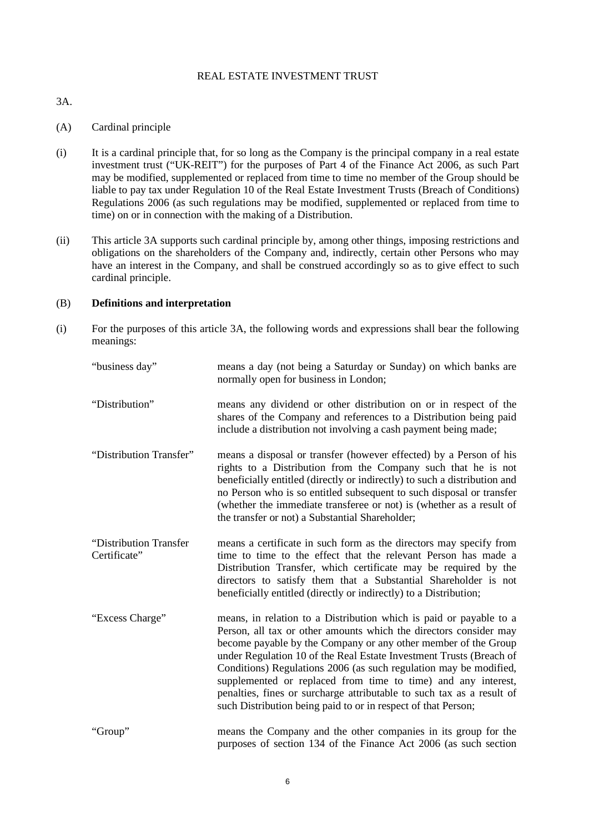## REAL ESTATE INVESTMENT TRUST

<span id="page-5-0"></span>3A.

## (A) Cardinal principle

- (i) It is a cardinal principle that, for so long as the Company is the principal company in a real estate investment trust ("UK-REIT") for the purposes of Part 4 of the Finance Act 2006, as such Part may be modified, supplemented or replaced from time to time no member of the Group should be liable to pay tax under Regulation 10 of the Real Estate Investment Trusts (Breach of Conditions) Regulations 2006 (as such regulations may be modified, supplemented or replaced from time to time) on or in connection with the making of a Distribution.
- (ii) This article [3A](#page-5-0) supports such cardinal principle by, among other things, imposing restrictions and obligations on the shareholders of the Company and, indirectly, certain other Persons who may have an interest in the Company, and shall be construed accordingly so as to give effect to such cardinal principle.

## (B) **Definitions and interpretation**

(i) For the purposes of this article [3A,](#page-5-0) the following words and expressions shall bear the following meanings:

| "business day"                         | means a day (not being a Saturday or Sunday) on which banks are<br>normally open for business in London;                                                                                                                                                                                                                                                                                                                                                                                                                                                         |
|----------------------------------------|------------------------------------------------------------------------------------------------------------------------------------------------------------------------------------------------------------------------------------------------------------------------------------------------------------------------------------------------------------------------------------------------------------------------------------------------------------------------------------------------------------------------------------------------------------------|
| "Distribution"                         | means any dividend or other distribution on or in respect of the<br>shares of the Company and references to a Distribution being paid<br>include a distribution not involving a cash payment being made;                                                                                                                                                                                                                                                                                                                                                         |
| "Distribution Transfer"                | means a disposal or transfer (however effected) by a Person of his<br>rights to a Distribution from the Company such that he is not<br>beneficially entitled (directly or indirectly) to such a distribution and<br>no Person who is so entitled subsequent to such disposal or transfer<br>(whether the immediate transferee or not) is (whether as a result of<br>the transfer or not) a Substantial Shareholder;                                                                                                                                              |
| "Distribution Transfer<br>Certificate" | means a certificate in such form as the directors may specify from<br>time to time to the effect that the relevant Person has made a<br>Distribution Transfer, which certificate may be required by the<br>directors to satisfy them that a Substantial Shareholder is not<br>beneficially entitled (directly or indirectly) to a Distribution;                                                                                                                                                                                                                  |
| "Excess Charge"                        | means, in relation to a Distribution which is paid or payable to a<br>Person, all tax or other amounts which the directors consider may<br>become payable by the Company or any other member of the Group<br>under Regulation 10 of the Real Estate Investment Trusts (Breach of<br>Conditions) Regulations 2006 (as such regulation may be modified,<br>supplemented or replaced from time to time) and any interest,<br>penalties, fines or surcharge attributable to such tax as a result of<br>such Distribution being paid to or in respect of that Person; |
| "Group"                                | means the Company and the other companies in its group for the<br>purposes of section 134 of the Finance Act 2006 (as such section                                                                                                                                                                                                                                                                                                                                                                                                                               |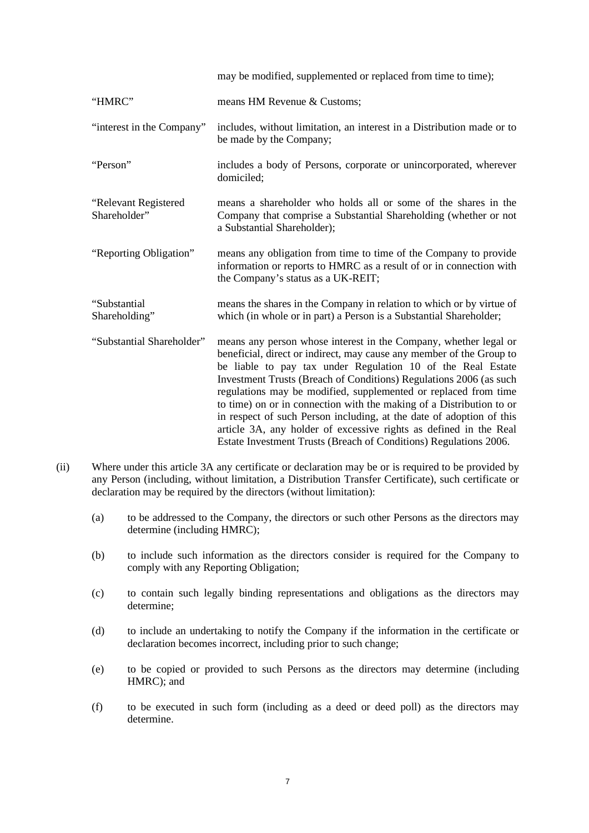|                                      | may be modified, supplemented or replaced from time to time);                                                                                                                                                                                                                                                                                                                                                                                                                                                                                                                                                                              |
|--------------------------------------|--------------------------------------------------------------------------------------------------------------------------------------------------------------------------------------------------------------------------------------------------------------------------------------------------------------------------------------------------------------------------------------------------------------------------------------------------------------------------------------------------------------------------------------------------------------------------------------------------------------------------------------------|
| "HMRC"                               | means HM Revenue & Customs;                                                                                                                                                                                                                                                                                                                                                                                                                                                                                                                                                                                                                |
| "interest in the Company"            | includes, without limitation, an interest in a Distribution made or to<br>be made by the Company;                                                                                                                                                                                                                                                                                                                                                                                                                                                                                                                                          |
| "Person"                             | includes a body of Persons, corporate or unincorporated, wherever<br>domiciled;                                                                                                                                                                                                                                                                                                                                                                                                                                                                                                                                                            |
| "Relevant Registered<br>Shareholder" | means a shareholder who holds all or some of the shares in the<br>Company that comprise a Substantial Shareholding (whether or not<br>a Substantial Shareholder);                                                                                                                                                                                                                                                                                                                                                                                                                                                                          |
| "Reporting Obligation"               | means any obligation from time to time of the Company to provide<br>information or reports to HMRC as a result of or in connection with<br>the Company's status as a UK-REIT;                                                                                                                                                                                                                                                                                                                                                                                                                                                              |
| "Substantial<br>Shareholding"        | means the shares in the Company in relation to which or by virtue of<br>which (in whole or in part) a Person is a Substantial Shareholder;                                                                                                                                                                                                                                                                                                                                                                                                                                                                                                 |
| "Substantial Shareholder"            | means any person whose interest in the Company, whether legal or<br>beneficial, direct or indirect, may cause any member of the Group to<br>be liable to pay tax under Regulation 10 of the Real Estate<br>Investment Trusts (Breach of Conditions) Regulations 2006 (as such<br>regulations may be modified, supplemented or replaced from time<br>to time) on or in connection with the making of a Distribution to or<br>in respect of such Person including, at the date of adoption of this<br>article 3A, any holder of excessive rights as defined in the Real<br>Estate Investment Trusts (Breach of Conditions) Regulations 2006. |

- (ii) Where under this article [3A](#page-5-0) any certificate or declaration may be or is required to be provided by any Person (including, without limitation, a Distribution Transfer Certificate), such certificate or declaration may be required by the directors (without limitation):
	- (a) to be addressed to the Company, the directors or such other Persons as the directors may determine (including HMRC);
	- (b) to include such information as the directors consider is required for the Company to comply with any Reporting Obligation;
	- (c) to contain such legally binding representations and obligations as the directors may determine;
	- (d) to include an undertaking to notify the Company if the information in the certificate or declaration becomes incorrect, including prior to such change;
	- (e) to be copied or provided to such Persons as the directors may determine (including HMRC); and
	- (f) to be executed in such form (including as a deed or deed poll) as the directors may determine.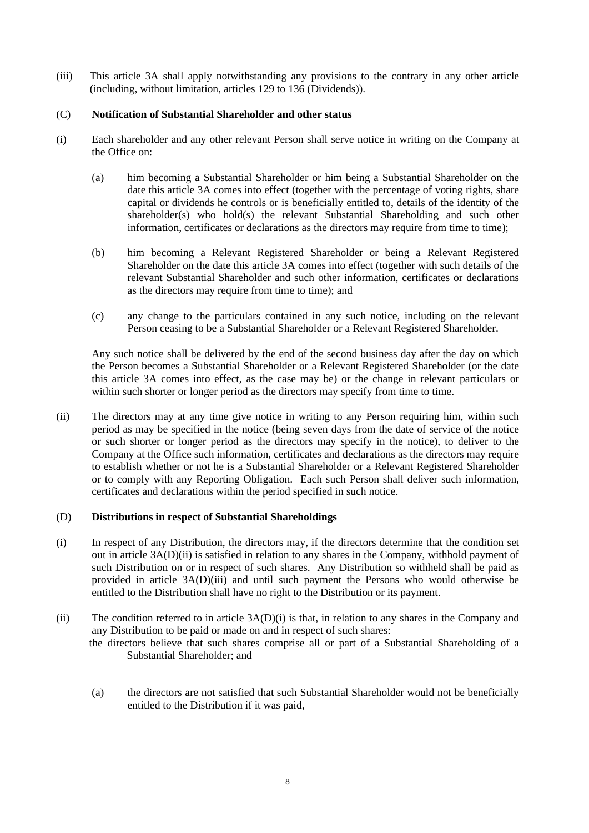(iii) This article [3A](#page-5-0) shall apply notwithstanding any provisions to the contrary in any other article (including, without limitation, articles [129](#page-46-0) to [136](#page-47-0) (Dividends)).

## (C) **Notification of Substantial Shareholder and other status**

- (i) Each shareholder and any other relevant Person shall serve notice in writing on the Company at the Office on:
	- (a) him becoming a Substantial Shareholder or him being a Substantial Shareholder on the date this article [3A](#page-5-0) comes into effect (together with the percentage of voting rights, share capital or dividends he controls or is beneficially entitled to, details of the identity of the shareholder(s) who hold(s) the relevant Substantial Shareholding and such other information, certificates or declarations as the directors may require from time to time);
	- (b) him becoming a Relevant Registered Shareholder or being a Relevant Registered Shareholder on the date this article [3A](#page-5-0) comes into effect (together with such details of the relevant Substantial Shareholder and such other information, certificates or declarations as the directors may require from time to time); and
	- (c) any change to the particulars contained in any such notice, including on the relevant Person ceasing to be a Substantial Shareholder or a Relevant Registered Shareholder.

Any such notice shall be delivered by the end of the second business day after the day on which the Person becomes a Substantial Shareholder or a Relevant Registered Shareholder (or the date this article [3A](#page-5-0) comes into effect, as the case may be) or the change in relevant particulars or within such shorter or longer period as the directors may specify from time to time.

<span id="page-7-2"></span>(ii) The directors may at any time give notice in writing to any Person requiring him, within such period as may be specified in the notice (being seven days from the date of service of the notice or such shorter or longer period as the directors may specify in the notice), to deliver to the Company at the Office such information, certificates and declarations as the directors may require to establish whether or not he is a Substantial Shareholder or a Relevant Registered Shareholder or to comply with any Reporting Obligation. Each such Person shall deliver such information, certificates and declarations within the period specified in such notice.

## <span id="page-7-1"></span>(D) **Distributions in respect of Substantial Shareholdings**

- (i) In respect of any Distribution, the directors may, if the directors determine that the condition set out in article [3A\(D\)\(ii\)](#page-7-0) is satisfied in relation to any shares in the Company, withhold payment of such Distribution on or in respect of such shares. Any Distribution so withheld shall be paid as provided in article [3A\(D\)\(iii\)](#page-8-0) and until such payment the Persons who would otherwise be entitled to the Distribution shall have no right to the Distribution or its payment.
- <span id="page-7-0"></span>(ii) The condition referred to in article [3A\(D\)\(i\)](#page-7-1) is that, in relation to any shares in the Company and any Distribution to be paid or made on and in respect of such shares:

the directors believe that such shares comprise all or part of a Substantial Shareholding of a Substantial Shareholder; and

(a) the directors are not satisfied that such Substantial Shareholder would not be beneficially entitled to the Distribution if it was paid,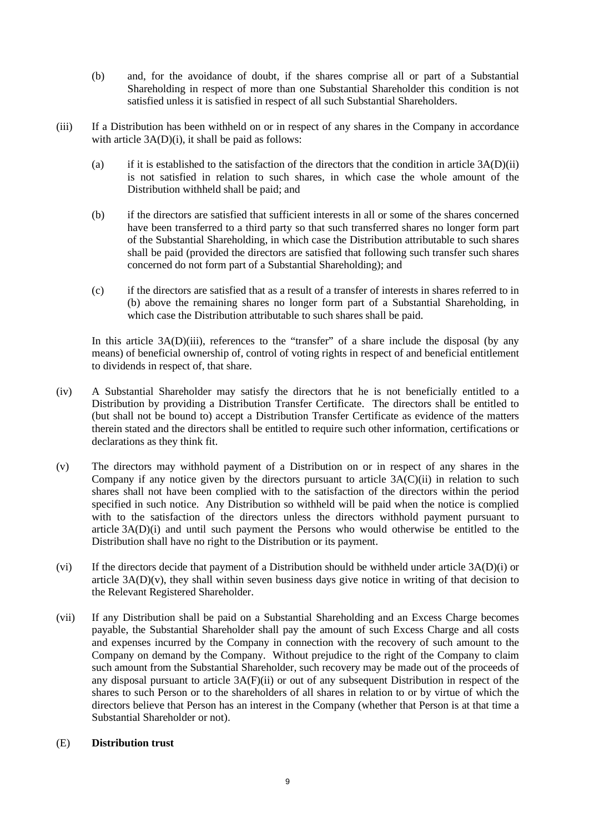- (b) and, for the avoidance of doubt, if the shares comprise all or part of a Substantial Shareholding in respect of more than one Substantial Shareholder this condition is not satisfied unless it is satisfied in respect of all such Substantial Shareholders.
- <span id="page-8-1"></span><span id="page-8-0"></span>(iii) If a Distribution has been withheld on or in respect of any shares in the Company in accordance with article  $3A(D)(i)$ , it shall be paid as follows:
	- (a) if it is established to the satisfaction of the directors that the condition in article  $3A(D)(ii)$ is not satisfied in relation to such shares, in which case the whole amount of the Distribution withheld shall be paid; and
	- (b) if the directors are satisfied that sufficient interests in all or some of the shares concerned have been transferred to a third party so that such transferred shares no longer form part of the Substantial Shareholding, in which case the Distribution attributable to such shares shall be paid (provided the directors are satisfied that following such transfer such shares concerned do not form part of a Substantial Shareholding); and
	- (c) if the directors are satisfied that as a result of a transfer of interests in shares referred to in [\(b\) above](#page-8-1) the remaining shares no longer form part of a Substantial Shareholding, in which case the Distribution attributable to such shares shall be paid.

In this article [3A\(D\)\(iii\),](#page-8-0) references to the "transfer" of a share include the disposal (by any means) of beneficial ownership of, control of voting rights in respect of and beneficial entitlement to dividends in respect of, that share.

- (iv) A Substantial Shareholder may satisfy the directors that he is not beneficially entitled to a Distribution by providing a Distribution Transfer Certificate. The directors shall be entitled to (but shall not be bound to) accept a Distribution Transfer Certificate as evidence of the matters therein stated and the directors shall be entitled to require such other information, certifications or declarations as they think fit.
- <span id="page-8-2"></span>(v) The directors may withhold payment of a Distribution on or in respect of any shares in the Company if any notice given by the directors pursuant to article  $3A(C)(ii)$  in relation to such shares shall not have been complied with to the satisfaction of the directors within the period specified in such notice. Any Distribution so withheld will be paid when the notice is complied with to the satisfaction of the directors unless the directors withhold payment pursuant to article [3A\(D\)\(i\)](#page-7-1) and until such payment the Persons who would otherwise be entitled to the Distribution shall have no right to the Distribution or its payment.
- (vi) If the directors decide that payment of a Distribution should be withheld under article [3A\(D\)\(i\)](#page-7-1) or article  $3A(D)(v)$ , they shall within seven business days give notice in writing of that decision to the Relevant Registered Shareholder.
- <span id="page-8-3"></span>(vii) If any Distribution shall be paid on a Substantial Shareholding and an Excess Charge becomes payable, the Substantial Shareholder shall pay the amount of such Excess Charge and all costs and expenses incurred by the Company in connection with the recovery of such amount to the Company on demand by the Company. Without prejudice to the right of the Company to claim such amount from the Substantial Shareholder, such recovery may be made out of the proceeds of any disposal pursuant to article [3A\(F\)\(ii\)](#page-10-0) or out of any subsequent Distribution in respect of the shares to such Person or to the shareholders of all shares in relation to or by virtue of which the directors believe that Person has an interest in the Company (whether that Person is at that time a Substantial Shareholder or not).

## (E) **Distribution trust**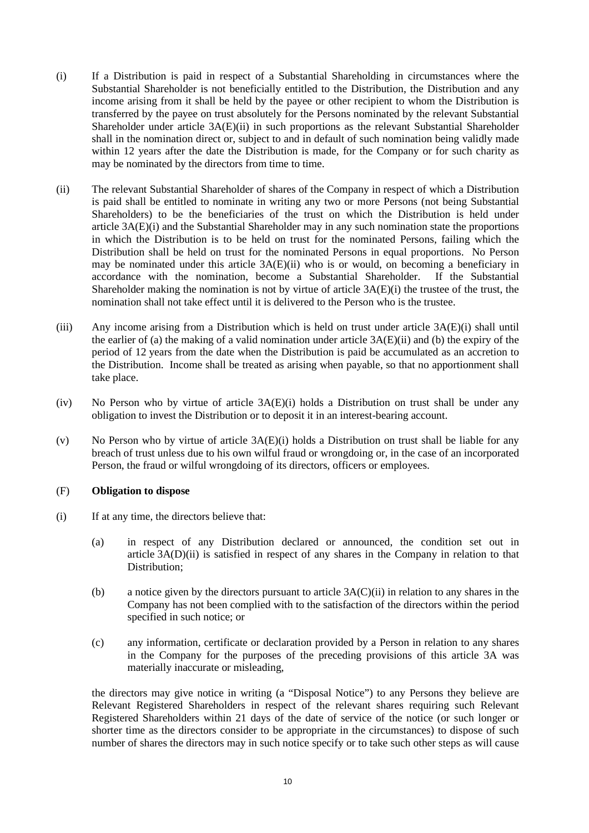- <span id="page-9-1"></span>(i) If a Distribution is paid in respect of a Substantial Shareholding in circumstances where the Substantial Shareholder is not beneficially entitled to the Distribution, the Distribution and any income arising from it shall be held by the payee or other recipient to whom the Distribution is transferred by the payee on trust absolutely for the Persons nominated by the relevant Substantial Shareholder under article [3A\(E\)\(ii\)](#page-9-0) in such proportions as the relevant Substantial Shareholder shall in the nomination direct or, subject to and in default of such nomination being validly made within 12 years after the date the Distribution is made, for the Company or for such charity as may be nominated by the directors from time to time.
- <span id="page-9-0"></span>(ii) The relevant Substantial Shareholder of shares of the Company in respect of which a Distribution is paid shall be entitled to nominate in writing any two or more Persons (not being Substantial Shareholders) to be the beneficiaries of the trust on which the Distribution is held under article [3A\(E\)\(i\)](#page-9-1) and the Substantial Shareholder may in any such nomination state the proportions in which the Distribution is to be held on trust for the nominated Persons, failing which the Distribution shall be held on trust for the nominated Persons in equal proportions. No Person may be nominated under this article [3A\(E\)\(ii\)](#page-9-0) who is or would, on becoming a beneficiary in accordance with the nomination, become a Substantial Shareholder. If the Substantial Shareholder making the nomination is not by virtue of article  $3A(E)(i)$  the trustee of the trust, the nomination shall not take effect until it is delivered to the Person who is the trustee.
- (iii) Any income arising from a Distribution which is held on trust under article [3A\(E\)\(i\)](#page-9-1) shall until the earlier of (a) the making of a valid nomination under article  $3A(E)(ii)$  and (b) the expiry of the period of 12 years from the date when the Distribution is paid be accumulated as an accretion to the Distribution. Income shall be treated as arising when payable, so that no apportionment shall take place.
- (iv) No Person who by virtue of article [3A\(E\)\(i\)](#page-9-1) holds a Distribution on trust shall be under any obligation to invest the Distribution or to deposit it in an interest-bearing account.
- (v) No Person who by virtue of article  $3A(E)(i)$  holds a Distribution on trust shall be liable for any breach of trust unless due to his own wilful fraud or wrongdoing or, in the case of an incorporated Person, the fraud or wilful wrongdoing of its directors, officers or employees.

## (F) **Obligation to dispose**

- (i) If at any time, the directors believe that:
	- (a) in respect of any Distribution declared or announced, the condition set out in article [3A\(D\)\(ii\)](#page-7-0) is satisfied in respect of any shares in the Company in relation to that Distribution;
	- (b) a notice given by the directors pursuant to article [3A\(C\)\(ii\)](#page-7-2) in relation to any shares in the Company has not been complied with to the satisfaction of the directors within the period specified in such notice; or
	- (c) any information, certificate or declaration provided by a Person in relation to any shares in the Company for the purposes of the preceding provisions of this article [3A](#page-5-0) was materially inaccurate or misleading,

the directors may give notice in writing (a "Disposal Notice") to any Persons they believe are Relevant Registered Shareholders in respect of the relevant shares requiring such Relevant Registered Shareholders within 21 days of the date of service of the notice (or such longer or shorter time as the directors consider to be appropriate in the circumstances) to dispose of such number of shares the directors may in such notice specify or to take such other steps as will cause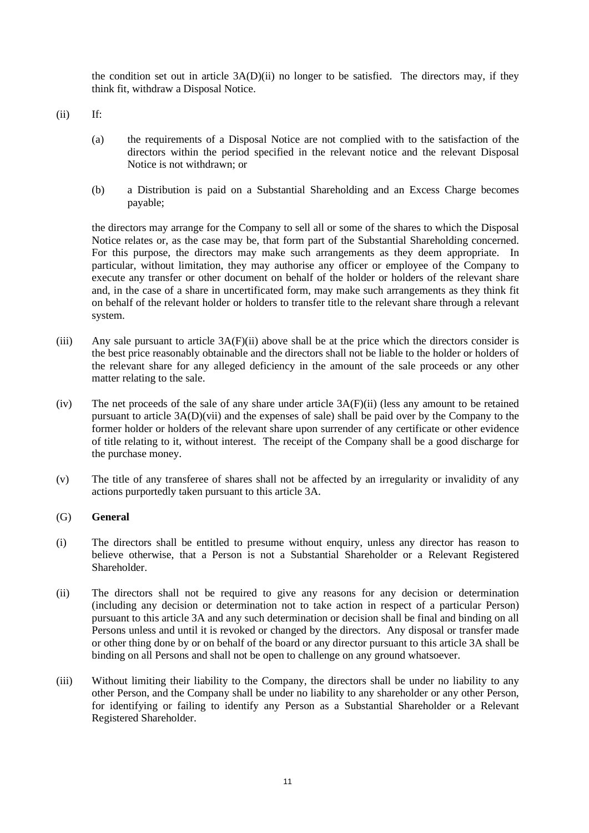the condition set out in article [3A\(D\)\(ii\)](#page-7-0) no longer to be satisfied. The directors may, if they think fit, withdraw a Disposal Notice.

<span id="page-10-0"></span> $(ii)$  If:

- (a) the requirements of a Disposal Notice are not complied with to the satisfaction of the directors within the period specified in the relevant notice and the relevant Disposal Notice is not withdrawn; or
- (b) a Distribution is paid on a Substantial Shareholding and an Excess Charge becomes payable;

the directors may arrange for the Company to sell all or some of the shares to which the Disposal Notice relates or, as the case may be, that form part of the Substantial Shareholding concerned. For this purpose, the directors may make such arrangements as they deem appropriate. In particular, without limitation, they may authorise any officer or employee of the Company to execute any transfer or other document on behalf of the holder or holders of the relevant share and, in the case of a share in uncertificated form, may make such arrangements as they think fit on behalf of the relevant holder or holders to transfer title to the relevant share through a relevant system.

- (iii) Any sale pursuant to article [3A\(F\)\(ii\) above](#page-10-0) shall be at the price which the directors consider is the best price reasonably obtainable and the directors shall not be liable to the holder or holders of the relevant share for any alleged deficiency in the amount of the sale proceeds or any other matter relating to the sale.
- (iv) The net proceeds of the sale of any share under article [3A\(F\)\(ii\)](#page-10-0) (less any amount to be retained pursuant to article [3A\(D\)\(vii\)](#page-8-3) and the expenses of sale) shall be paid over by the Company to the former holder or holders of the relevant share upon surrender of any certificate or other evidence of title relating to it, without interest. The receipt of the Company shall be a good discharge for the purchase money.
- (v) The title of any transferee of shares shall not be affected by an irregularity or invalidity of any actions purportedly taken pursuant to this article [3A.](#page-5-0)

## (G) **General**

- (i) The directors shall be entitled to presume without enquiry, unless any director has reason to believe otherwise, that a Person is not a Substantial Shareholder or a Relevant Registered Shareholder.
- (ii) The directors shall not be required to give any reasons for any decision or determination (including any decision or determination not to take action in respect of a particular Person) pursuant to this article [3A](#page-5-0) and any such determination or decision shall be final and binding on all Persons unless and until it is revoked or changed by the directors. Any disposal or transfer made or other thing done by or on behalf of the board or any director pursuant to this article [3A](#page-5-0) shall be binding on all Persons and shall not be open to challenge on any ground whatsoever.
- (iii) Without limiting their liability to the Company, the directors shall be under no liability to any other Person, and the Company shall be under no liability to any shareholder or any other Person, for identifying or failing to identify any Person as a Substantial Shareholder or a Relevant Registered Shareholder.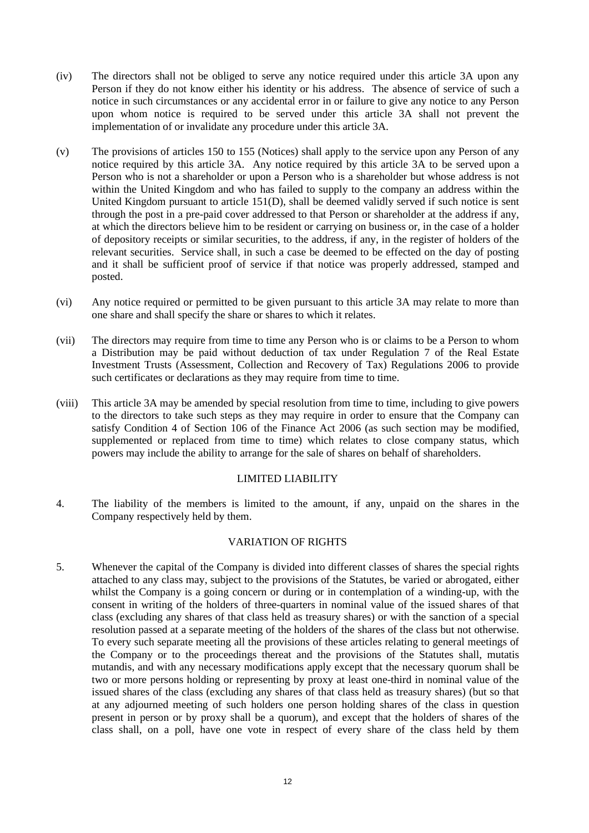- (iv) The directors shall not be obliged to serve any notice required under this article [3A](#page-5-0) upon any Person if they do not know either his identity or his address. The absence of service of such a notice in such circumstances or any accidental error in or failure to give any notice to any Person upon whom notice is required to be served under this article [3A](#page-5-0) shall not prevent the implementation of or invalidate any procedure under this articl[e 3A.](#page-5-0)
- (v) The provisions of articles [150](#page-50-0) to [155](#page-52-0) (Notices) shall apply to the service upon any Person of any notice required by this article [3A.](#page-5-0) Any notice required by this article [3A](#page-5-0) to be served upon a Person who is not a shareholder or upon a Person who is a shareholder but whose address is not within the United Kingdom and who has failed to supply to the company an address within the United Kingdom pursuant to article [151](#page-50-1)[\(D\),](#page-51-0) shall be deemed validly served if such notice is sent through the post in a pre-paid cover addressed to that Person or shareholder at the address if any, at which the directors believe him to be resident or carrying on business or, in the case of a holder of depository receipts or similar securities, to the address, if any, in the register of holders of the relevant securities. Service shall, in such a case be deemed to be effected on the day of posting and it shall be sufficient proof of service if that notice was properly addressed, stamped and posted.
- (vi) Any notice required or permitted to be given pursuant to this article [3A](#page-5-0) may relate to more than one share and shall specify the share or shares to which it relates.
- (vii) The directors may require from time to time any Person who is or claims to be a Person to whom a Distribution may be paid without deduction of tax under Regulation 7 of the Real Estate Investment Trusts (Assessment, Collection and Recovery of Tax) Regulations 2006 to provide such certificates or declarations as they may require from time to time.
- (viii) This article [3A](#page-5-0) may be amended by special resolution from time to time, including to give powers to the directors to take such steps as they may require in order to ensure that the Company can satisfy Condition 4 of Section 106 of the Finance Act 2006 (as such section may be modified, supplemented or replaced from time to time) which relates to close company status, which powers may include the ability to arrange for the sale of shares on behalf of shareholders.

## LIMITED LIABILITY

4. The liability of the members is limited to the amount, if any, unpaid on the shares in the Company respectively held by them.

#### VARIATION OF RIGHTS

5. Whenever the capital of the Company is divided into different classes of shares the special rights attached to any class may, subject to the provisions of the Statutes, be varied or abrogated, either whilst the Company is a going concern or during or in contemplation of a winding-up, with the consent in writing of the holders of three-quarters in nominal value of the issued shares of that class (excluding any shares of that class held as treasury shares) or with the sanction of a special resolution passed at a separate meeting of the holders of the shares of the class but not otherwise. To every such separate meeting all the provisions of these articles relating to general meetings of the Company or to the proceedings thereat and the provisions of the Statutes shall, mutatis mutandis, and with any necessary modifications apply except that the necessary quorum shall be two or more persons holding or representing by proxy at least one-third in nominal value of the issued shares of the class (excluding any shares of that class held as treasury shares) (but so that at any adjourned meeting of such holders one person holding shares of the class in question present in person or by proxy shall be a quorum), and except that the holders of shares of the class shall, on a poll, have one vote in respect of every share of the class held by them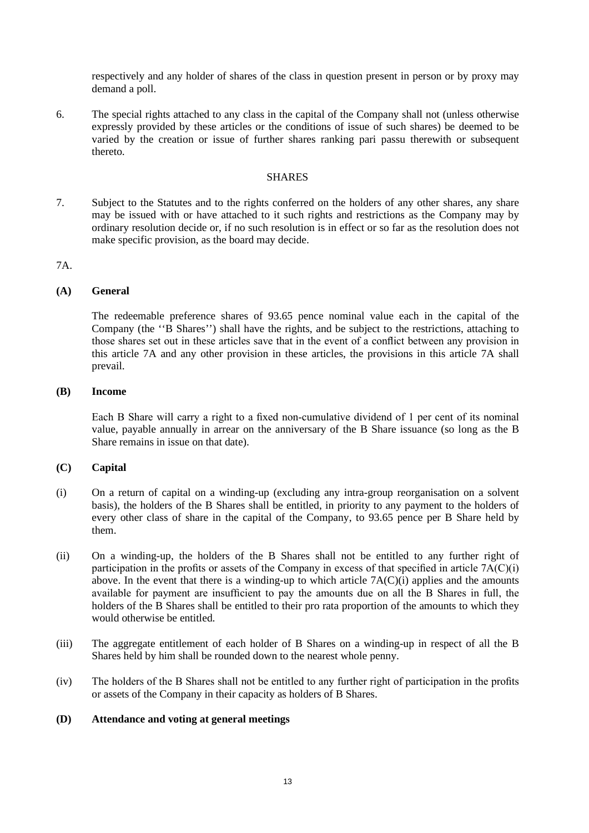respectively and any holder of shares of the class in question present in person or by proxy may demand a poll.

6. The special rights attached to any class in the capital of the Company shall not (unless otherwise expressly provided by these articles or the conditions of issue of such shares) be deemed to be varied by the creation or issue of further shares ranking pari passu therewith or subsequent thereto.

#### SHARES

7. Subject to the Statutes and to the rights conferred on the holders of any other shares, any share may be issued with or have attached to it such rights and restrictions as the Company may by ordinary resolution decide or, if no such resolution is in effect or so far as the resolution does not make specific provision, as the board may decide.

## 7A.

## **(A) General**

The redeemable preference shares of 93.65 pence nominal value each in the capital of the Company (the ''B Shares'') shall have the rights, and be subject to the restrictions, attaching to those shares set out in these articles save that in the event of a conflict between any provision in this article 7A and any other provision in these articles, the provisions in this article 7A shall prevail.

#### **(B) Income**

Each B Share will carry a right to a fixed non-cumulative dividend of 1 per cent of its nominal value, payable annually in arrear on the anniversary of the B Share issuance (so long as the B Share remains in issue on that date).

## **(C) Capital**

- (i) On a return of capital on a winding-up (excluding any intra-group reorganisation on a solvent basis), the holders of the B Shares shall be entitled, in priority to any payment to the holders of every other class of share in the capital of the Company, to 93.65 pence per B Share held by them.
- (ii) On a winding-up, the holders of the B Shares shall not be entitled to any further right of participation in the profits or assets of the Company in excess of that specified in article 7A(C)(i) above. In the event that there is a winding-up to which article  $7A(C)(i)$  applies and the amounts available for payment are insufficient to pay the amounts due on all the B Shares in full, the holders of the B Shares shall be entitled to their pro rata proportion of the amounts to which they would otherwise be entitled.
- (iii) The aggregate entitlement of each holder of B Shares on a winding-up in respect of all the B Shares held by him shall be rounded down to the nearest whole penny.
- (iv) The holders of the B Shares shall not be entitled to any further right of participation in the profits or assets of the Company in their capacity as holders of B Shares.

#### **(D) Attendance and voting at general meetings**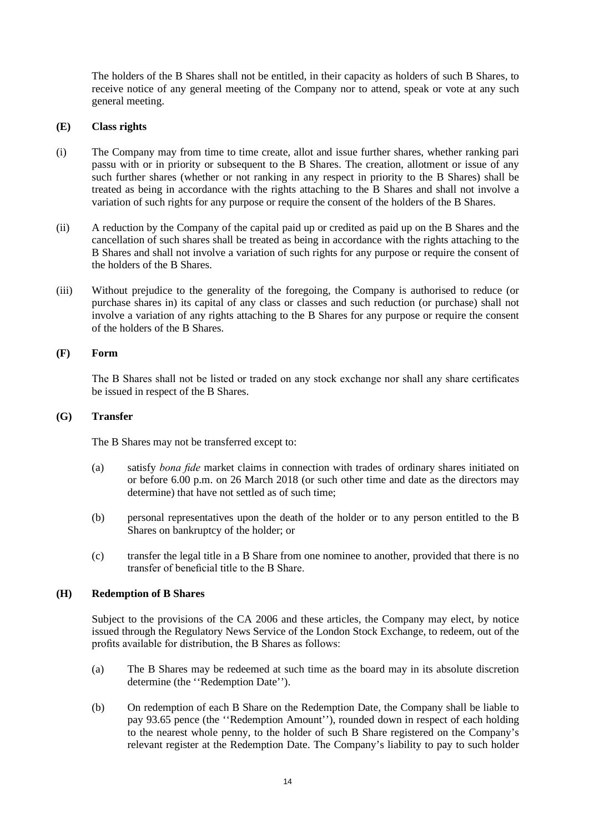The holders of the B Shares shall not be entitled, in their capacity as holders of such B Shares, to receive notice of any general meeting of the Company nor to attend, speak or vote at any such general meeting.

## **(E) Class rights**

- (i) The Company may from time to time create, allot and issue further shares, whether ranking pari passu with or in priority or subsequent to the B Shares. The creation, allotment or issue of any such further shares (whether or not ranking in any respect in priority to the B Shares) shall be treated as being in accordance with the rights attaching to the B Shares and shall not involve a variation of such rights for any purpose or require the consent of the holders of the B Shares.
- (ii) A reduction by the Company of the capital paid up or credited as paid up on the B Shares and the cancellation of such shares shall be treated as being in accordance with the rights attaching to the B Shares and shall not involve a variation of such rights for any purpose or require the consent of the holders of the B Shares.
- (iii) Without prejudice to the generality of the foregoing, the Company is authorised to reduce (or purchase shares in) its capital of any class or classes and such reduction (or purchase) shall not involve a variation of any rights attaching to the B Shares for any purpose or require the consent of the holders of the B Shares.

#### **(F) Form**

The B Shares shall not be listed or traded on any stock exchange nor shall any share certificates be issued in respect of the B Shares.

#### **(G) Transfer**

The B Shares may not be transferred except to:

- (a) satisfy *bona fide* market claims in connection with trades of ordinary shares initiated on or before 6.00 p.m. on 26 March 2018 (or such other time and date as the directors may determine) that have not settled as of such time;
- (b) personal representatives upon the death of the holder or to any person entitled to the B Shares on bankruptcy of the holder; or
- (c) transfer the legal title in a B Share from one nominee to another, provided that there is no transfer of beneficial title to the B Share.

## **(H) Redemption of B Shares**

Subject to the provisions of the CA 2006 and these articles, the Company may elect, by notice issued through the Regulatory News Service of the London Stock Exchange, to redeem, out of the profits available for distribution, the B Shares as follows:

- (a) The B Shares may be redeemed at such time as the board may in its absolute discretion determine (the ''Redemption Date'').
- (b) On redemption of each B Share on the Redemption Date, the Company shall be liable to pay 93.65 pence (the ''Redemption Amount''), rounded down in respect of each holding to the nearest whole penny, to the holder of such B Share registered on the Company's relevant register at the Redemption Date. The Company's liability to pay to such holder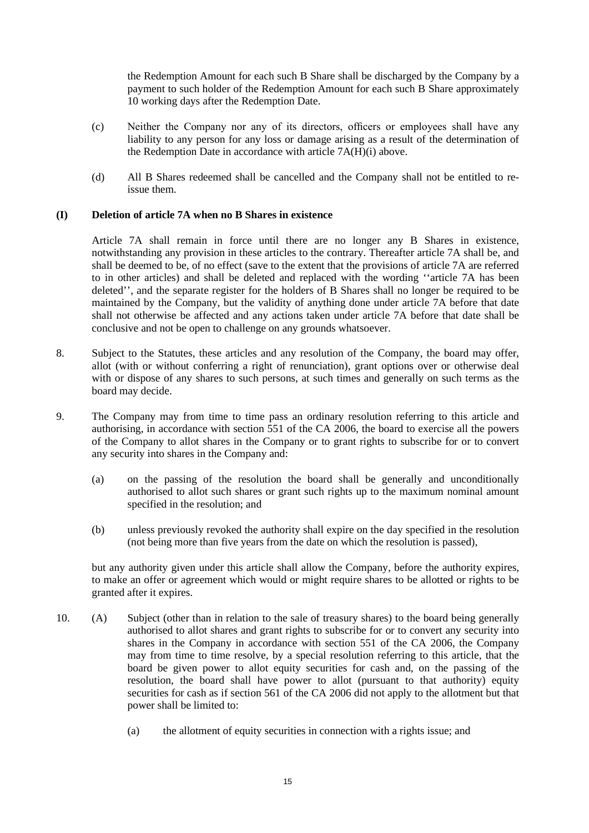the Redemption Amount for each such B Share shall be discharged by the Company by a payment to such holder of the Redemption Amount for each such B Share approximately 10 working days after the Redemption Date.

- (c) Neither the Company nor any of its directors, officers or employees shall have any liability to any person for any loss or damage arising as a result of the determination of the Redemption Date in accordance with article 7A(H)(i) above.
- (d) All B Shares redeemed shall be cancelled and the Company shall not be entitled to reissue them.

## **(I) Deletion of article 7A when no B Shares in existence**

Article 7A shall remain in force until there are no longer any B Shares in existence, notwithstanding any provision in these articles to the contrary. Thereafter article 7A shall be, and shall be deemed to be, of no effect (save to the extent that the provisions of article 7A are referred to in other articles) and shall be deleted and replaced with the wording ''article 7A has been deleted'', and the separate register for the holders of B Shares shall no longer be required to be maintained by the Company, but the validity of anything done under article 7A before that date shall not otherwise be affected and any actions taken under article 7A before that date shall be conclusive and not be open to challenge on any grounds whatsoever.

- 8. Subject to the Statutes, these articles and any resolution of the Company, the board may offer, allot (with or without conferring a right of renunciation), grant options over or otherwise deal with or dispose of any shares to such persons, at such times and generally on such terms as the board may decide.
- 9. The Company may from time to time pass an ordinary resolution referring to this article and authorising, in accordance with section 551 of the CA 2006, the board to exercise all the powers of the Company to allot shares in the Company or to grant rights to subscribe for or to convert any security into shares in the Company and:
	- (a) on the passing of the resolution the board shall be generally and unconditionally authorised to allot such shares or grant such rights up to the maximum nominal amount specified in the resolution; and
	- (b) unless previously revoked the authority shall expire on the day specified in the resolution (not being more than five years from the date on which the resolution is passed),

but any authority given under this article shall allow the Company, before the authority expires, to make an offer or agreement which would or might require shares to be allotted or rights to be granted after it expires.

- 10. (A) Subject (other than in relation to the sale of treasury shares) to the board being generally authorised to allot shares and grant rights to subscribe for or to convert any security into shares in the Company in accordance with section 551 of the CA 2006, the Company may from time to time resolve, by a special resolution referring to this article, that the board be given power to allot equity securities for cash and, on the passing of the resolution, the board shall have power to allot (pursuant to that authority) equity securities for cash as if section 561 of the CA 2006 did not apply to the allotment but that power shall be limited to:
	- (a) the allotment of equity securities in connection with a rights issue; and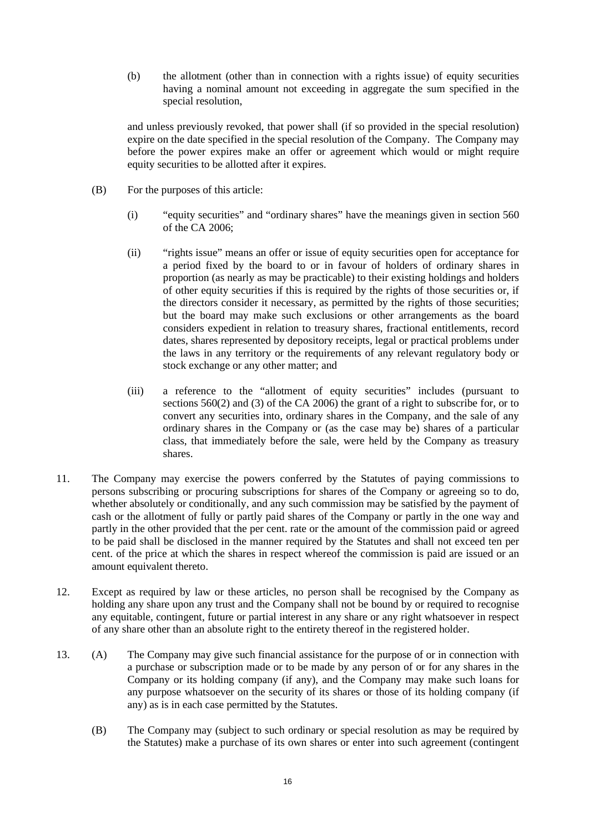(b) the allotment (other than in connection with a rights issue) of equity securities having a nominal amount not exceeding in aggregate the sum specified in the special resolution,

and unless previously revoked, that power shall (if so provided in the special resolution) expire on the date specified in the special resolution of the Company. The Company may before the power expires make an offer or agreement which would or might require equity securities to be allotted after it expires.

- (B) For the purposes of this article:
	- (i) "equity securities" and "ordinary shares" have the meanings given in section 560 of the CA 2006;
	- (ii) "rights issue" means an offer or issue of equity securities open for acceptance for a period fixed by the board to or in favour of holders of ordinary shares in proportion (as nearly as may be practicable) to their existing holdings and holders of other equity securities if this is required by the rights of those securities or, if the directors consider it necessary, as permitted by the rights of those securities; but the board may make such exclusions or other arrangements as the board considers expedient in relation to treasury shares, fractional entitlements, record dates, shares represented by depository receipts, legal or practical problems under the laws in any territory or the requirements of any relevant regulatory body or stock exchange or any other matter; and
	- (iii) a reference to the "allotment of equity securities" includes (pursuant to sections 560(2) and (3) of the CA 2006) the grant of a right to subscribe for, or to convert any securities into, ordinary shares in the Company, and the sale of any ordinary shares in the Company or (as the case may be) shares of a particular class, that immediately before the sale, were held by the Company as treasury shares.
- 11. The Company may exercise the powers conferred by the Statutes of paying commissions to persons subscribing or procuring subscriptions for shares of the Company or agreeing so to do, whether absolutely or conditionally, and any such commission may be satisfied by the payment of cash or the allotment of fully or partly paid shares of the Company or partly in the one way and partly in the other provided that the per cent. rate or the amount of the commission paid or agreed to be paid shall be disclosed in the manner required by the Statutes and shall not exceed ten per cent. of the price at which the shares in respect whereof the commission is paid are issued or an amount equivalent thereto.
- 12. Except as required by law or these articles, no person shall be recognised by the Company as holding any share upon any trust and the Company shall not be bound by or required to recognise any equitable, contingent, future or partial interest in any share or any right whatsoever in respect of any share other than an absolute right to the entirety thereof in the registered holder.
- 13. (A) The Company may give such financial assistance for the purpose of or in connection with a purchase or subscription made or to be made by any person of or for any shares in the Company or its holding company (if any), and the Company may make such loans for any purpose whatsoever on the security of its shares or those of its holding company (if any) as is in each case permitted by the Statutes.
	- (B) The Company may (subject to such ordinary or special resolution as may be required by the Statutes) make a purchase of its own shares or enter into such agreement (contingent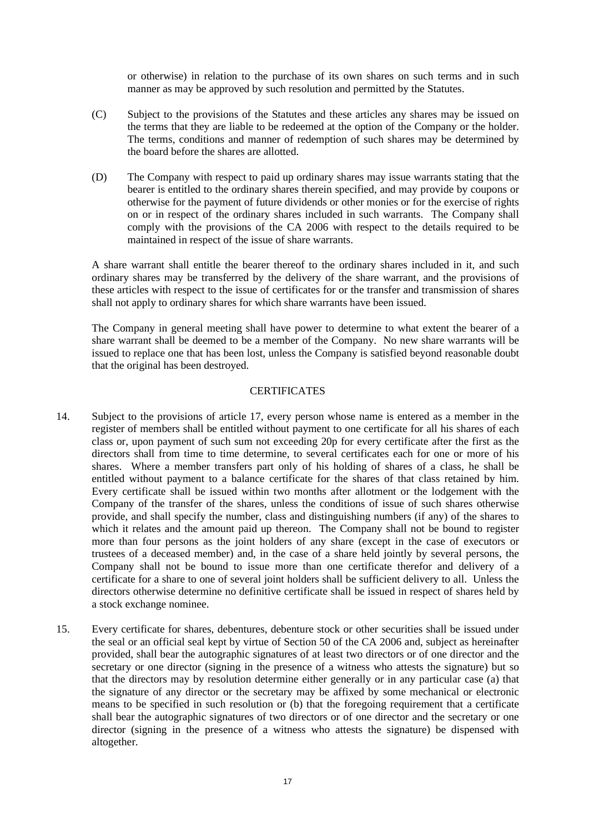or otherwise) in relation to the purchase of its own shares on such terms and in such manner as may be approved by such resolution and permitted by the Statutes.

- (C) Subject to the provisions of the Statutes and these articles any shares may be issued on the terms that they are liable to be redeemed at the option of the Company or the holder. The terms, conditions and manner of redemption of such shares may be determined by the board before the shares are allotted.
- (D) The Company with respect to paid up ordinary shares may issue warrants stating that the bearer is entitled to the ordinary shares therein specified, and may provide by coupons or otherwise for the payment of future dividends or other monies or for the exercise of rights on or in respect of the ordinary shares included in such warrants. The Company shall comply with the provisions of the CA 2006 with respect to the details required to be maintained in respect of the issue of share warrants.

A share warrant shall entitle the bearer thereof to the ordinary shares included in it, and such ordinary shares may be transferred by the delivery of the share warrant, and the provisions of these articles with respect to the issue of certificates for or the transfer and transmission of shares shall not apply to ordinary shares for which share warrants have been issued.

The Company in general meeting shall have power to determine to what extent the bearer of a share warrant shall be deemed to be a member of the Company. No new share warrants will be issued to replace one that has been lost, unless the Company is satisfied beyond reasonable doubt that the original has been destroyed.

## **CERTIFICATES**

- 14. Subject to the provisions of article [17,](#page-17-0) every person whose name is entered as a member in the register of members shall be entitled without payment to one certificate for all his shares of each class or, upon payment of such sum not exceeding 20p for every certificate after the first as the directors shall from time to time determine, to several certificates each for one or more of his shares. Where a member transfers part only of his holding of shares of a class, he shall be entitled without payment to a balance certificate for the shares of that class retained by him. Every certificate shall be issued within two months after allotment or the lodgement with the Company of the transfer of the shares, unless the conditions of issue of such shares otherwise provide, and shall specify the number, class and distinguishing numbers (if any) of the shares to which it relates and the amount paid up thereon. The Company shall not be bound to register more than four persons as the joint holders of any share (except in the case of executors or trustees of a deceased member) and, in the case of a share held jointly by several persons, the Company shall not be bound to issue more than one certificate therefor and delivery of a certificate for a share to one of several joint holders shall be sufficient delivery to all. Unless the directors otherwise determine no definitive certificate shall be issued in respect of shares held by a stock exchange nominee.
- 15. Every certificate for shares, debentures, debenture stock or other securities shall be issued under the seal or an official seal kept by virtue of Section 50 of the CA 2006 and, subject as hereinafter provided, shall bear the autographic signatures of at least two directors or of one director and the secretary or one director (signing in the presence of a witness who attests the signature) but so that the directors may by resolution determine either generally or in any particular case (a) that the signature of any director or the secretary may be affixed by some mechanical or electronic means to be specified in such resolution or (b) that the foregoing requirement that a certificate shall bear the autographic signatures of two directors or of one director and the secretary or one director (signing in the presence of a witness who attests the signature) be dispensed with altogether.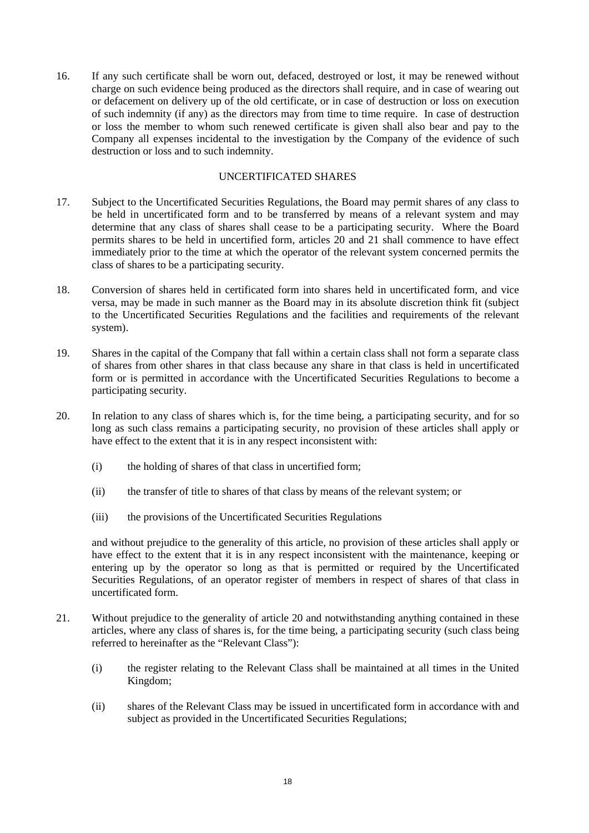16. If any such certificate shall be worn out, defaced, destroyed or lost, it may be renewed without charge on such evidence being produced as the directors shall require, and in case of wearing out or defacement on delivery up of the old certificate, or in case of destruction or loss on execution of such indemnity (if any) as the directors may from time to time require. In case of destruction or loss the member to whom such renewed certificate is given shall also bear and pay to the Company all expenses incidental to the investigation by the Company of the evidence of such destruction or loss and to such indemnity.

## UNCERTIFICATED SHARES

- <span id="page-17-0"></span>17. Subject to the Uncertificated Securities Regulations, the Board may permit shares of any class to be held in uncertificated form and to be transferred by means of a relevant system and may determine that any class of shares shall cease to be a participating security. Where the Board permits shares to be held in uncertified form, articles [20](#page-17-1) and [21](#page-17-2) shall commence to have effect immediately prior to the time at which the operator of the relevant system concerned permits the class of shares to be a participating security.
- 18. Conversion of shares held in certificated form into shares held in uncertificated form, and vice versa, may be made in such manner as the Board may in its absolute discretion think fit (subject to the Uncertificated Securities Regulations and the facilities and requirements of the relevant system).
- 19. Shares in the capital of the Company that fall within a certain class shall not form a separate class of shares from other shares in that class because any share in that class is held in uncertificated form or is permitted in accordance with the Uncertificated Securities Regulations to become a participating security.
- <span id="page-17-1"></span>20. In relation to any class of shares which is, for the time being, a participating security, and for so long as such class remains a participating security, no provision of these articles shall apply or have effect to the extent that it is in any respect inconsistent with:
	- (i) the holding of shares of that class in uncertified form;
	- (ii) the transfer of title to shares of that class by means of the relevant system; or
	- (iii) the provisions of the Uncertificated Securities Regulations

and without prejudice to the generality of this article, no provision of these articles shall apply or have effect to the extent that it is in any respect inconsistent with the maintenance, keeping or entering up by the operator so long as that is permitted or required by the Uncertificated Securities Regulations, of an operator register of members in respect of shares of that class in uncertificated form.

- <span id="page-17-2"></span>21. Without prejudice to the generality of article [20](#page-17-1) and notwithstanding anything contained in these articles, where any class of shares is, for the time being, a participating security (such class being referred to hereinafter as the "Relevant Class"):
	- (i) the register relating to the Relevant Class shall be maintained at all times in the United Kingdom;
	- (ii) shares of the Relevant Class may be issued in uncertificated form in accordance with and subject as provided in the Uncertificated Securities Regulations;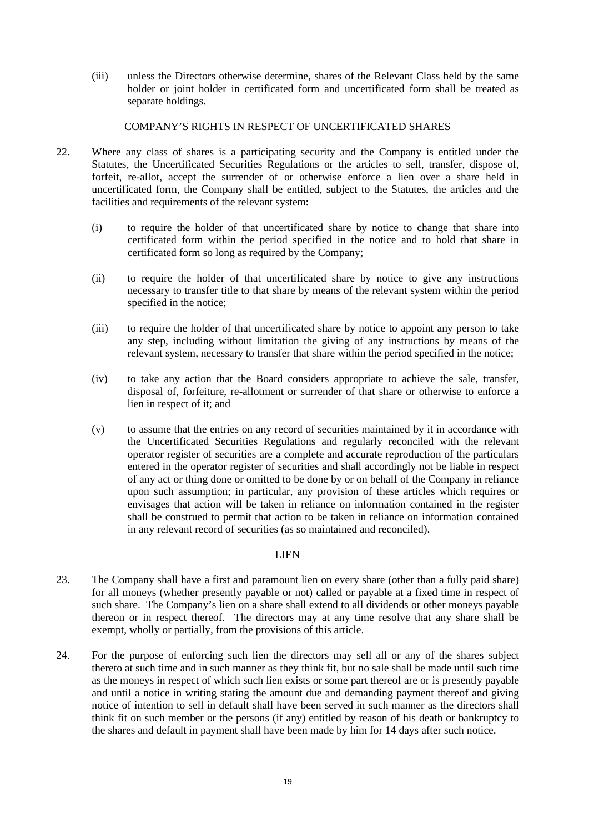(iii) unless the Directors otherwise determine, shares of the Relevant Class held by the same holder or joint holder in certificated form and uncertificated form shall be treated as separate holdings.

#### COMPANY'S RIGHTS IN RESPECT OF UNCERTIFICATED SHARES

- <span id="page-18-0"></span>22. Where any class of shares is a participating security and the Company is entitled under the Statutes, the Uncertificated Securities Regulations or the articles to sell, transfer, dispose of, forfeit, re-allot, accept the surrender of or otherwise enforce a lien over a share held in uncertificated form, the Company shall be entitled, subject to the Statutes, the articles and the facilities and requirements of the relevant system:
	- (i) to require the holder of that uncertificated share by notice to change that share into certificated form within the period specified in the notice and to hold that share in certificated form so long as required by the Company;
	- (ii) to require the holder of that uncertificated share by notice to give any instructions necessary to transfer title to that share by means of the relevant system within the period specified in the notice;
	- (iii) to require the holder of that uncertificated share by notice to appoint any person to take any step, including without limitation the giving of any instructions by means of the relevant system, necessary to transfer that share within the period specified in the notice;
	- (iv) to take any action that the Board considers appropriate to achieve the sale, transfer, disposal of, forfeiture, re-allotment or surrender of that share or otherwise to enforce a lien in respect of it; and
	- (v) to assume that the entries on any record of securities maintained by it in accordance with the Uncertificated Securities Regulations and regularly reconciled with the relevant operator register of securities are a complete and accurate reproduction of the particulars entered in the operator register of securities and shall accordingly not be liable in respect of any act or thing done or omitted to be done by or on behalf of the Company in reliance upon such assumption; in particular, any provision of these articles which requires or envisages that action will be taken in reliance on information contained in the register shall be construed to permit that action to be taken in reliance on information contained in any relevant record of securities (as so maintained and reconciled).

## LIEN

- 23. The Company shall have a first and paramount lien on every share (other than a fully paid share) for all moneys (whether presently payable or not) called or payable at a fixed time in respect of such share. The Company's lien on a share shall extend to all dividends or other moneys payable thereon or in respect thereof. The directors may at any time resolve that any share shall be exempt, wholly or partially, from the provisions of this article.
- 24. For the purpose of enforcing such lien the directors may sell all or any of the shares subject thereto at such time and in such manner as they think fit, but no sale shall be made until such time as the moneys in respect of which such lien exists or some part thereof are or is presently payable and until a notice in writing stating the amount due and demanding payment thereof and giving notice of intention to sell in default shall have been served in such manner as the directors shall think fit on such member or the persons (if any) entitled by reason of his death or bankruptcy to the shares and default in payment shall have been made by him for 14 days after such notice.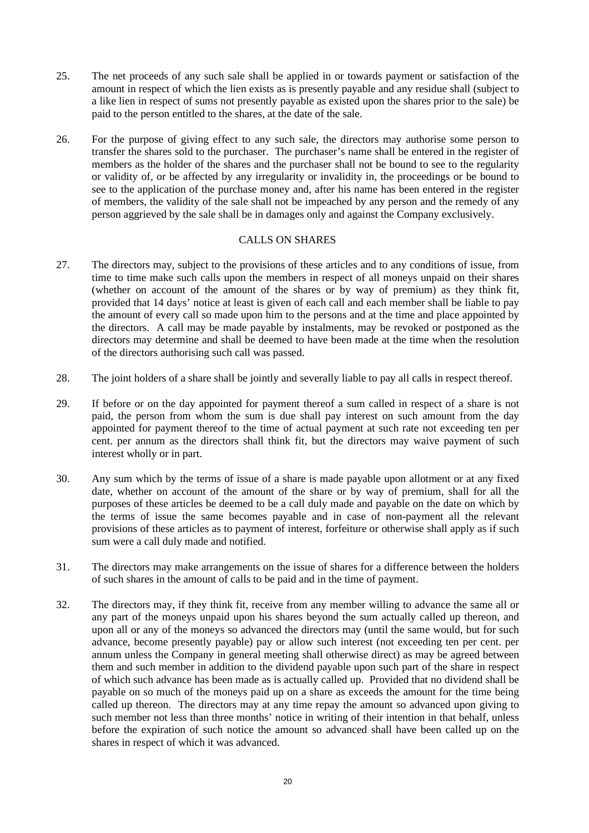- 25. The net proceeds of any such sale shall be applied in or towards payment or satisfaction of the amount in respect of which the lien exists as is presently payable and any residue shall (subject to a like lien in respect of sums not presently payable as existed upon the shares prior to the sale) be paid to the person entitled to the shares, at the date of the sale.
- 26. For the purpose of giving effect to any such sale, the directors may authorise some person to transfer the shares sold to the purchaser. The purchaser's name shall be entered in the register of members as the holder of the shares and the purchaser shall not be bound to see to the regularity or validity of, or be affected by any irregularity or invalidity in, the proceedings or be bound to see to the application of the purchase money and, after his name has been entered in the register of members, the validity of the sale shall not be impeached by any person and the remedy of any person aggrieved by the sale shall be in damages only and against the Company exclusively.

## CALLS ON SHARES

- 27. The directors may, subject to the provisions of these articles and to any conditions of issue, from time to time make such calls upon the members in respect of all moneys unpaid on their shares (whether on account of the amount of the shares or by way of premium) as they think fit, provided that 14 days' notice at least is given of each call and each member shall be liable to pay the amount of every call so made upon him to the persons and at the time and place appointed by the directors. A call may be made payable by instalments, may be revoked or postponed as the directors may determine and shall be deemed to have been made at the time when the resolution of the directors authorising such call was passed.
- 28. The joint holders of a share shall be jointly and severally liable to pay all calls in respect thereof.
- 29. If before or on the day appointed for payment thereof a sum called in respect of a share is not paid, the person from whom the sum is due shall pay interest on such amount from the day appointed for payment thereof to the time of actual payment at such rate not exceeding ten per cent. per annum as the directors shall think fit, but the directors may waive payment of such interest wholly or in part.
- 30. Any sum which by the terms of issue of a share is made payable upon allotment or at any fixed date, whether on account of the amount of the share or by way of premium, shall for all the purposes of these articles be deemed to be a call duly made and payable on the date on which by the terms of issue the same becomes payable and in case of non-payment all the relevant provisions of these articles as to payment of interest, forfeiture or otherwise shall apply as if such sum were a call duly made and notified.
- 31. The directors may make arrangements on the issue of shares for a difference between the holders of such shares in the amount of calls to be paid and in the time of payment.
- 32. The directors may, if they think fit, receive from any member willing to advance the same all or any part of the moneys unpaid upon his shares beyond the sum actually called up thereon, and upon all or any of the moneys so advanced the directors may (until the same would, but for such advance, become presently payable) pay or allow such interest (not exceeding ten per cent. per annum unless the Company in general meeting shall otherwise direct) as may be agreed between them and such member in addition to the dividend payable upon such part of the share in respect of which such advance has been made as is actually called up. Provided that no dividend shall be payable on so much of the moneys paid up on a share as exceeds the amount for the time being called up thereon. The directors may at any time repay the amount so advanced upon giving to such member not less than three months' notice in writing of their intention in that behalf, unless before the expiration of such notice the amount so advanced shall have been called up on the shares in respect of which it was advanced.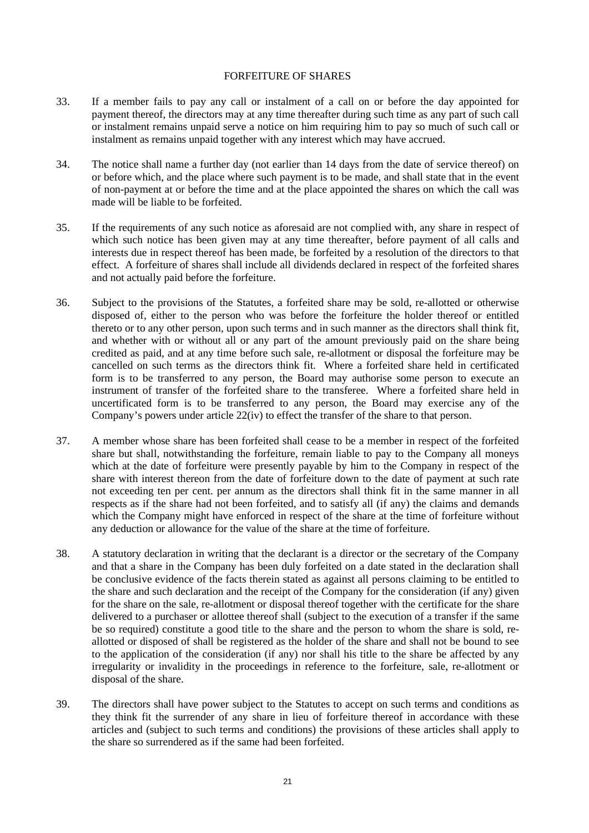#### FORFEITURE OF SHARES

- 33. If a member fails to pay any call or instalment of a call on or before the day appointed for payment thereof, the directors may at any time thereafter during such time as any part of such call or instalment remains unpaid serve a notice on him requiring him to pay so much of such call or instalment as remains unpaid together with any interest which may have accrued.
- 34. The notice shall name a further day (not earlier than 14 days from the date of service thereof) on or before which, and the place where such payment is to be made, and shall state that in the event of non-payment at or before the time and at the place appointed the shares on which the call was made will be liable to be forfeited.
- 35. If the requirements of any such notice as aforesaid are not complied with, any share in respect of which such notice has been given may at any time thereafter, before payment of all calls and interests due in respect thereof has been made, be forfeited by a resolution of the directors to that effect. A forfeiture of shares shall include all dividends declared in respect of the forfeited shares and not actually paid before the forfeiture.
- 36. Subject to the provisions of the Statutes, a forfeited share may be sold, re-allotted or otherwise disposed of, either to the person who was before the forfeiture the holder thereof or entitled thereto or to any other person, upon such terms and in such manner as the directors shall think fit, and whether with or without all or any part of the amount previously paid on the share being credited as paid, and at any time before such sale, re-allotment or disposal the forfeiture may be cancelled on such terms as the directors think fit. Where a forfeited share held in certificated form is to be transferred to any person, the Board may authorise some person to execute an instrument of transfer of the forfeited share to the transferee. Where a forfeited share held in uncertificated form is to be transferred to any person, the Board may exercise any of the Company's powers under article [22\(iv\)](#page-18-0) to effect the transfer of the share to that person.
- 37. A member whose share has been forfeited shall cease to be a member in respect of the forfeited share but shall, notwithstanding the forfeiture, remain liable to pay to the Company all moneys which at the date of forfeiture were presently payable by him to the Company in respect of the share with interest thereon from the date of forfeiture down to the date of payment at such rate not exceeding ten per cent. per annum as the directors shall think fit in the same manner in all respects as if the share had not been forfeited, and to satisfy all (if any) the claims and demands which the Company might have enforced in respect of the share at the time of forfeiture without any deduction or allowance for the value of the share at the time of forfeiture.
- 38. A statutory declaration in writing that the declarant is a director or the secretary of the Company and that a share in the Company has been duly forfeited on a date stated in the declaration shall be conclusive evidence of the facts therein stated as against all persons claiming to be entitled to the share and such declaration and the receipt of the Company for the consideration (if any) given for the share on the sale, re-allotment or disposal thereof together with the certificate for the share delivered to a purchaser or allottee thereof shall (subject to the execution of a transfer if the same be so required) constitute a good title to the share and the person to whom the share is sold, reallotted or disposed of shall be registered as the holder of the share and shall not be bound to see to the application of the consideration (if any) nor shall his title to the share be affected by any irregularity or invalidity in the proceedings in reference to the forfeiture, sale, re-allotment or disposal of the share.
- 39. The directors shall have power subject to the Statutes to accept on such terms and conditions as they think fit the surrender of any share in lieu of forfeiture thereof in accordance with these articles and (subject to such terms and conditions) the provisions of these articles shall apply to the share so surrendered as if the same had been forfeited.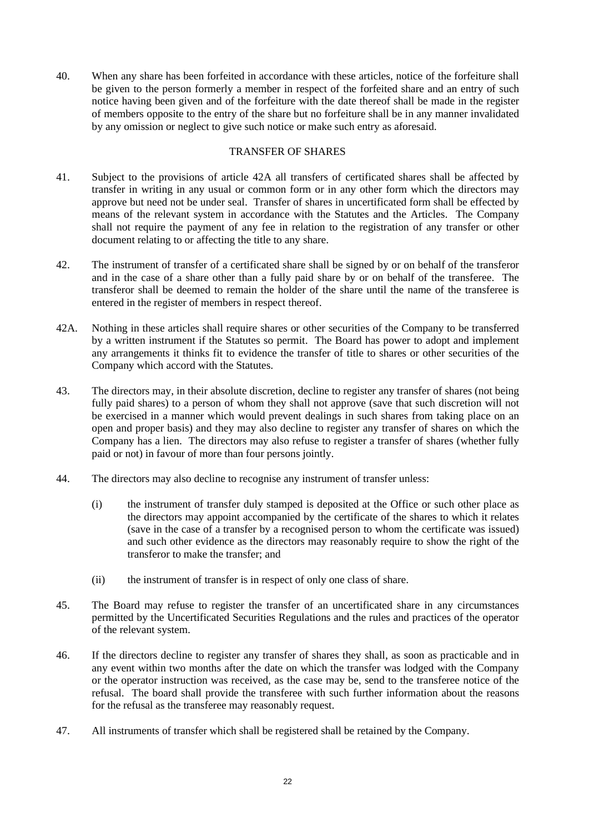40. When any share has been forfeited in accordance with these articles, notice of the forfeiture shall be given to the person formerly a member in respect of the forfeited share and an entry of such notice having been given and of the forfeiture with the date thereof shall be made in the register of members opposite to the entry of the share but no forfeiture shall be in any manner invalidated by any omission or neglect to give such notice or make such entry as aforesaid.

# TRANSFER OF SHARES

- 41. Subject to the provisions of article [42A](#page-21-0) all transfers of certificated shares shall be affected by transfer in writing in any usual or common form or in any other form which the directors may approve but need not be under seal. Transfer of shares in uncertificated form shall be effected by means of the relevant system in accordance with the Statutes and the Articles. The Company shall not require the payment of any fee in relation to the registration of any transfer or other document relating to or affecting the title to any share.
- 42. The instrument of transfer of a certificated share shall be signed by or on behalf of the transferor and in the case of a share other than a fully paid share by or on behalf of the transferee. The transferor shall be deemed to remain the holder of the share until the name of the transferee is entered in the register of members in respect thereof.
- <span id="page-21-0"></span>42A. Nothing in these articles shall require shares or other securities of the Company to be transferred by a written instrument if the Statutes so permit. The Board has power to adopt and implement any arrangements it thinks fit to evidence the transfer of title to shares or other securities of the Company which accord with the Statutes.
- <span id="page-21-1"></span>43. The directors may, in their absolute discretion, decline to register any transfer of shares (not being fully paid shares) to a person of whom they shall not approve (save that such discretion will not be exercised in a manner which would prevent dealings in such shares from taking place on an open and proper basis) and they may also decline to register any transfer of shares on which the Company has a lien. The directors may also refuse to register a transfer of shares (whether fully paid or not) in favour of more than four persons jointly.
- <span id="page-21-2"></span>44. The directors may also decline to recognise any instrument of transfer unless:
	- (i) the instrument of transfer duly stamped is deposited at the Office or such other place as the directors may appoint accompanied by the certificate of the shares to which it relates (save in the case of a transfer by a recognised person to whom the certificate was issued) and such other evidence as the directors may reasonably require to show the right of the transferor to make the transfer; and
	- (ii) the instrument of transfer is in respect of only one class of share.
- 45. The Board may refuse to register the transfer of an uncertificated share in any circumstances permitted by the Uncertificated Securities Regulations and the rules and practices of the operator of the relevant system.
- 46. If the directors decline to register any transfer of shares they shall, as soon as practicable and in any event within two months after the date on which the transfer was lodged with the Company or the operator instruction was received, as the case may be, send to the transferee notice of the refusal. The board shall provide the transferee with such further information about the reasons for the refusal as the transferee may reasonably request.
- 47. All instruments of transfer which shall be registered shall be retained by the Company.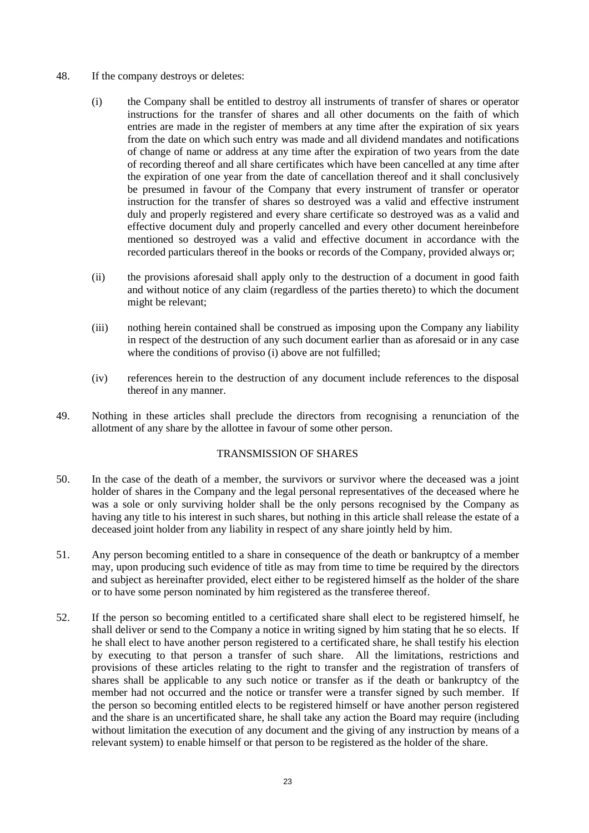- <span id="page-22-0"></span>48. If the company destroys or deletes:
	- (i) the Company shall be entitled to destroy all instruments of transfer of shares or operator instructions for the transfer of shares and all other documents on the faith of which entries are made in the register of members at any time after the expiration of six years from the date on which such entry was made and all dividend mandates and notifications of change of name or address at any time after the expiration of two years from the date of recording thereof and all share certificates which have been cancelled at any time after the expiration of one year from the date of cancellation thereof and it shall conclusively be presumed in favour of the Company that every instrument of transfer or operator instruction for the transfer of shares so destroyed was a valid and effective instrument duly and properly registered and every share certificate so destroyed was as a valid and effective document duly and properly cancelled and every other document hereinbefore mentioned so destroyed was a valid and effective document in accordance with the recorded particulars thereof in the books or records of the Company, provided always or;
	- (ii) the provisions aforesaid shall apply only to the destruction of a document in good faith and without notice of any claim (regardless of the parties thereto) to which the document might be relevant;
	- (iii) nothing herein contained shall be construed as imposing upon the Company any liability in respect of the destruction of any such document earlier than as aforesaid or in any case where the conditions of proviso [\(i\) above](#page-22-0) are not fulfilled:
	- (iv) references herein to the destruction of any document include references to the disposal thereof in any manner.
- 49. Nothing in these articles shall preclude the directors from recognising a renunciation of the allotment of any share by the allottee in favour of some other person.

## TRANSMISSION OF SHARES

- 50. In the case of the death of a member, the survivors or survivor where the deceased was a joint holder of shares in the Company and the legal personal representatives of the deceased where he was a sole or only surviving holder shall be the only persons recognised by the Company as having any title to his interest in such shares, but nothing in this article shall release the estate of a deceased joint holder from any liability in respect of any share jointly held by him.
- 51. Any person becoming entitled to a share in consequence of the death or bankruptcy of a member may, upon producing such evidence of title as may from time to time be required by the directors and subject as hereinafter provided, elect either to be registered himself as the holder of the share or to have some person nominated by him registered as the transferee thereof.
- 52. If the person so becoming entitled to a certificated share shall elect to be registered himself, he shall deliver or send to the Company a notice in writing signed by him stating that he so elects. If he shall elect to have another person registered to a certificated share, he shall testify his election by executing to that person a transfer of such share. All the limitations, restrictions and provisions of these articles relating to the right to transfer and the registration of transfers of shares shall be applicable to any such notice or transfer as if the death or bankruptcy of the member had not occurred and the notice or transfer were a transfer signed by such member. If the person so becoming entitled elects to be registered himself or have another person registered and the share is an uncertificated share, he shall take any action the Board may require (including without limitation the execution of any document and the giving of any instruction by means of a relevant system) to enable himself or that person to be registered as the holder of the share.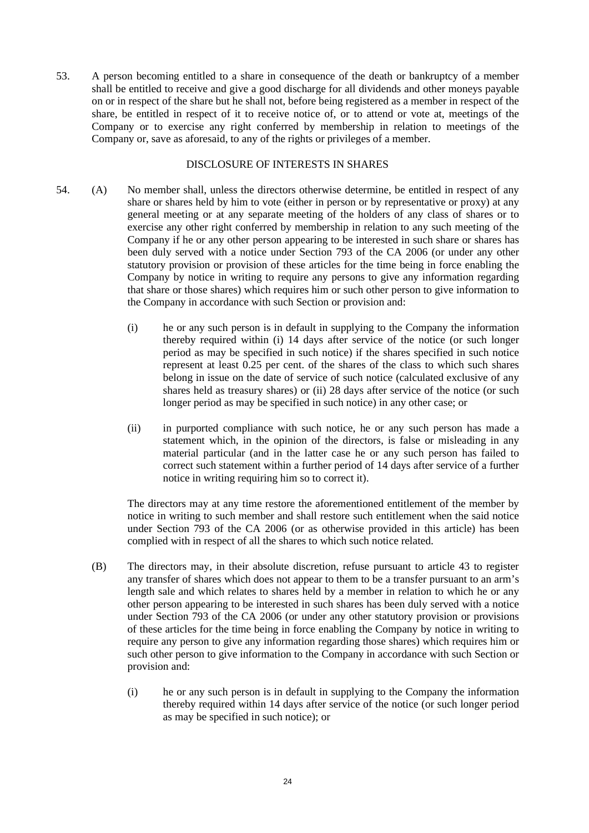53. A person becoming entitled to a share in consequence of the death or bankruptcy of a member shall be entitled to receive and give a good discharge for all dividends and other moneys payable on or in respect of the share but he shall not, before being registered as a member in respect of the share, be entitled in respect of it to receive notice of, or to attend or vote at, meetings of the Company or to exercise any right conferred by membership in relation to meetings of the Company or, save as aforesaid, to any of the rights or privileges of a member.

#### DISCLOSURE OF INTERESTS IN SHARES

- <span id="page-23-1"></span>54. (A) No member shall, unless the directors otherwise determine, be entitled in respect of any share or shares held by him to vote (either in person or by representative or proxy) at any general meeting or at any separate meeting of the holders of any class of shares or to exercise any other right conferred by membership in relation to any such meeting of the Company if he or any other person appearing to be interested in such share or shares has been duly served with a notice under Section 793 of the CA 2006 (or under any other statutory provision or provision of these articles for the time being in force enabling the Company by notice in writing to require any persons to give any information regarding that share or those shares) which requires him or such other person to give information to the Company in accordance with such Section or provision and:
	- (i) he or any such person is in default in supplying to the Company the information thereby required within (i) 14 days after service of the notice (or such longer period as may be specified in such notice) if the shares specified in such notice represent at least 0.25 per cent. of the shares of the class to which such shares belong in issue on the date of service of such notice (calculated exclusive of any shares held as treasury shares) or (ii) 28 days after service of the notice (or such longer period as may be specified in such notice) in any other case; or
	- (ii) in purported compliance with such notice, he or any such person has made a statement which, in the opinion of the directors, is false or misleading in any material particular (and in the latter case he or any such person has failed to correct such statement within a further period of 14 days after service of a further notice in writing requiring him so to correct it).

The directors may at any time restore the aforementioned entitlement of the member by notice in writing to such member and shall restore such entitlement when the said notice under Section 793 of the CA 2006 (or as otherwise provided in this article) has been complied with in respect of all the shares to which such notice related.

- <span id="page-23-0"></span>(B) The directors may, in their absolute discretion, refuse pursuant to article [43](#page-21-1) to register any transfer of shares which does not appear to them to be a transfer pursuant to an arm's length sale and which relates to shares held by a member in relation to which he or any other person appearing to be interested in such shares has been duly served with a notice under Section 793 of the CA 2006 (or under any other statutory provision or provisions of these articles for the time being in force enabling the Company by notice in writing to require any person to give any information regarding those shares) which requires him or such other person to give information to the Company in accordance with such Section or provision and:
	- (i) he or any such person is in default in supplying to the Company the information thereby required within 14 days after service of the notice (or such longer period as may be specified in such notice); or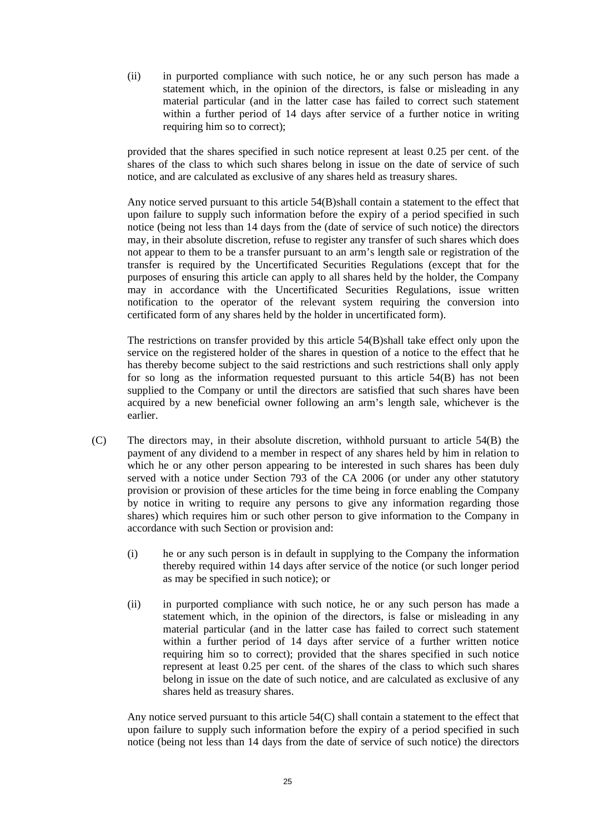(ii) in purported compliance with such notice, he or any such person has made a statement which, in the opinion of the directors, is false or misleading in any material particular (and in the latter case has failed to correct such statement within a further period of 14 days after service of a further notice in writing requiring him so to correct);

provided that the shares specified in such notice represent at least 0.25 per cent. of the shares of the class to which such shares belong in issue on the date of service of such notice, and are calculated as exclusive of any shares held as treasury shares.

Any notice served pursuant to this article [54\(B\)s](#page-23-0)hall contain a statement to the effect that upon failure to supply such information before the expiry of a period specified in such notice (being not less than 14 days from the (date of service of such notice) the directors may, in their absolute discretion, refuse to register any transfer of such shares which does not appear to them to be a transfer pursuant to an arm's length sale or registration of the transfer is required by the Uncertificated Securities Regulations (except that for the purposes of ensuring this article can apply to all shares held by the holder, the Company may in accordance with the Uncertificated Securities Regulations, issue written notification to the operator of the relevant system requiring the conversion into certificated form of any shares held by the holder in uncertificated form).

The restrictions on transfer provided by this article [54\(B\)s](#page-23-0)hall take effect only upon the service on the registered holder of the shares in question of a notice to the effect that he has thereby become subject to the said restrictions and such restrictions shall only apply for so long as the information requested pursuant to this article [54\(B\)](#page-23-0) has not been supplied to the Company or until the directors are satisfied that such shares have been acquired by a new beneficial owner following an arm's length sale, whichever is the earlier.

- <span id="page-24-0"></span>(C) The directors may, in their absolute discretion, withhold pursuant to article [54\(B\)](#page-23-0) the payment of any dividend to a member in respect of any shares held by him in relation to which he or any other person appearing to be interested in such shares has been duly served with a notice under Section 793 of the CA 2006 (or under any other statutory provision or provision of these articles for the time being in force enabling the Company by notice in writing to require any persons to give any information regarding those shares) which requires him or such other person to give information to the Company in accordance with such Section or provision and:
	- (i) he or any such person is in default in supplying to the Company the information thereby required within 14 days after service of the notice (or such longer period as may be specified in such notice); or
	- (ii) in purported compliance with such notice, he or any such person has made a statement which, in the opinion of the directors, is false or misleading in any material particular (and in the latter case has failed to correct such statement within a further period of 14 days after service of a further written notice requiring him so to correct); provided that the shares specified in such notice represent at least 0.25 per cent. of the shares of the class to which such shares belong in issue on the date of such notice, and are calculated as exclusive of any shares held as treasury shares.

Any notice served pursuant to this article [54\(C\)](#page-24-0) shall contain a statement to the effect that upon failure to supply such information before the expiry of a period specified in such notice (being not less than 14 days from the date of service of such notice) the directors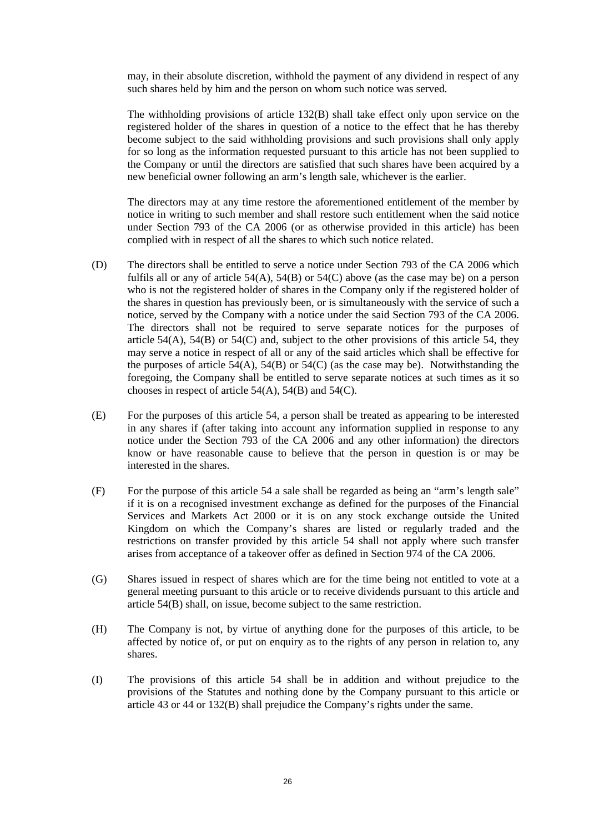may, in their absolute discretion, withhold the payment of any dividend in respect of any such shares held by him and the person on whom such notice was served.

The withholding provisions of article [132\(B\)](#page-47-1) shall take effect only upon service on the registered holder of the shares in question of a notice to the effect that he has thereby become subject to the said withholding provisions and such provisions shall only apply for so long as the information requested pursuant to this article has not been supplied to the Company or until the directors are satisfied that such shares have been acquired by a new beneficial owner following an arm's length sale, whichever is the earlier.

The directors may at any time restore the aforementioned entitlement of the member by notice in writing to such member and shall restore such entitlement when the said notice under Section 793 of the CA 2006 (or as otherwise provided in this article) has been complied with in respect of all the shares to which such notice related.

- (D) The directors shall be entitled to serve a notice under Section 793 of the CA 2006 which fulfils all or any of article  $54(A)$ ,  $54(B)$  or  $54(C)$  above (as the case may be) on a person who is not the registered holder of shares in the Company only if the registered holder of the shares in question has previously been, or is simultaneously with the service of such a notice, served by the Company with a notice under the said Section 793 of the CA 2006. The directors shall not be required to serve separate notices for the purposes of article [54\(A\),](#page-23-1) [54\(B\)](#page-23-0) or [54\(C\)](#page-24-0) and, subject to the other provisions of this article [54,](#page-23-1) they may serve a notice in respect of all or any of the said articles which shall be effective for the purposes of article  $54(A)$ ,  $54(B)$  or  $54(C)$  (as the case may be). Notwithstanding the foregoing, the Company shall be entitled to serve separate notices at such times as it so chooses in respect of article [54\(A\),](#page-23-1) [54\(B\)](#page-23-0) and [54\(C\)](#page-24-0)*.*
- (E) For the purposes of this article [54](#page-23-1)*,* a person shall be treated as appearing to be interested in any shares if (after taking into account any information supplied in response to any notice under the Section 793 of the CA 2006 and any other information) the directors know or have reasonable cause to believe that the person in question is or may be interested in the shares.
- (F) For the purpose of this article [54](#page-23-1) a sale shall be regarded as being an "arm's length sale" if it is on a recognised investment exchange as defined for the purposes of the Financial Services and Markets Act 2000 or it is on any stock exchange outside the United Kingdom on which the Company's shares are listed or regularly traded and the restrictions on transfer provided by this article [54](#page-23-1) shall not apply where such transfer arises from acceptance of a takeover offer as defined in Section 974 of the CA 2006.
- (G) Shares issued in respect of shares which are for the time being not entitled to vote at a general meeting pursuant to this article or to receive dividends pursuant to this article and article [54\(B\)](#page-23-0) shall, on issue, become subject to the same restriction.
- (H) The Company is not, by virtue of anything done for the purposes of this article, to be affected by notice of, or put on enquiry as to the rights of any person in relation to, any shares.
- (I) The provisions of this article [54](#page-23-1) shall be in addition and without prejudice to the provisions of the Statutes and nothing done by the Company pursuant to this article or article [43](#page-21-1) or [44](#page-21-2) or [132\(B\)](#page-47-1) shall prejudice the Company's rights under the same.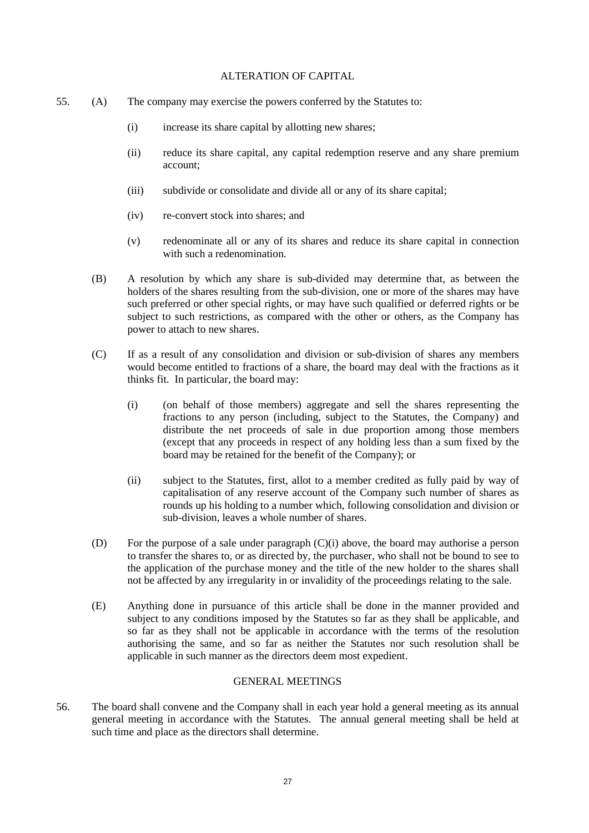#### ALTERATION OF CAPITAL

- <span id="page-26-1"></span><span id="page-26-0"></span>55. (A) The company may exercise the powers conferred by the Statutes to:
	- (i) increase its share capital by allotting new shares;
	- (ii) reduce its share capital, any capital redemption reserve and any share premium account;
	- (iii) subdivide or consolidate and divide all or any of its share capital;
	- (iv) re-convert stock into shares; and
	- (v) redenominate all or any of its shares and reduce its share capital in connection with such a redenomination.
	- (B) A resolution by which any share is sub-divided may determine that, as between the holders of the shares resulting from the sub-division, one or more of the shares may have such preferred or other special rights, or may have such qualified or deferred rights or be subject to such restrictions, as compared with the other or others, as the Company has power to attach to new shares.
	- (C) If as a result of any consolidation and division or sub-division of shares any members would become entitled to fractions of a share, the board may deal with the fractions as it thinks fit. In particular, the board may:
		- (i) (on behalf of those members) aggregate and sell the shares representing the fractions to any person (including, subject to the Statutes, the Company) and distribute the net proceeds of sale in due proportion among those members (except that any proceeds in respect of any holding less than a sum fixed by the board may be retained for the benefit of the Company); or
		- (ii) subject to the Statutes, first, allot to a member credited as fully paid by way of capitalisation of any reserve account of the Company such number of shares as rounds up his holding to a number which, following consolidation and division or sub-division, leaves a whole number of shares.
	- (D) For the purpose of a sale under paragraph [\(C\)](#page-26-0)[\(i\) above,](#page-26-1) the board may authorise a person to transfer the shares to, or as directed by, the purchaser, who shall not be bound to see to the application of the purchase money and the title of the new holder to the shares shall not be affected by any irregularity in or invalidity of the proceedings relating to the sale.
	- (E) Anything done in pursuance of this article shall be done in the manner provided and subject to any conditions imposed by the Statutes so far as they shall be applicable, and so far as they shall not be applicable in accordance with the terms of the resolution authorising the same, and so far as neither the Statutes nor such resolution shall be applicable in such manner as the directors deem most expedient.

#### GENERAL MEETINGS

56. The board shall convene and the Company shall in each year hold a general meeting as its annual general meeting in accordance with the Statutes. The annual general meeting shall be held at such time and place as the directors shall determine.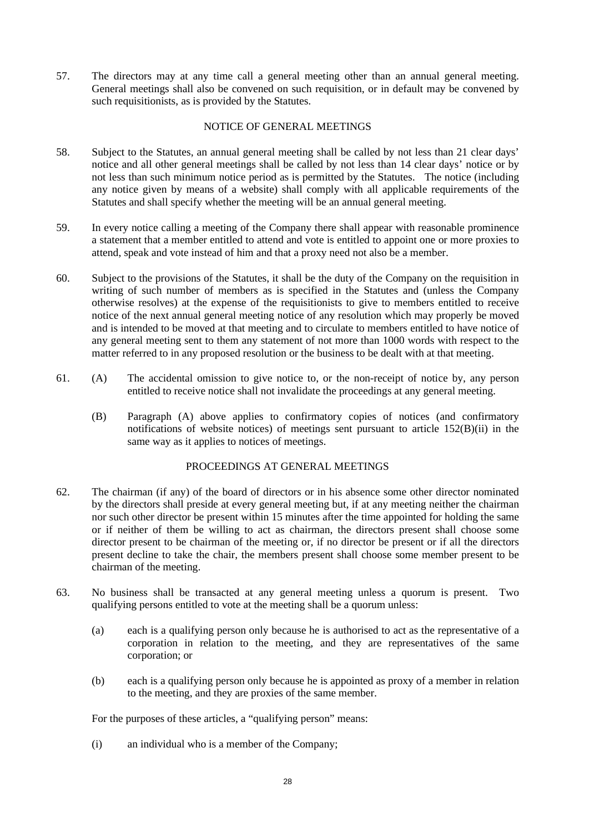57. The directors may at any time call a general meeting other than an annual general meeting. General meetings shall also be convened on such requisition, or in default may be convened by such requisitionists, as is provided by the Statutes.

## NOTICE OF GENERAL MEETINGS

- <span id="page-27-2"></span>58. Subject to the Statutes, an annual general meeting shall be called by not less than 21 clear days' notice and all other general meetings shall be called by not less than 14 clear days' notice or by not less than such minimum notice period as is permitted by the Statutes. The notice (including any notice given by means of a website) shall comply with all applicable requirements of the Statutes and shall specify whether the meeting will be an annual general meeting.
- 59. In every notice calling a meeting of the Company there shall appear with reasonable prominence a statement that a member entitled to attend and vote is entitled to appoint one or more proxies to attend, speak and vote instead of him and that a proxy need not also be a member.
- 60. Subject to the provisions of the Statutes, it shall be the duty of the Company on the requisition in writing of such number of members as is specified in the Statutes and (unless the Company otherwise resolves) at the expense of the requisitionists to give to members entitled to receive notice of the next annual general meeting notice of any resolution which may properly be moved and is intended to be moved at that meeting and to circulate to members entitled to have notice of any general meeting sent to them any statement of not more than 1000 words with respect to the matter referred to in any proposed resolution or the business to be dealt with at that meeting.
- <span id="page-27-0"></span>61. (A) The accidental omission to give notice to, or the non-receipt of notice by, any person entitled to receive notice shall not invalidate the proceedings at any general meeting.
	- (B) Paragraph [\(A\)](#page-27-0) [above](#page-27-0) applies to confirmatory copies of notices (and confirmatory notifications of website notices) of meetings sent pursuant to article [152\(B\)\(ii\)](#page-51-1) in the same way as it applies to notices of meetings.

## PROCEEDINGS AT GENERAL MEETINGS

- 62. The chairman (if any) of the board of directors or in his absence some other director nominated by the directors shall preside at every general meeting but, if at any meeting neither the chairman nor such other director be present within 15 minutes after the time appointed for holding the same or if neither of them be willing to act as chairman, the directors present shall choose some director present to be chairman of the meeting or, if no director be present or if all the directors present decline to take the chair, the members present shall choose some member present to be chairman of the meeting.
- <span id="page-27-1"></span>63. No business shall be transacted at any general meeting unless a quorum is present. Two qualifying persons entitled to vote at the meeting shall be a quorum unless:
	- (a) each is a qualifying person only because he is authorised to act as the representative of a corporation in relation to the meeting, and they are representatives of the same corporation; or
	- (b) each is a qualifying person only because he is appointed as proxy of a member in relation to the meeting, and they are proxies of the same member.

For the purposes of these articles, a "qualifying person" means:

(i) an individual who is a member of the Company;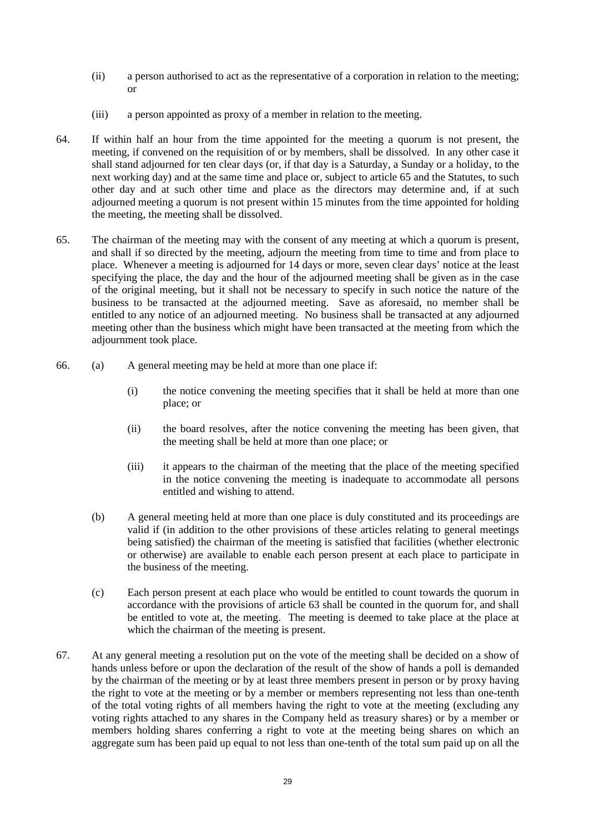- (ii) a person authorised to act as the representative of a corporation in relation to the meeting; or
- (iii) a person appointed as proxy of a member in relation to the meeting.
- 64. If within half an hour from the time appointed for the meeting a quorum is not present, the meeting, if convened on the requisition of or by members, shall be dissolved. In any other case it shall stand adjourned for ten clear days (or, if that day is a Saturday, a Sunday or a holiday, to the next working day) and at the same time and place or, subject to article [65](#page-28-0) and the Statutes, to such other day and at such other time and place as the directors may determine and, if at such adjourned meeting a quorum is not present within 15 minutes from the time appointed for holding the meeting, the meeting shall be dissolved.
- <span id="page-28-0"></span>65. The chairman of the meeting may with the consent of any meeting at which a quorum is present, and shall if so directed by the meeting, adjourn the meeting from time to time and from place to place. Whenever a meeting is adjourned for 14 days or more, seven clear days' notice at the least specifying the place, the day and the hour of the adjourned meeting shall be given as in the case of the original meeting, but it shall not be necessary to specify in such notice the nature of the business to be transacted at the adjourned meeting. Save as aforesaid, no member shall be entitled to any notice of an adjourned meeting. No business shall be transacted at any adjourned meeting other than the business which might have been transacted at the meeting from which the adjournment took place.
- 66. (a) A general meeting may be held at more than one place if:
	- (i) the notice convening the meeting specifies that it shall be held at more than one place; or
	- (ii) the board resolves, after the notice convening the meeting has been given, that the meeting shall be held at more than one place; or
	- (iii) it appears to the chairman of the meeting that the place of the meeting specified in the notice convening the meeting is inadequate to accommodate all persons entitled and wishing to attend.
	- (b) A general meeting held at more than one place is duly constituted and its proceedings are valid if (in addition to the other provisions of these articles relating to general meetings being satisfied) the chairman of the meeting is satisfied that facilities (whether electronic or otherwise) are available to enable each person present at each place to participate in the business of the meeting.
	- (c) Each person present at each place who would be entitled to count towards the quorum in accordance with the provisions of article [63](#page-27-1) shall be counted in the quorum for, and shall be entitled to vote at, the meeting. The meeting is deemed to take place at the place at which the chairman of the meeting is present.
- 67. At any general meeting a resolution put on the vote of the meeting shall be decided on a show of hands unless before or upon the declaration of the result of the show of hands a poll is demanded by the chairman of the meeting or by at least three members present in person or by proxy having the right to vote at the meeting or by a member or members representing not less than one-tenth of the total voting rights of all members having the right to vote at the meeting (excluding any voting rights attached to any shares in the Company held as treasury shares) or by a member or members holding shares conferring a right to vote at the meeting being shares on which an aggregate sum has been paid up equal to not less than one-tenth of the total sum paid up on all the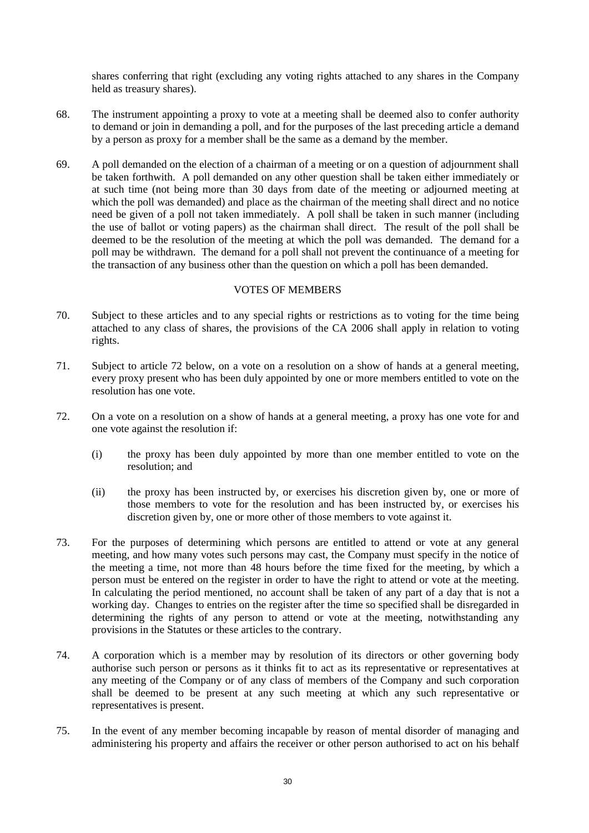shares conferring that right (excluding any voting rights attached to any shares in the Company held as treasury shares).

- 68. The instrument appointing a proxy to vote at a meeting shall be deemed also to confer authority to demand or join in demanding a poll, and for the purposes of the last preceding article a demand by a person as proxy for a member shall be the same as a demand by the member.
- 69. A poll demanded on the election of a chairman of a meeting or on a question of adjournment shall be taken forthwith. A poll demanded on any other question shall be taken either immediately or at such time (not being more than 30 days from date of the meeting or adjourned meeting at which the poll was demanded) and place as the chairman of the meeting shall direct and no notice need be given of a poll not taken immediately. A poll shall be taken in such manner (including the use of ballot or voting papers) as the chairman shall direct. The result of the poll shall be deemed to be the resolution of the meeting at which the poll was demanded. The demand for a poll may be withdrawn. The demand for a poll shall not prevent the continuance of a meeting for the transaction of any business other than the question on which a poll has been demanded.

## VOTES OF MEMBERS

- 70. Subject to these articles and to any special rights or restrictions as to voting for the time being attached to any class of shares, the provisions of the CA 2006 shall apply in relation to voting rights.
- 71. Subject to article [72 below,](#page-29-0) on a vote on a resolution on a show of hands at a general meeting, every proxy present who has been duly appointed by one or more members entitled to vote on the resolution has one vote.
- <span id="page-29-0"></span>72. On a vote on a resolution on a show of hands at a general meeting, a proxy has one vote for and one vote against the resolution if:
	- (i) the proxy has been duly appointed by more than one member entitled to vote on the resolution; and
	- (ii) the proxy has been instructed by, or exercises his discretion given by, one or more of those members to vote for the resolution and has been instructed by, or exercises his discretion given by, one or more other of those members to vote against it.
- 73. For the purposes of determining which persons are entitled to attend or vote at any general meeting, and how many votes such persons may cast, the Company must specify in the notice of the meeting a time, not more than 48 hours before the time fixed for the meeting, by which a person must be entered on the register in order to have the right to attend or vote at the meeting. In calculating the period mentioned, no account shall be taken of any part of a day that is not a working day. Changes to entries on the register after the time so specified shall be disregarded in determining the rights of any person to attend or vote at the meeting, notwithstanding any provisions in the Statutes or these articles to the contrary.
- 74. A corporation which is a member may by resolution of its directors or other governing body authorise such person or persons as it thinks fit to act as its representative or representatives at any meeting of the Company or of any class of members of the Company and such corporation shall be deemed to be present at any such meeting at which any such representative or representatives is present.
- 75. In the event of any member becoming incapable by reason of mental disorder of managing and administering his property and affairs the receiver or other person authorised to act on his behalf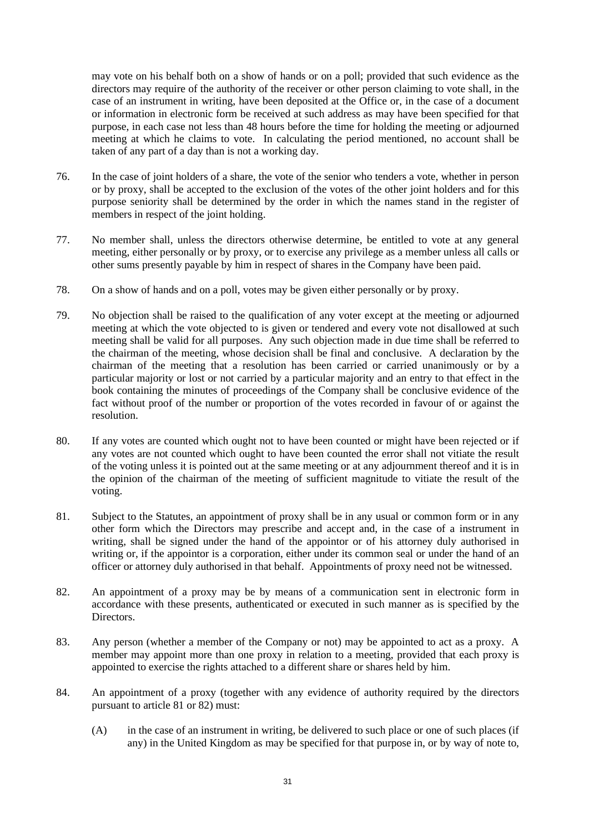may vote on his behalf both on a show of hands or on a poll; provided that such evidence as the directors may require of the authority of the receiver or other person claiming to vote shall, in the case of an instrument in writing, have been deposited at the Office or, in the case of a document or information in electronic form be received at such address as may have been specified for that purpose, in each case not less than 48 hours before the time for holding the meeting or adjourned meeting at which he claims to vote. In calculating the period mentioned, no account shall be taken of any part of a day than is not a working day.

- 76. In the case of joint holders of a share, the vote of the senior who tenders a vote, whether in person or by proxy, shall be accepted to the exclusion of the votes of the other joint holders and for this purpose seniority shall be determined by the order in which the names stand in the register of members in respect of the joint holding.
- 77. No member shall, unless the directors otherwise determine, be entitled to vote at any general meeting, either personally or by proxy, or to exercise any privilege as a member unless all calls or other sums presently payable by him in respect of shares in the Company have been paid.
- 78. On a show of hands and on a poll, votes may be given either personally or by proxy.
- 79. No objection shall be raised to the qualification of any voter except at the meeting or adjourned meeting at which the vote objected to is given or tendered and every vote not disallowed at such meeting shall be valid for all purposes. Any such objection made in due time shall be referred to the chairman of the meeting, whose decision shall be final and conclusive. A declaration by the chairman of the meeting that a resolution has been carried or carried unanimously or by a particular majority or lost or not carried by a particular majority and an entry to that effect in the book containing the minutes of proceedings of the Company shall be conclusive evidence of the fact without proof of the number or proportion of the votes recorded in favour of or against the resolution.
- 80. If any votes are counted which ought not to have been counted or might have been rejected or if any votes are not counted which ought to have been counted the error shall not vitiate the result of the voting unless it is pointed out at the same meeting or at any adjournment thereof and it is in the opinion of the chairman of the meeting of sufficient magnitude to vitiate the result of the voting.
- <span id="page-30-0"></span>81. Subject to the Statutes, an appointment of proxy shall be in any usual or common form or in any other form which the Directors may prescribe and accept and, in the case of a instrument in writing, shall be signed under the hand of the appointor or of his attorney duly authorised in writing or, if the appointor is a corporation, either under its common seal or under the hand of an officer or attorney duly authorised in that behalf. Appointments of proxy need not be witnessed.
- <span id="page-30-1"></span>82. An appointment of a proxy may be by means of a communication sent in electronic form in accordance with these presents, authenticated or executed in such manner as is specified by the Directors.
- 83. Any person (whether a member of the Company or not) may be appointed to act as a proxy. A member may appoint more than one proxy in relation to a meeting, provided that each proxy is appointed to exercise the rights attached to a different share or shares held by him.
- <span id="page-30-3"></span><span id="page-30-2"></span>84. An appointment of a proxy (together with any evidence of authority required by the directors pursuant to article [81](#page-30-0) o[r 82\)](#page-30-1) must:
	- (A) in the case of an instrument in writing, be delivered to such place or one of such places (if any) in the United Kingdom as may be specified for that purpose in, or by way of note to,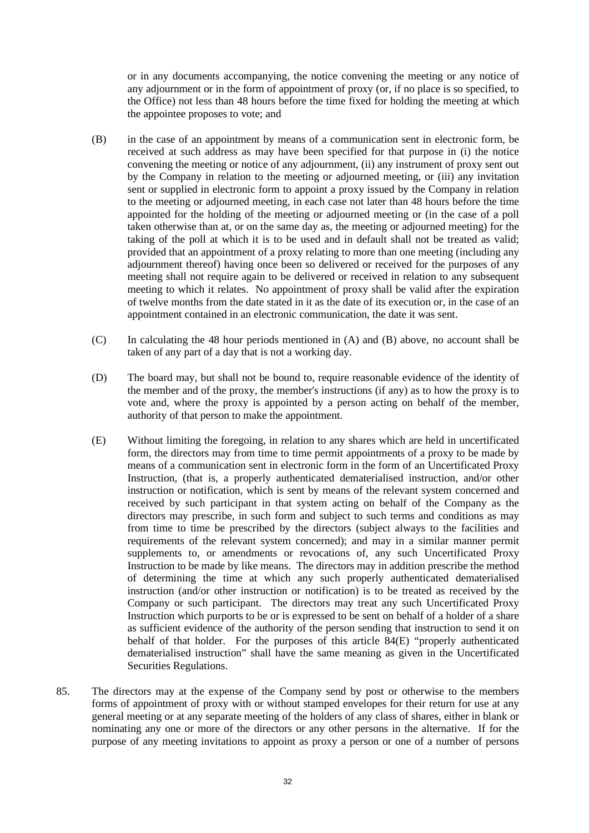or in any documents accompanying, the notice convening the meeting or any notice of any adjournment or in the form of appointment of proxy (or, if no place is so specified, to the Office) not less than 48 hours before the time fixed for holding the meeting at which the appointee proposes to vote; and

- <span id="page-31-0"></span>(B) in the case of an appointment by means of a communication sent in electronic form, be received at such address as may have been specified for that purpose in (i) the notice convening the meeting or notice of any adjournment, (ii) any instrument of proxy sent out by the Company in relation to the meeting or adjourned meeting, or (iii) any invitation sent or supplied in electronic form to appoint a proxy issued by the Company in relation to the meeting or adjourned meeting, in each case not later than 48 hours before the time appointed for the holding of the meeting or adjourned meeting or (in the case of a poll taken otherwise than at, or on the same day as, the meeting or adjourned meeting) for the taking of the poll at which it is to be used and in default shall not be treated as valid; provided that an appointment of a proxy relating to more than one meeting (including any adjournment thereof) having once been so delivered or received for the purposes of any meeting shall not require again to be delivered or received in relation to any subsequent meeting to which it relates. No appointment of proxy shall be valid after the expiration of twelve months from the date stated in it as the date of its execution or, in the case of an appointment contained in an electronic communication, the date it was sent.
- (C) In calculating the 48 hour periods mentioned in [\(A\)](#page-30-2) and [\(B\) above,](#page-31-0) no account shall be taken of any part of a day that is not a working day.
- (D) The board may, but shall not be bound to, require reasonable evidence of the identity of the member and of the proxy, the member's instructions (if any) as to how the proxy is to vote and, where the proxy is appointed by a person acting on behalf of the member, authority of that person to make the appointment.
- <span id="page-31-1"></span>(E) Without limiting the foregoing, in relation to any shares which are held in uncertificated form, the directors may from time to time permit appointments of a proxy to be made by means of a communication sent in electronic form in the form of an Uncertificated Proxy Instruction, (that is, a properly authenticated dematerialised instruction, and/or other instruction or notification, which is sent by means of the relevant system concerned and received by such participant in that system acting on behalf of the Company as the directors may prescribe, in such form and subject to such terms and conditions as may from time to time be prescribed by the directors (subject always to the facilities and requirements of the relevant system concerned); and may in a similar manner permit supplements to, or amendments or revocations of, any such Uncertificated Proxy Instruction to be made by like means. The directors may in addition prescribe the method of determining the time at which any such properly authenticated dematerialised instruction (and/or other instruction or notification) is to be treated as received by the Company or such participant. The directors may treat any such Uncertificated Proxy Instruction which purports to be or is expressed to be sent on behalf of a holder of a share as sufficient evidence of the authority of the person sending that instruction to send it on behalf of that holder. For the purposes of this article [84](#page-30-3)[\(E\)](#page-31-1) "properly authenticated dematerialised instruction" shall have the same meaning as given in the Uncertificated Securities Regulations.
- 85. The directors may at the expense of the Company send by post or otherwise to the members forms of appointment of proxy with or without stamped envelopes for their return for use at any general meeting or at any separate meeting of the holders of any class of shares, either in blank or nominating any one or more of the directors or any other persons in the alternative. If for the purpose of any meeting invitations to appoint as proxy a person or one of a number of persons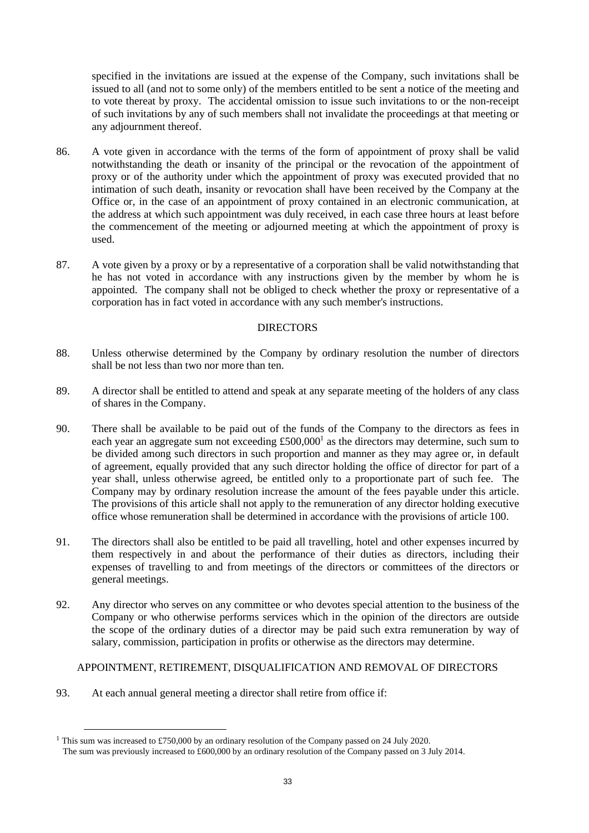specified in the invitations are issued at the expense of the Company, such invitations shall be issued to all (and not to some only) of the members entitled to be sent a notice of the meeting and to vote thereat by proxy. The accidental omission to issue such invitations to or the non-receipt of such invitations by any of such members shall not invalidate the proceedings at that meeting or any adjournment thereof.

- 86. A vote given in accordance with the terms of the form of appointment of proxy shall be valid notwithstanding the death or insanity of the principal or the revocation of the appointment of proxy or of the authority under which the appointment of proxy was executed provided that no intimation of such death, insanity or revocation shall have been received by the Company at the Office or, in the case of an appointment of proxy contained in an electronic communication, at the address at which such appointment was duly received, in each case three hours at least before the commencement of the meeting or adjourned meeting at which the appointment of proxy is used.
- 87. A vote given by a proxy or by a representative of a corporation shall be valid notwithstanding that he has not voted in accordance with any instructions given by the member by whom he is appointed. The company shall not be obliged to check whether the proxy or representative of a corporation has in fact voted in accordance with any such member's instructions.

## DIRECTORS

- 88. Unless otherwise determined by the Company by ordinary resolution the number of directors shall be not less than two nor more than ten.
- 89. A director shall be entitled to attend and speak at any separate meeting of the holders of any class of shares in the Company.
- 90. There shall be available to be paid out of the funds of the Company to the directors as fees in each year an aggregate sum not exceeding £500,000<sup>1</sup> as the directors may determine, such sum to be divided among such directors in such proportion and manner as they may agree or, in default of agreement, equally provided that any such director holding the office of director for part of a year shall, unless otherwise agreed, be entitled only to a proportionate part of such fee. The Company may by ordinary resolution increase the amount of the fees payable under this article. The provisions of this article shall not apply to the remuneration of any director holding executive office whose remuneration shall be determined in accordance with the provisions of article [100.](#page-34-0)
- 91. The directors shall also be entitled to be paid all travelling, hotel and other expenses incurred by them respectively in and about the performance of their duties as directors, including their expenses of travelling to and from meetings of the directors or committees of the directors or general meetings.
- 92. Any director who serves on any committee or who devotes special attention to the business of the Company or who otherwise performs services which in the opinion of the directors are outside the scope of the ordinary duties of a director may be paid such extra remuneration by way of salary, commission, participation in profits or otherwise as the directors may determine.

# APPOINTMENT, RETIREMENT, DISQUALIFICATION AND REMOVAL OF DIRECTORS

<span id="page-32-0"></span>93. At each annual general meeting a director shall retire from office if:

<sup>1</sup> This sum was increased to £750,000 by an ordinary resolution of the Company passed on 24 July 2020.

The sum was previously increased to £600,000 by an ordinary resolution of the Company passed on 3 July 2014.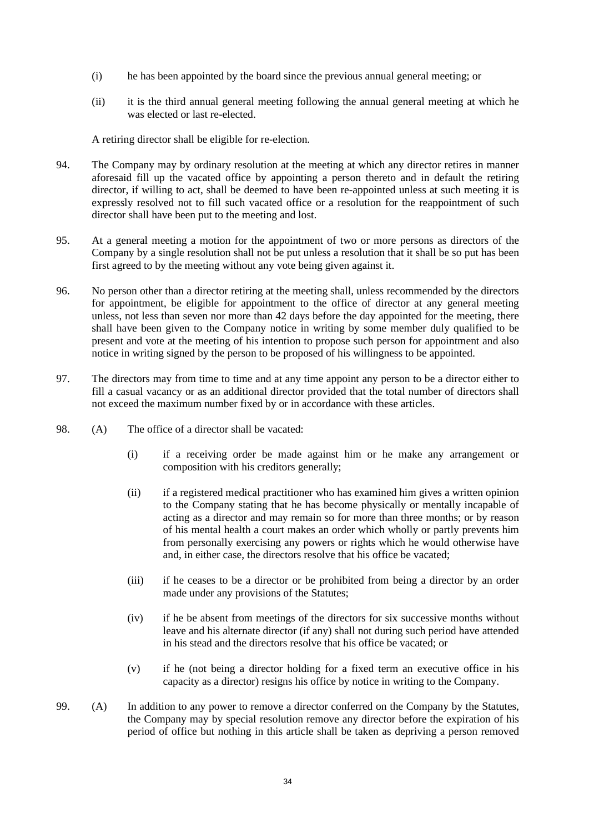- (i) he has been appointed by the board since the previous annual general meeting; or
- (ii) it is the third annual general meeting following the annual general meeting at which he was elected or last re-elected.

A retiring director shall be eligible for re-election.

- 94. The Company may by ordinary resolution at the meeting at which any director retires in manner aforesaid fill up the vacated office by appointing a person thereto and in default the retiring director, if willing to act, shall be deemed to have been re-appointed unless at such meeting it is expressly resolved not to fill such vacated office or a resolution for the reappointment of such director shall have been put to the meeting and lost.
- 95. At a general meeting a motion for the appointment of two or more persons as directors of the Company by a single resolution shall not be put unless a resolution that it shall be so put has been first agreed to by the meeting without any vote being given against it.
- 96. No person other than a director retiring at the meeting shall, unless recommended by the directors for appointment, be eligible for appointment to the office of director at any general meeting unless, not less than seven nor more than 42 days before the day appointed for the meeting, there shall have been given to the Company notice in writing by some member duly qualified to be present and vote at the meeting of his intention to propose such person for appointment and also notice in writing signed by the person to be proposed of his willingness to be appointed.
- <span id="page-33-0"></span>97. The directors may from time to time and at any time appoint any person to be a director either to fill a casual vacancy or as an additional director provided that the total number of directors shall not exceed the maximum number fixed by or in accordance with these articles.
- 98. (A) The office of a director shall be vacated:
	- (i) if a receiving order be made against him or he make any arrangement or composition with his creditors generally;
	- (ii) if a registered medical practitioner who has examined him gives a written opinion to the Company stating that he has become physically or mentally incapable of acting as a director and may remain so for more than three months; or by reason of his mental health a court makes an order which wholly or partly prevents him from personally exercising any powers or rights which he would otherwise have and, in either case, the directors resolve that his office be vacated;
	- (iii) if he ceases to be a director or be prohibited from being a director by an order made under any provisions of the Statutes;
	- (iv) if he be absent from meetings of the directors for six successive months without leave and his alternate director (if any) shall not during such period have attended in his stead and the directors resolve that his office be vacated; or
	- (v) if he (not being a director holding for a fixed term an executive office in his capacity as a director) resigns his office by notice in writing to the Company.
- 99. (A) In addition to any power to remove a director conferred on the Company by the Statutes, the Company may by special resolution remove any director before the expiration of his period of office but nothing in this article shall be taken as depriving a person removed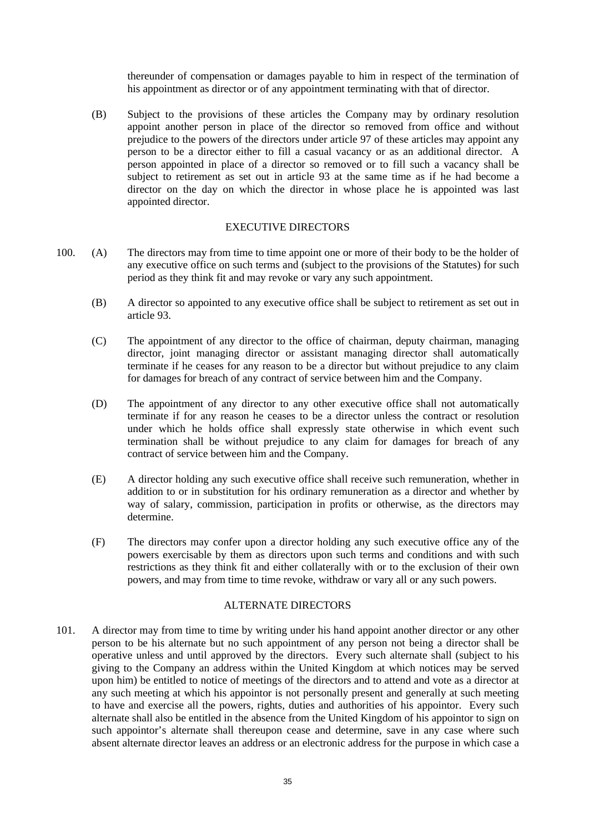thereunder of compensation or damages payable to him in respect of the termination of his appointment as director or of any appointment terminating with that of director.

(B) Subject to the provisions of these articles the Company may by ordinary resolution appoint another person in place of the director so removed from office and without prejudice to the powers of the directors under article [97](#page-33-0) of these articles may appoint any person to be a director either to fill a casual vacancy or as an additional director. A person appointed in place of a director so removed or to fill such a vacancy shall be subject to retirement as set out in article [93](#page-32-0) at the same time as if he had become a director on the day on which the director in whose place he is appointed was last appointed director.

## EXECUTIVE DIRECTORS

- <span id="page-34-0"></span>100. (A) The directors may from time to time appoint one or more of their body to be the holder of any executive office on such terms and (subject to the provisions of the Statutes) for such period as they think fit and may revoke or vary any such appointment.
	- (B) A director so appointed to any executive office shall be subject to retirement as set out in article [93.](#page-32-0)
	- (C) The appointment of any director to the office of chairman, deputy chairman, managing director, joint managing director or assistant managing director shall automatically terminate if he ceases for any reason to be a director but without prejudice to any claim for damages for breach of any contract of service between him and the Company.
	- (D) The appointment of any director to any other executive office shall not automatically terminate if for any reason he ceases to be a director unless the contract or resolution under which he holds office shall expressly state otherwise in which event such termination shall be without prejudice to any claim for damages for breach of any contract of service between him and the Company.
	- (E) A director holding any such executive office shall receive such remuneration, whether in addition to or in substitution for his ordinary remuneration as a director and whether by way of salary, commission, participation in profits or otherwise, as the directors may determine.
	- (F) The directors may confer upon a director holding any such executive office any of the powers exercisable by them as directors upon such terms and conditions and with such restrictions as they think fit and either collaterally with or to the exclusion of their own powers, and may from time to time revoke, withdraw or vary all or any such powers.

## ALTERNATE DIRECTORS

101. A director may from time to time by writing under his hand appoint another director or any other person to be his alternate but no such appointment of any person not being a director shall be operative unless and until approved by the directors. Every such alternate shall (subject to his giving to the Company an address within the United Kingdom at which notices may be served upon him) be entitled to notice of meetings of the directors and to attend and vote as a director at any such meeting at which his appointor is not personally present and generally at such meeting to have and exercise all the powers, rights, duties and authorities of his appointor. Every such alternate shall also be entitled in the absence from the United Kingdom of his appointor to sign on such appointor's alternate shall thereupon cease and determine, save in any case where such absent alternate director leaves an address or an electronic address for the purpose in which case a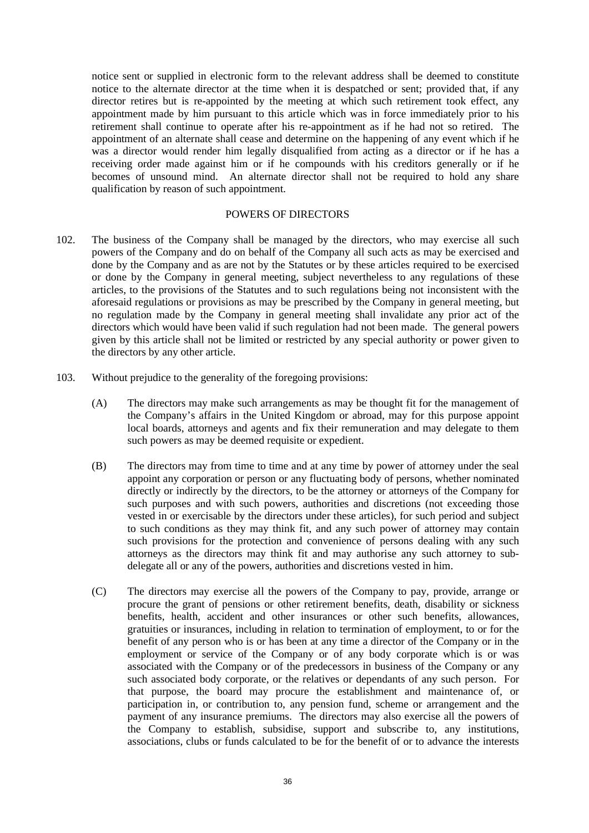notice sent or supplied in electronic form to the relevant address shall be deemed to constitute notice to the alternate director at the time when it is despatched or sent; provided that, if any director retires but is re-appointed by the meeting at which such retirement took effect, any appointment made by him pursuant to this article which was in force immediately prior to his retirement shall continue to operate after his re-appointment as if he had not so retired. The appointment of an alternate shall cease and determine on the happening of any event which if he was a director would render him legally disqualified from acting as a director or if he has a receiving order made against him or if he compounds with his creditors generally or if he becomes of unsound mind. An alternate director shall not be required to hold any share qualification by reason of such appointment.

#### POWERS OF DIRECTORS

- 102. The business of the Company shall be managed by the directors, who may exercise all such powers of the Company and do on behalf of the Company all such acts as may be exercised and done by the Company and as are not by the Statutes or by these articles required to be exercised or done by the Company in general meeting, subject nevertheless to any regulations of these articles, to the provisions of the Statutes and to such regulations being not inconsistent with the aforesaid regulations or provisions as may be prescribed by the Company in general meeting, but no regulation made by the Company in general meeting shall invalidate any prior act of the directors which would have been valid if such regulation had not been made. The general powers given by this article shall not be limited or restricted by any special authority or power given to the directors by any other article.
- 103. Without prejudice to the generality of the foregoing provisions:
	- (A) The directors may make such arrangements as may be thought fit for the management of the Company's affairs in the United Kingdom or abroad, may for this purpose appoint local boards, attorneys and agents and fix their remuneration and may delegate to them such powers as may be deemed requisite or expedient.
	- (B) The directors may from time to time and at any time by power of attorney under the seal appoint any corporation or person or any fluctuating body of persons, whether nominated directly or indirectly by the directors, to be the attorney or attorneys of the Company for such purposes and with such powers, authorities and discretions (not exceeding those vested in or exercisable by the directors under these articles), for such period and subject to such conditions as they may think fit, and any such power of attorney may contain such provisions for the protection and convenience of persons dealing with any such attorneys as the directors may think fit and may authorise any such attorney to subdelegate all or any of the powers, authorities and discretions vested in him.
	- (C) The directors may exercise all the powers of the Company to pay, provide, arrange or procure the grant of pensions or other retirement benefits, death, disability or sickness benefits, health, accident and other insurances or other such benefits, allowances, gratuities or insurances, including in relation to termination of employment, to or for the benefit of any person who is or has been at any time a director of the Company or in the employment or service of the Company or of any body corporate which is or was associated with the Company or of the predecessors in business of the Company or any such associated body corporate, or the relatives or dependants of any such person. For that purpose, the board may procure the establishment and maintenance of, or participation in, or contribution to, any pension fund, scheme or arrangement and the payment of any insurance premiums. The directors may also exercise all the powers of the Company to establish, subsidise, support and subscribe to, any institutions, associations, clubs or funds calculated to be for the benefit of or to advance the interests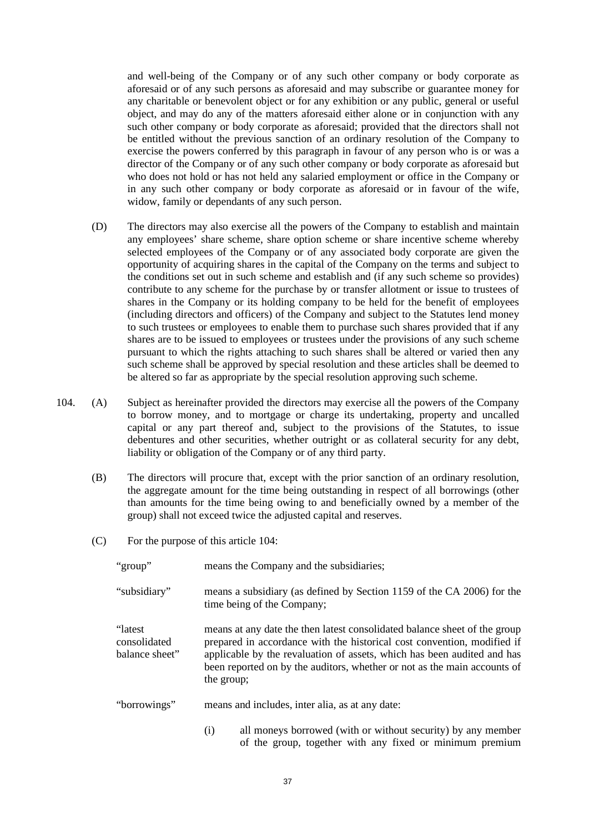and well-being of the Company or of any such other company or body corporate as aforesaid or of any such persons as aforesaid and may subscribe or guarantee money for any charitable or benevolent object or for any exhibition or any public, general or useful object, and may do any of the matters aforesaid either alone or in conjunction with any such other company or body corporate as aforesaid; provided that the directors shall not be entitled without the previous sanction of an ordinary resolution of the Company to exercise the powers conferred by this paragraph in favour of any person who is or was a director of the Company or of any such other company or body corporate as aforesaid but who does not hold or has not held any salaried employment or office in the Company or in any such other company or body corporate as aforesaid or in favour of the wife, widow, family or dependants of any such person.

- (D) The directors may also exercise all the powers of the Company to establish and maintain any employees' share scheme, share option scheme or share incentive scheme whereby selected employees of the Company or of any associated body corporate are given the opportunity of acquiring shares in the capital of the Company on the terms and subject to the conditions set out in such scheme and establish and (if any such scheme so provides) contribute to any scheme for the purchase by or transfer allotment or issue to trustees of shares in the Company or its holding company to be held for the benefit of employees (including directors and officers) of the Company and subject to the Statutes lend money to such trustees or employees to enable them to purchase such shares provided that if any shares are to be issued to employees or trustees under the provisions of any such scheme pursuant to which the rights attaching to such shares shall be altered or varied then any such scheme shall be approved by special resolution and these articles shall be deemed to be altered so far as appropriate by the special resolution approving such scheme.
- <span id="page-36-1"></span><span id="page-36-0"></span>104. (A) Subject as hereinafter provided the directors may exercise all the powers of the Company to borrow money, and to mortgage or charge its undertaking, property and uncalled capital or any part thereof and, subject to the provisions of the Statutes, to issue debentures and other securities, whether outright or as collateral security for any debt, liability or obligation of the Company or of any third party.
	- (B) The directors will procure that, except with the prior sanction of an ordinary resolution, the aggregate amount for the time being outstanding in respect of all borrowings (other than amounts for the time being owing to and beneficially owned by a member of the group) shall not exceed twice the adjusted capital and reserves.
	- (C) For the purpose of this article [104:](#page-36-0)

| "group"                                    | means the Company and the subsidiaries;                                                                                                                                                                                                                                                                                   |
|--------------------------------------------|---------------------------------------------------------------------------------------------------------------------------------------------------------------------------------------------------------------------------------------------------------------------------------------------------------------------------|
| "subsidiary"                               | means a subsidiary (as defined by Section 1159 of the CA 2006) for the<br>time being of the Company;                                                                                                                                                                                                                      |
| "latest"<br>consolidated<br>balance sheet" | means at any date the then latest consolidated balance sheet of the group<br>prepared in accordance with the historical cost convention, modified if<br>applicable by the revaluation of assets, which has been audited and has<br>been reported on by the auditors, whether or not as the main accounts of<br>the group; |
| "borrowings"                               | means and includes, inter alia, as at any date:                                                                                                                                                                                                                                                                           |
|                                            | all moneys borrowed (with or without security) by any member<br>(i)<br>of the group, together with any fixed or minimum premium                                                                                                                                                                                           |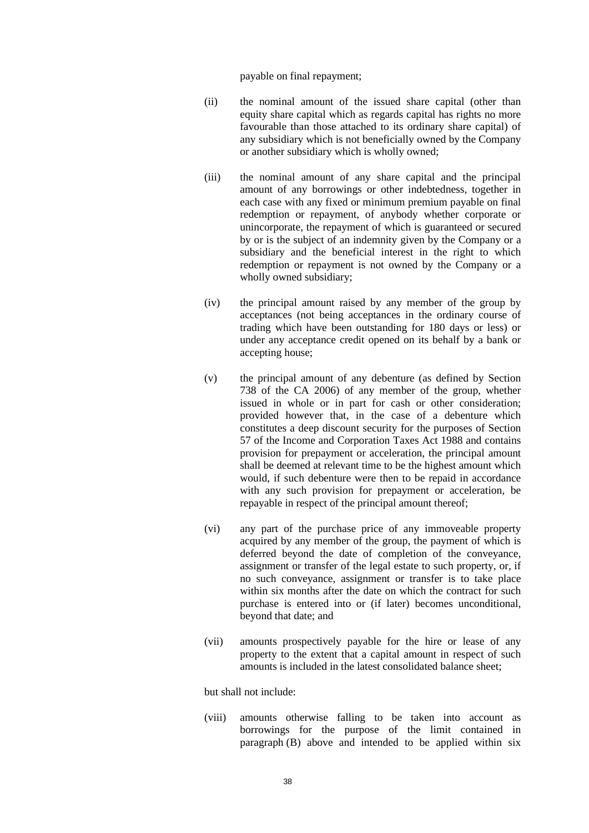payable on final repayment;

- (ii) the nominal amount of the issued share capital (other than equity share capital which as regards capital has rights no more favourable than those attached to its ordinary share capital) of any subsidiary which is not beneficially owned by the Company or another subsidiary which is wholly owned;
- (iii) the nominal amount of any share capital and the principal amount of any borrowings or other indebtedness, together in each case with any fixed or minimum premium payable on final redemption or repayment, of anybody whether corporate or unincorporate, the repayment of which is guaranteed or secured by or is the subject of an indemnity given by the Company or a subsidiary and the beneficial interest in the right to which redemption or repayment is not owned by the Company or a wholly owned subsidiary;
- (iv) the principal amount raised by any member of the group by acceptances (not being acceptances in the ordinary course of trading which have been outstanding for 180 days or less) or under any acceptance credit opened on its behalf by a bank or accepting house;
- (v) the principal amount of any debenture (as defined by Section 738 of the CA 2006) of any member of the group, whether issued in whole or in part for cash or other consideration; provided however that, in the case of a debenture which constitutes a deep discount security for the purposes of Section 57 of the Income and Corporation Taxes Act 1988 and contains provision for prepayment or acceleration, the principal amount shall be deemed at relevant time to be the highest amount which would, if such debenture were then to be repaid in accordance with any such provision for prepayment or acceleration, be repayable in respect of the principal amount thereof;
- (vi) any part of the purchase price of any immoveable property acquired by any member of the group, the payment of which is deferred beyond the date of completion of the conveyance, assignment or transfer of the legal estate to such property, or, if no such conveyance, assignment or transfer is to take place within six months after the date on which the contract for such purchase is entered into or (if later) becomes unconditional, beyond that date; and
- (vii) amounts prospectively payable for the hire or lease of any property to the extent that a capital amount in respect of such amounts is included in the latest consolidated balance sheet;

but shall not include:

(viii) amounts otherwise falling to be taken into account as borrowings for the purpose of the limit contained in paragraph [\(B\) above](#page-36-1) and intended to be applied within six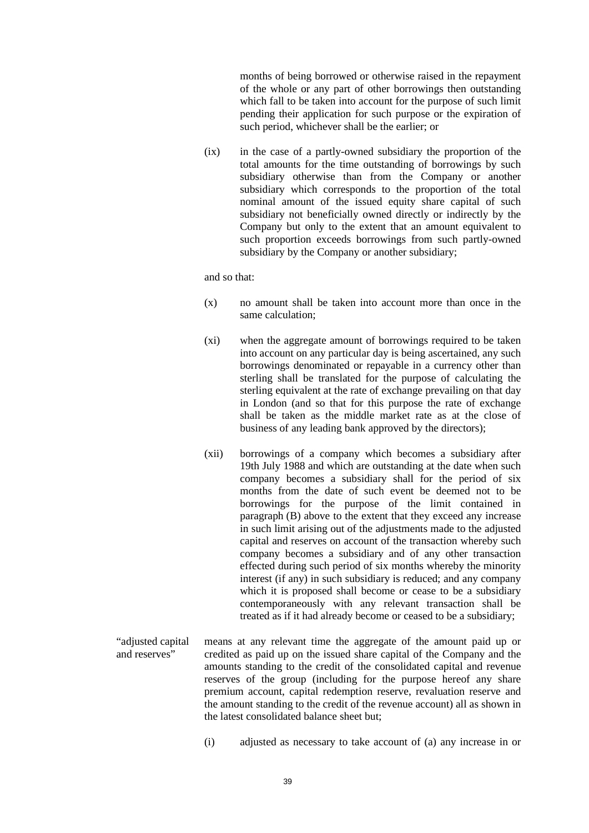months of being borrowed or otherwise raised in the repayment of the whole or any part of other borrowings then outstanding which fall to be taken into account for the purpose of such limit pending their application for such purpose or the expiration of such period, whichever shall be the earlier; or

(ix) in the case of a partly-owned subsidiary the proportion of the total amounts for the time outstanding of borrowings by such subsidiary otherwise than from the Company or another subsidiary which corresponds to the proportion of the total nominal amount of the issued equity share capital of such subsidiary not beneficially owned directly or indirectly by the Company but only to the extent that an amount equivalent to such proportion exceeds borrowings from such partly-owned subsidiary by the Company or another subsidiary;

and so that:

- (x) no amount shall be taken into account more than once in the same calculation;
- (xi) when the aggregate amount of borrowings required to be taken into account on any particular day is being ascertained, any such borrowings denominated or repayable in a currency other than sterling shall be translated for the purpose of calculating the sterling equivalent at the rate of exchange prevailing on that day in London (and so that for this purpose the rate of exchange shall be taken as the middle market rate as at the close of business of any leading bank approved by the directors);
- (xii) borrowings of a company which becomes a subsidiary after 19th July 1988 and which are outstanding at the date when such company becomes a subsidiary shall for the period of six months from the date of such event be deemed not to be borrowings for the purpose of the limit contained in paragraph [\(B\) above](#page-36-1) to the extent that they exceed any increase in such limit arising out of the adjustments made to the adjusted capital and reserves on account of the transaction whereby such company becomes a subsidiary and of any other transaction effected during such period of six months whereby the minority interest (if any) in such subsidiary is reduced; and any company which it is proposed shall become or cease to be a subsidiary contemporaneously with any relevant transaction shall be treated as if it had already become or ceased to be a subsidiary;
- "adjusted capital and reserves" means at any relevant time the aggregate of the amount paid up or credited as paid up on the issued share capital of the Company and the amounts standing to the credit of the consolidated capital and revenue reserves of the group (including for the purpose hereof any share premium account, capital redemption reserve, revaluation reserve and the amount standing to the credit of the revenue account) all as shown in the latest consolidated balance sheet but;
	- (i) adjusted as necessary to take account of (a) any increase in or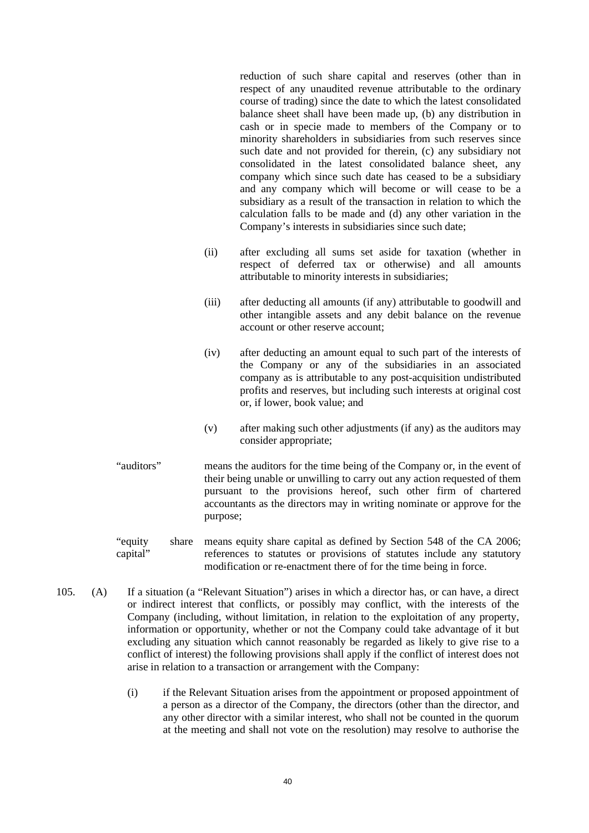reduction of such share capital and reserves (other than in respect of any unaudited revenue attributable to the ordinary course of trading) since the date to which the latest consolidated balance sheet shall have been made up, (b) any distribution in cash or in specie made to members of the Company or to minority shareholders in subsidiaries from such reserves since such date and not provided for therein, (c) any subsidiary not consolidated in the latest consolidated balance sheet, any company which since such date has ceased to be a subsidiary and any company which will become or will cease to be a subsidiary as a result of the transaction in relation to which the calculation falls to be made and (d) any other variation in the Company's interests in subsidiaries since such date;

- (ii) after excluding all sums set aside for taxation (whether in respect of deferred tax or otherwise) and all amounts attributable to minority interests in subsidiaries;
- (iii) after deducting all amounts (if any) attributable to goodwill and other intangible assets and any debit balance on the revenue account or other reserve account;
- (iv) after deducting an amount equal to such part of the interests of the Company or any of the subsidiaries in an associated company as is attributable to any post-acquisition undistributed profits and reserves, but including such interests at original cost or, if lower, book value; and
- (v) after making such other adjustments (if any) as the auditors may consider appropriate;
- "auditors" means the auditors for the time being of the Company or, in the event of their being unable or unwilling to carry out any action requested of them pursuant to the provisions hereof, such other firm of chartered accountants as the directors may in writing nominate or approve for the purpose;
- "equity share capital" means equity share capital as defined by Section 548 of the CA 2006; references to statutes or provisions of statutes include any statutory modification or re-enactment there of for the time being in force.
- <span id="page-39-1"></span><span id="page-39-0"></span>105. (A) If a situation (a "Relevant Situation") arises in which a director has, or can have, a direct or indirect interest that conflicts, or possibly may conflict, with the interests of the Company (including, without limitation, in relation to the exploitation of any property, information or opportunity, whether or not the Company could take advantage of it but excluding any situation which cannot reasonably be regarded as likely to give rise to a conflict of interest) the following provisions shall apply if the conflict of interest does not arise in relation to a transaction or arrangement with the Company:
	- (i) if the Relevant Situation arises from the appointment or proposed appointment of a person as a director of the Company, the directors (other than the director, and any other director with a similar interest, who shall not be counted in the quorum at the meeting and shall not vote on the resolution) may resolve to authorise the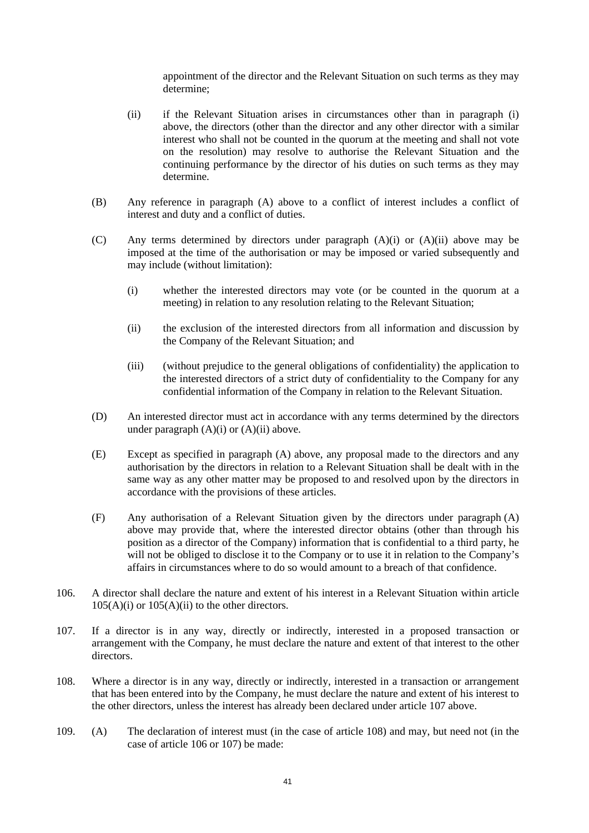appointment of the director and the Relevant Situation on such terms as they may determine;

- <span id="page-40-0"></span>(ii) if the Relevant Situation arises in circumstances other than in paragraph [\(i\)](#page-39-0)  [above,](#page-39-0) the directors (other than the director and any other director with a similar interest who shall not be counted in the quorum at the meeting and shall not vote on the resolution) may resolve to authorise the Relevant Situation and the continuing performance by the director of his duties on such terms as they may determine.
- (B) Any reference in paragraph [\(A\)](#page-39-1) [above](#page-39-1) to a conflict of interest includes a conflict of interest and duty and a conflict of duties.
- (C) Any terms determined by directors under paragraph [\(A\)\(i\)](#page-39-0) or [\(A\)\(ii\) above](#page-40-0) may be imposed at the time of the authorisation or may be imposed or varied subsequently and may include (without limitation):
	- (i) whether the interested directors may vote (or be counted in the quorum at a meeting) in relation to any resolution relating to the Relevant Situation;
	- (ii) the exclusion of the interested directors from all information and discussion by the Company of the Relevant Situation; and
	- (iii) (without prejudice to the general obligations of confidentiality) the application to the interested directors of a strict duty of confidentiality to the Company for any confidential information of the Company in relation to the Relevant Situation.
- (D) An interested director must act in accordance with any terms determined by the directors under paragraph  $(A)(i)$  or  $(A)(ii)$  above.
- (E) Except as specified in paragraph [\(A\)](#page-39-1) [above,](#page-39-1) any proposal made to the directors and any authorisation by the directors in relation to a Relevant Situation shall be dealt with in the same way as any other matter may be proposed to and resolved upon by the directors in accordance with the provisions of these articles.
- (F) Any authorisation of a Relevant Situation given by the directors under paragraph [\(A\)](#page-39-1) [above](#page-39-1) may provide that, where the interested director obtains (other than through his position as a director of the Company) information that is confidential to a third party, he will not be obliged to disclose it to the Company or to use it in relation to the Company's affairs in circumstances where to do so would amount to a breach of that confidence.
- <span id="page-40-3"></span>106. A director shall declare the nature and extent of his interest in a Relevant Situation within article  $105(A)(i)$  or  $105(A)(ii)$  to the other directors.
- <span id="page-40-1"></span>107. If a director is in any way, directly or indirectly, interested in a proposed transaction or arrangement with the Company, he must declare the nature and extent of that interest to the other directors.
- <span id="page-40-2"></span>108. Where a director is in any way, directly or indirectly, interested in a transaction or arrangement that has been entered into by the Company, he must declare the nature and extent of his interest to the other directors, unless the interest has already been declared under article [107 above.](#page-40-1)
- 109. (A) The declaration of interest must (in the case of article [108\)](#page-40-2) and may, but need not (in the case of articl[e 106](#page-40-3) or [107\)](#page-40-1) be made: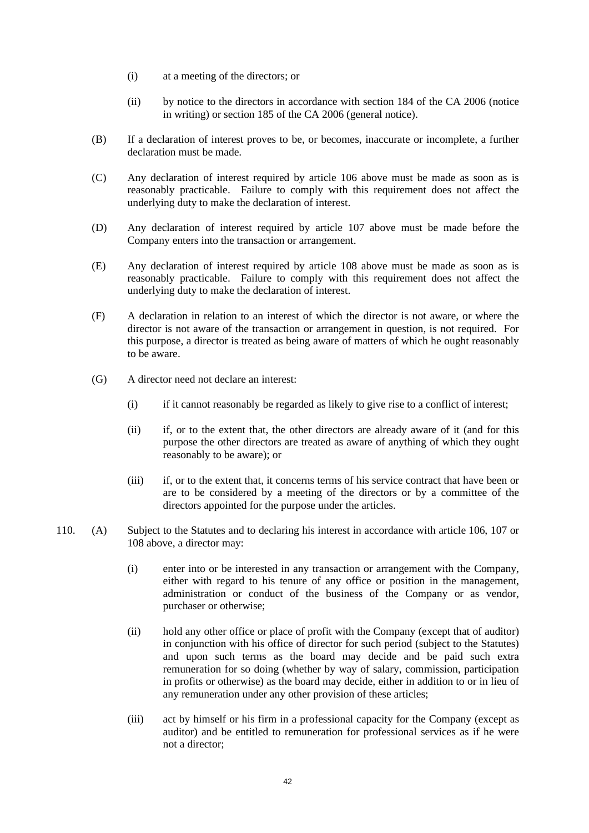- (i) at a meeting of the directors; or
- (ii) by notice to the directors in accordance with section 184 of the CA 2006 (notice in writing) or section 185 of the CA 2006 (general notice).
- (B) If a declaration of interest proves to be, or becomes, inaccurate or incomplete, a further declaration must be made.
- (C) Any declaration of interest required by article [106 above](#page-40-3) must be made as soon as is reasonably practicable. Failure to comply with this requirement does not affect the underlying duty to make the declaration of interest.
- (D) Any declaration of interest required by article [107 above](#page-40-1) must be made before the Company enters into the transaction or arrangement.
- (E) Any declaration of interest required by article [108 above](#page-40-2) must be made as soon as is reasonably practicable. Failure to comply with this requirement does not affect the underlying duty to make the declaration of interest.
- (F) A declaration in relation to an interest of which the director is not aware, or where the director is not aware of the transaction or arrangement in question, is not required. For this purpose, a director is treated as being aware of matters of which he ought reasonably to be aware.
- (G) A director need not declare an interest:
	- (i) if it cannot reasonably be regarded as likely to give rise to a conflict of interest;
	- (ii) if, or to the extent that, the other directors are already aware of it (and for this purpose the other directors are treated as aware of anything of which they ought reasonably to be aware); or
	- (iii) if, or to the extent that, it concerns terms of his service contract that have been or are to be considered by a meeting of the directors or by a committee of the directors appointed for the purpose under the articles.
- <span id="page-41-0"></span>110. (A) Subject to the Statutes and to declaring his interest in accordance with article [106,](#page-40-3) [107](#page-40-1) or [108 above,](#page-40-2) a director may:
	- (i) enter into or be interested in any transaction or arrangement with the Company, either with regard to his tenure of any office or position in the management, administration or conduct of the business of the Company or as vendor, purchaser or otherwise;
	- (ii) hold any other office or place of profit with the Company (except that of auditor) in conjunction with his office of director for such period (subject to the Statutes) and upon such terms as the board may decide and be paid such extra remuneration for so doing (whether by way of salary, commission, participation in profits or otherwise) as the board may decide, either in addition to or in lieu of any remuneration under any other provision of these articles;
	- (iii) act by himself or his firm in a professional capacity for the Company (except as auditor) and be entitled to remuneration for professional services as if he were not a director;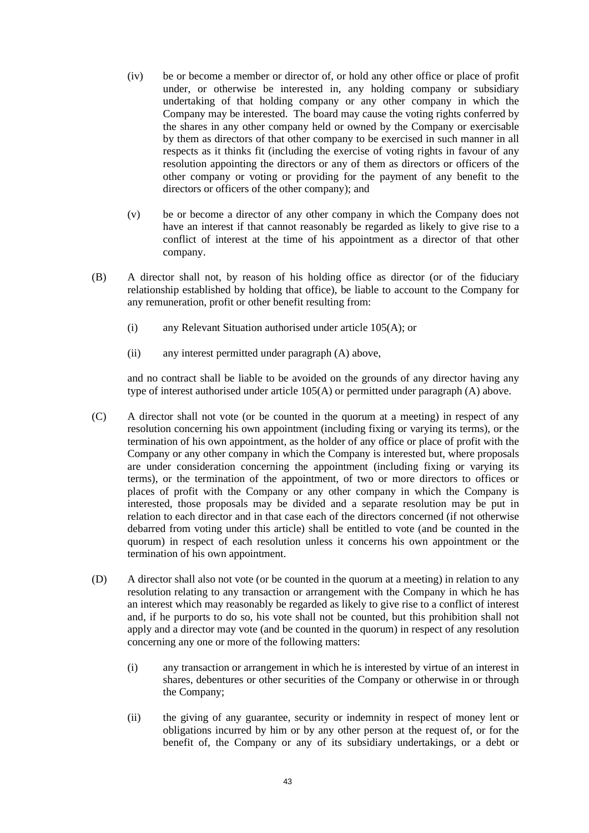- (iv) be or become a member or director of, or hold any other office or place of profit under, or otherwise be interested in, any holding company or subsidiary undertaking of that holding company or any other company in which the Company may be interested. The board may cause the voting rights conferred by the shares in any other company held or owned by the Company or exercisable by them as directors of that other company to be exercised in such manner in all respects as it thinks fit (including the exercise of voting rights in favour of any resolution appointing the directors or any of them as directors or officers of the other company or voting or providing for the payment of any benefit to the directors or officers of the other company); and
- (v) be or become a director of any other company in which the Company does not have an interest if that cannot reasonably be regarded as likely to give rise to a conflict of interest at the time of his appointment as a director of that other company.
- (B) A director shall not, by reason of his holding office as director (or of the fiduciary relationship established by holding that office), be liable to account to the Company for any remuneration, profit or other benefit resulting from:
	- (i) any Relevant Situation authorised under article [105\(A\);](#page-39-1) or
	- (ii) any interest permitted under paragraph [\(A\)](#page-41-0) [above,](#page-41-0)

and no contract shall be liable to be avoided on the grounds of any director having any type of interest authorised under article [105\(A\)](#page-39-1) or permitted under paragraph [\(A\)](#page-41-0) [above.](#page-41-0)

- (C) A director shall not vote (or be counted in the quorum at a meeting) in respect of any resolution concerning his own appointment (including fixing or varying its terms), or the termination of his own appointment, as the holder of any office or place of profit with the Company or any other company in which the Company is interested but, where proposals are under consideration concerning the appointment (including fixing or varying its terms), or the termination of the appointment, of two or more directors to offices or places of profit with the Company or any other company in which the Company is interested, those proposals may be divided and a separate resolution may be put in relation to each director and in that case each of the directors concerned (if not otherwise debarred from voting under this article) shall be entitled to vote (and be counted in the quorum) in respect of each resolution unless it concerns his own appointment or the termination of his own appointment.
- (D) A director shall also not vote (or be counted in the quorum at a meeting) in relation to any resolution relating to any transaction or arrangement with the Company in which he has an interest which may reasonably be regarded as likely to give rise to a conflict of interest and, if he purports to do so, his vote shall not be counted, but this prohibition shall not apply and a director may vote (and be counted in the quorum) in respect of any resolution concerning any one or more of the following matters:
	- (i) any transaction or arrangement in which he is interested by virtue of an interest in shares, debentures or other securities of the Company or otherwise in or through the Company;
	- (ii) the giving of any guarantee, security or indemnity in respect of money lent or obligations incurred by him or by any other person at the request of, or for the benefit of, the Company or any of its subsidiary undertakings, or a debt or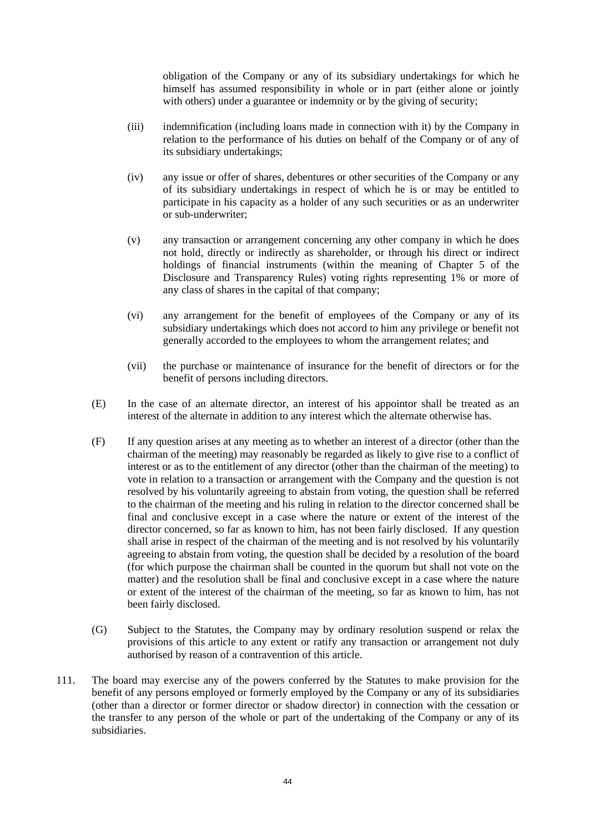obligation of the Company or any of its subsidiary undertakings for which he himself has assumed responsibility in whole or in part (either alone or jointly with others) under a guarantee or indemnity or by the giving of security;

- (iii) indemnification (including loans made in connection with it) by the Company in relation to the performance of his duties on behalf of the Company or of any of its subsidiary undertakings;
- (iv) any issue or offer of shares, debentures or other securities of the Company or any of its subsidiary undertakings in respect of which he is or may be entitled to participate in his capacity as a holder of any such securities or as an underwriter or sub-underwriter;
- (v) any transaction or arrangement concerning any other company in which he does not hold, directly or indirectly as shareholder, or through his direct or indirect holdings of financial instruments (within the meaning of Chapter 5 of the Disclosure and Transparency Rules) voting rights representing 1% or more of any class of shares in the capital of that company;
- (vi) any arrangement for the benefit of employees of the Company or any of its subsidiary undertakings which does not accord to him any privilege or benefit not generally accorded to the employees to whom the arrangement relates; and
- (vii) the purchase or maintenance of insurance for the benefit of directors or for the benefit of persons including directors.
- (E) In the case of an alternate director, an interest of his appointor shall be treated as an interest of the alternate in addition to any interest which the alternate otherwise has.
- (F) If any question arises at any meeting as to whether an interest of a director (other than the chairman of the meeting) may reasonably be regarded as likely to give rise to a conflict of interest or as to the entitlement of any director (other than the chairman of the meeting) to vote in relation to a transaction or arrangement with the Company and the question is not resolved by his voluntarily agreeing to abstain from voting, the question shall be referred to the chairman of the meeting and his ruling in relation to the director concerned shall be final and conclusive except in a case where the nature or extent of the interest of the director concerned, so far as known to him, has not been fairly disclosed. If any question shall arise in respect of the chairman of the meeting and is not resolved by his voluntarily agreeing to abstain from voting, the question shall be decided by a resolution of the board (for which purpose the chairman shall be counted in the quorum but shall not vote on the matter) and the resolution shall be final and conclusive except in a case where the nature or extent of the interest of the chairman of the meeting, so far as known to him, has not been fairly disclosed.
- (G) Subject to the Statutes, the Company may by ordinary resolution suspend or relax the provisions of this article to any extent or ratify any transaction or arrangement not duly authorised by reason of a contravention of this article.
- 111. The board may exercise any of the powers conferred by the Statutes to make provision for the benefit of any persons employed or formerly employed by the Company or any of its subsidiaries (other than a director or former director or shadow director) in connection with the cessation or the transfer to any person of the whole or part of the undertaking of the Company or any of its subsidiaries.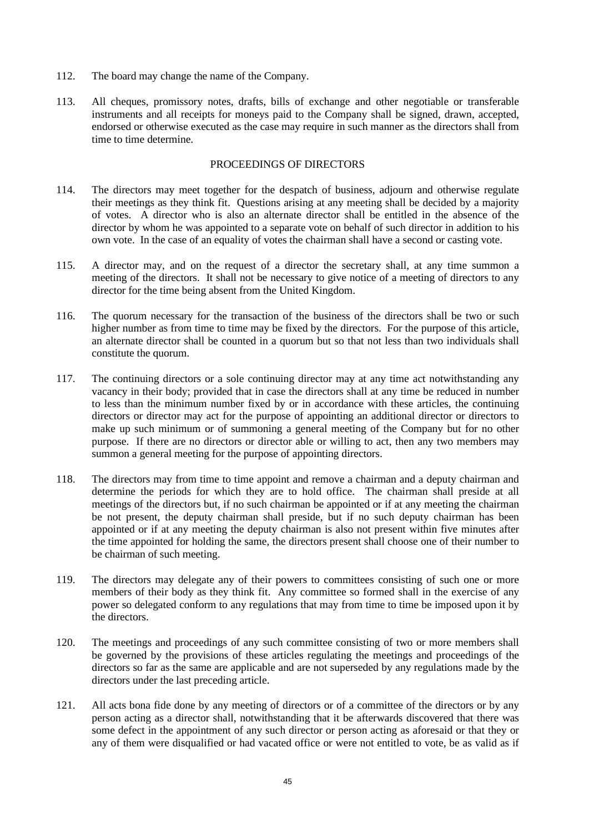- 112. The board may change the name of the Company.
- 113. All cheques, promissory notes, drafts, bills of exchange and other negotiable or transferable instruments and all receipts for moneys paid to the Company shall be signed, drawn, accepted, endorsed or otherwise executed as the case may require in such manner as the directors shall from time to time determine.

#### PROCEEDINGS OF DIRECTORS

- 114. The directors may meet together for the despatch of business, adjourn and otherwise regulate their meetings as they think fit. Questions arising at any meeting shall be decided by a majority of votes. A director who is also an alternate director shall be entitled in the absence of the director by whom he was appointed to a separate vote on behalf of such director in addition to his own vote. In the case of an equality of votes the chairman shall have a second or casting vote.
- 115. A director may, and on the request of a director the secretary shall, at any time summon a meeting of the directors. It shall not be necessary to give notice of a meeting of directors to any director for the time being absent from the United Kingdom.
- 116. The quorum necessary for the transaction of the business of the directors shall be two or such higher number as from time to time may be fixed by the directors. For the purpose of this article, an alternate director shall be counted in a quorum but so that not less than two individuals shall constitute the quorum.
- 117. The continuing directors or a sole continuing director may at any time act notwithstanding any vacancy in their body; provided that in case the directors shall at any time be reduced in number to less than the minimum number fixed by or in accordance with these articles, the continuing directors or director may act for the purpose of appointing an additional director or directors to make up such minimum or of summoning a general meeting of the Company but for no other purpose. If there are no directors or director able or willing to act, then any two members may summon a general meeting for the purpose of appointing directors.
- 118. The directors may from time to time appoint and remove a chairman and a deputy chairman and determine the periods for which they are to hold office. The chairman shall preside at all meetings of the directors but, if no such chairman be appointed or if at any meeting the chairman be not present, the deputy chairman shall preside, but if no such deputy chairman has been appointed or if at any meeting the deputy chairman is also not present within five minutes after the time appointed for holding the same, the directors present shall choose one of their number to be chairman of such meeting.
- 119. The directors may delegate any of their powers to committees consisting of such one or more members of their body as they think fit. Any committee so formed shall in the exercise of any power so delegated conform to any regulations that may from time to time be imposed upon it by the directors.
- 120. The meetings and proceedings of any such committee consisting of two or more members shall be governed by the provisions of these articles regulating the meetings and proceedings of the directors so far as the same are applicable and are not superseded by any regulations made by the directors under the last preceding article.
- 121. All acts bona fide done by any meeting of directors or of a committee of the directors or by any person acting as a director shall, notwithstanding that it be afterwards discovered that there was some defect in the appointment of any such director or person acting as aforesaid or that they or any of them were disqualified or had vacated office or were not entitled to vote, be as valid as if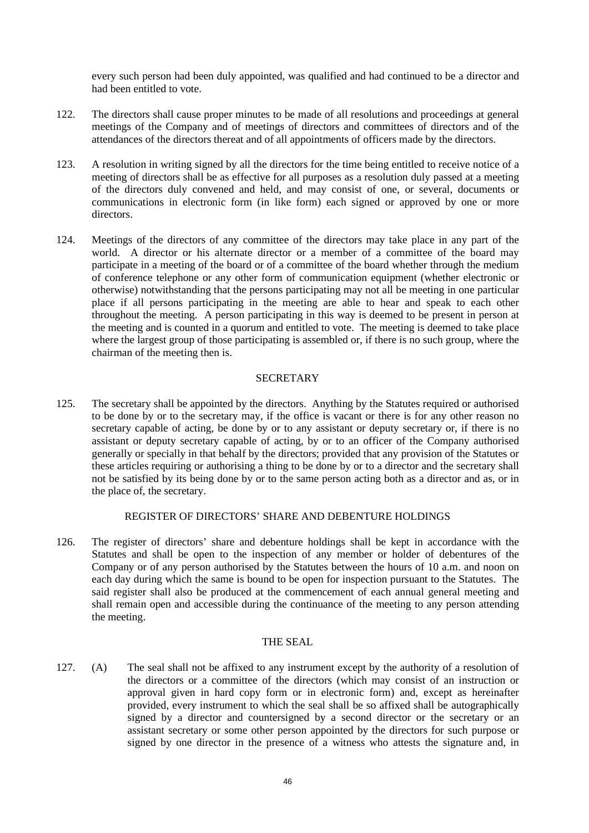every such person had been duly appointed, was qualified and had continued to be a director and had been entitled to vote.

- 122. The directors shall cause proper minutes to be made of all resolutions and proceedings at general meetings of the Company and of meetings of directors and committees of directors and of the attendances of the directors thereat and of all appointments of officers made by the directors.
- 123. A resolution in writing signed by all the directors for the time being entitled to receive notice of a meeting of directors shall be as effective for all purposes as a resolution duly passed at a meeting of the directors duly convened and held, and may consist of one, or several, documents or communications in electronic form (in like form) each signed or approved by one or more directors.
- 124. Meetings of the directors of any committee of the directors may take place in any part of the world. A director or his alternate director or a member of a committee of the board may participate in a meeting of the board or of a committee of the board whether through the medium of conference telephone or any other form of communication equipment (whether electronic or otherwise) notwithstanding that the persons participating may not all be meeting in one particular place if all persons participating in the meeting are able to hear and speak to each other throughout the meeting. A person participating in this way is deemed to be present in person at the meeting and is counted in a quorum and entitled to vote. The meeting is deemed to take place where the largest group of those participating is assembled or, if there is no such group, where the chairman of the meeting then is.

## **SECRETARY**

125. The secretary shall be appointed by the directors. Anything by the Statutes required or authorised to be done by or to the secretary may, if the office is vacant or there is for any other reason no secretary capable of acting, be done by or to any assistant or deputy secretary or, if there is no assistant or deputy secretary capable of acting, by or to an officer of the Company authorised generally or specially in that behalf by the directors; provided that any provision of the Statutes or these articles requiring or authorising a thing to be done by or to a director and the secretary shall not be satisfied by its being done by or to the same person acting both as a director and as, or in the place of, the secretary.

## REGISTER OF DIRECTORS' SHARE AND DEBENTURE HOLDINGS

126. The register of directors' share and debenture holdings shall be kept in accordance with the Statutes and shall be open to the inspection of any member or holder of debentures of the Company or of any person authorised by the Statutes between the hours of 10 a.m. and noon on each day during which the same is bound to be open for inspection pursuant to the Statutes. The said register shall also be produced at the commencement of each annual general meeting and shall remain open and accessible during the continuance of the meeting to any person attending the meeting.

#### THE SEAL

<span id="page-45-0"></span>127. (A) The seal shall not be affixed to any instrument except by the authority of a resolution of the directors or a committee of the directors (which may consist of an instruction or approval given in hard copy form or in electronic form) and, except as hereinafter provided, every instrument to which the seal shall be so affixed shall be autographically signed by a director and countersigned by a second director or the secretary or an assistant secretary or some other person appointed by the directors for such purpose or signed by one director in the presence of a witness who attests the signature and, in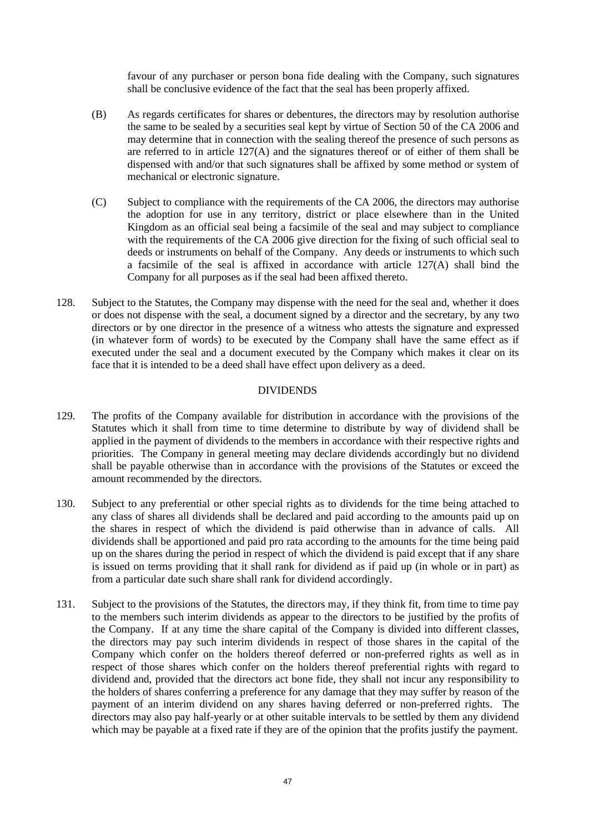favour of any purchaser or person bona fide dealing with the Company, such signatures shall be conclusive evidence of the fact that the seal has been properly affixed.

- (B) As regards certificates for shares or debentures, the directors may by resolution authorise the same to be sealed by a securities seal kept by virtue of Section 50 of the CA 2006 and may determine that in connection with the sealing thereof the presence of such persons as are referred to in article [127\(A\)](#page-45-0) and the signatures thereof or of either of them shall be dispensed with and/or that such signatures shall be affixed by some method or system of mechanical or electronic signature.
- (C) Subject to compliance with the requirements of the CA 2006, the directors may authorise the adoption for use in any territory, district or place elsewhere than in the United Kingdom as an official seal being a facsimile of the seal and may subject to compliance with the requirements of the CA 2006 give direction for the fixing of such official seal to deeds or instruments on behalf of the Company. Any deeds or instruments to which such a facsimile of the seal is affixed in accordance with article [127\(A\)](#page-45-0) shall bind the Company for all purposes as if the seal had been affixed thereto.
- 128. Subject to the Statutes, the Company may dispense with the need for the seal and, whether it does or does not dispense with the seal, a document signed by a director and the secretary, by any two directors or by one director in the presence of a witness who attests the signature and expressed (in whatever form of words) to be executed by the Company shall have the same effect as if executed under the seal and a document executed by the Company which makes it clear on its face that it is intended to be a deed shall have effect upon delivery as a deed.

## DIVIDENDS

- <span id="page-46-0"></span>129. The profits of the Company available for distribution in accordance with the provisions of the Statutes which it shall from time to time determine to distribute by way of dividend shall be applied in the payment of dividends to the members in accordance with their respective rights and priorities. The Company in general meeting may declare dividends accordingly but no dividend shall be payable otherwise than in accordance with the provisions of the Statutes or exceed the amount recommended by the directors.
- 130. Subject to any preferential or other special rights as to dividends for the time being attached to any class of shares all dividends shall be declared and paid according to the amounts paid up on the shares in respect of which the dividend is paid otherwise than in advance of calls. All dividends shall be apportioned and paid pro rata according to the amounts for the time being paid up on the shares during the period in respect of which the dividend is paid except that if any share is issued on terms providing that it shall rank for dividend as if paid up (in whole or in part) as from a particular date such share shall rank for dividend accordingly.
- 131. Subject to the provisions of the Statutes, the directors may, if they think fit, from time to time pay to the members such interim dividends as appear to the directors to be justified by the profits of the Company. If at any time the share capital of the Company is divided into different classes, the directors may pay such interim dividends in respect of those shares in the capital of the Company which confer on the holders thereof deferred or non-preferred rights as well as in respect of those shares which confer on the holders thereof preferential rights with regard to dividend and, provided that the directors act bone fide, they shall not incur any responsibility to the holders of shares conferring a preference for any damage that they may suffer by reason of the payment of an interim dividend on any shares having deferred or non-preferred rights. The directors may also pay half-yearly or at other suitable intervals to be settled by them any dividend which may be payable at a fixed rate if they are of the opinion that the profits justify the payment.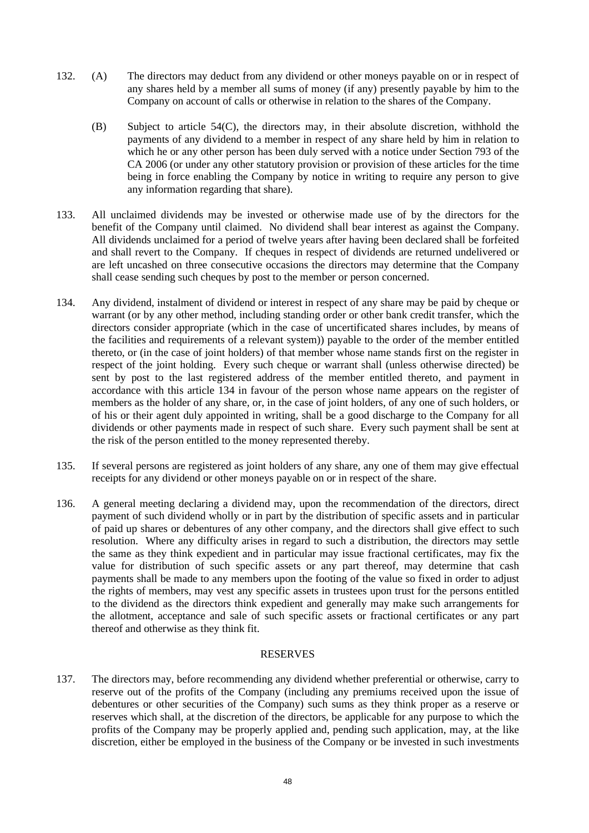- <span id="page-47-1"></span>132. (A) The directors may deduct from any dividend or other moneys payable on or in respect of any shares held by a member all sums of money (if any) presently payable by him to the Company on account of calls or otherwise in relation to the shares of the Company.
	- (B) Subject to article [54\(C\),](#page-24-0) the directors may, in their absolute discretion, withhold the payments of any dividend to a member in respect of any share held by him in relation to which he or any other person has been duly served with a notice under Section 793 of the CA 2006 (or under any other statutory provision or provision of these articles for the time being in force enabling the Company by notice in writing to require any person to give any information regarding that share).
- 133. All unclaimed dividends may be invested or otherwise made use of by the directors for the benefit of the Company until claimed. No dividend shall bear interest as against the Company. All dividends unclaimed for a period of twelve years after having been declared shall be forfeited and shall revert to the Company. If cheques in respect of dividends are returned undelivered or are left uncashed on three consecutive occasions the directors may determine that the Company shall cease sending such cheques by post to the member or person concerned.
- <span id="page-47-2"></span>134. Any dividend, instalment of dividend or interest in respect of any share may be paid by cheque or warrant (or by any other method, including standing order or other bank credit transfer, which the directors consider appropriate (which in the case of uncertificated shares includes, by means of the facilities and requirements of a relevant system)) payable to the order of the member entitled thereto, or (in the case of joint holders) of that member whose name stands first on the register in respect of the joint holding. Every such cheque or warrant shall (unless otherwise directed) be sent by post to the last registered address of the member entitled thereto, and payment in accordance with this article [134](#page-47-2) in favour of the person whose name appears on the register of members as the holder of any share, or, in the case of joint holders, of any one of such holders, or of his or their agent duly appointed in writing, shall be a good discharge to the Company for all dividends or other payments made in respect of such share. Every such payment shall be sent at the risk of the person entitled to the money represented thereby.
- 135. If several persons are registered as joint holders of any share, any one of them may give effectual receipts for any dividend or other moneys payable on or in respect of the share.
- <span id="page-47-0"></span>136. A general meeting declaring a dividend may, upon the recommendation of the directors, direct payment of such dividend wholly or in part by the distribution of specific assets and in particular of paid up shares or debentures of any other company, and the directors shall give effect to such resolution. Where any difficulty arises in regard to such a distribution, the directors may settle the same as they think expedient and in particular may issue fractional certificates, may fix the value for distribution of such specific assets or any part thereof, may determine that cash payments shall be made to any members upon the footing of the value so fixed in order to adjust the rights of members, may vest any specific assets in trustees upon trust for the persons entitled to the dividend as the directors think expedient and generally may make such arrangements for the allotment, acceptance and sale of such specific assets or fractional certificates or any part thereof and otherwise as they think fit.

## RESERVES

137. The directors may, before recommending any dividend whether preferential or otherwise, carry to reserve out of the profits of the Company (including any premiums received upon the issue of debentures or other securities of the Company) such sums as they think proper as a reserve or reserves which shall, at the discretion of the directors, be applicable for any purpose to which the profits of the Company may be properly applied and, pending such application, may, at the like discretion, either be employed in the business of the Company or be invested in such investments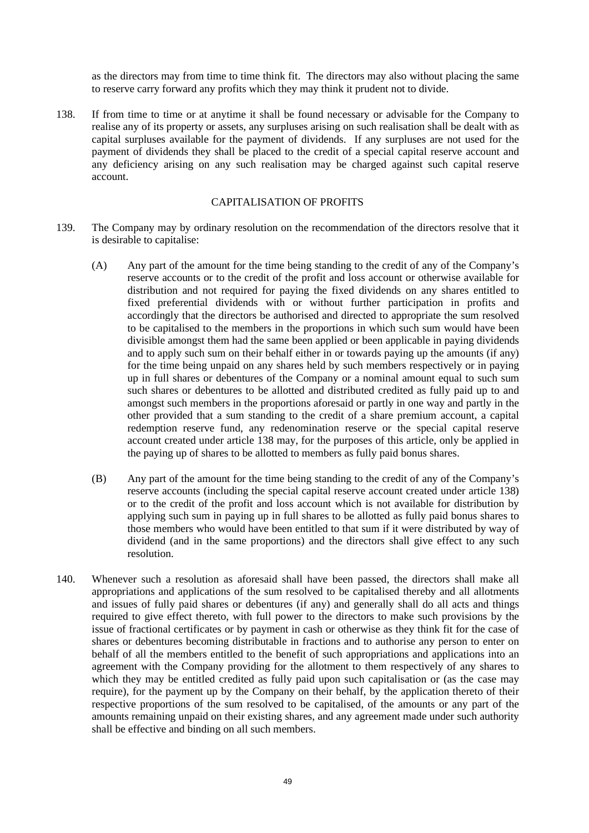as the directors may from time to time think fit. The directors may also without placing the same to reserve carry forward any profits which they may think it prudent not to divide.

<span id="page-48-0"></span>138. If from time to time or at anytime it shall be found necessary or advisable for the Company to realise any of its property or assets, any surpluses arising on such realisation shall be dealt with as capital surpluses available for the payment of dividends. If any surpluses are not used for the payment of dividends they shall be placed to the credit of a special capital reserve account and any deficiency arising on any such realisation may be charged against such capital reserve account.

# CAPITALISATION OF PROFITS

- <span id="page-48-1"></span>139. The Company may by ordinary resolution on the recommendation of the directors resolve that it is desirable to capitalise:
	- (A) Any part of the amount for the time being standing to the credit of any of the Company's reserve accounts or to the credit of the profit and loss account or otherwise available for distribution and not required for paying the fixed dividends on any shares entitled to fixed preferential dividends with or without further participation in profits and accordingly that the directors be authorised and directed to appropriate the sum resolved to be capitalised to the members in the proportions in which such sum would have been divisible amongst them had the same been applied or been applicable in paying dividends and to apply such sum on their behalf either in or towards paying up the amounts (if any) for the time being unpaid on any shares held by such members respectively or in paying up in full shares or debentures of the Company or a nominal amount equal to such sum such shares or debentures to be allotted and distributed credited as fully paid up to and amongst such members in the proportions aforesaid or partly in one way and partly in the other provided that a sum standing to the credit of a share premium account, a capital redemption reserve fund, any redenomination reserve or the special capital reserve account created under article [138](#page-48-0) may, for the purposes of this article, only be applied in the paying up of shares to be allotted to members as fully paid bonus shares.
	- (B) Any part of the amount for the time being standing to the credit of any of the Company's reserve accounts (including the special capital reserve account created under article [138\)](#page-48-0) or to the credit of the profit and loss account which is not available for distribution by applying such sum in paying up in full shares to be allotted as fully paid bonus shares to those members who would have been entitled to that sum if it were distributed by way of dividend (and in the same proportions) and the directors shall give effect to any such resolution.
- <span id="page-48-2"></span>140. Whenever such a resolution as aforesaid shall have been passed, the directors shall make all appropriations and applications of the sum resolved to be capitalised thereby and all allotments and issues of fully paid shares or debentures (if any) and generally shall do all acts and things required to give effect thereto, with full power to the directors to make such provisions by the issue of fractional certificates or by payment in cash or otherwise as they think fit for the case of shares or debentures becoming distributable in fractions and to authorise any person to enter on behalf of all the members entitled to the benefit of such appropriations and applications into an agreement with the Company providing for the allotment to them respectively of any shares to which they may be entitled credited as fully paid upon such capitalisation or (as the case may require), for the payment up by the Company on their behalf, by the application thereto of their respective proportions of the sum resolved to be capitalised, of the amounts or any part of the amounts remaining unpaid on their existing shares, and any agreement made under such authority shall be effective and binding on all such members.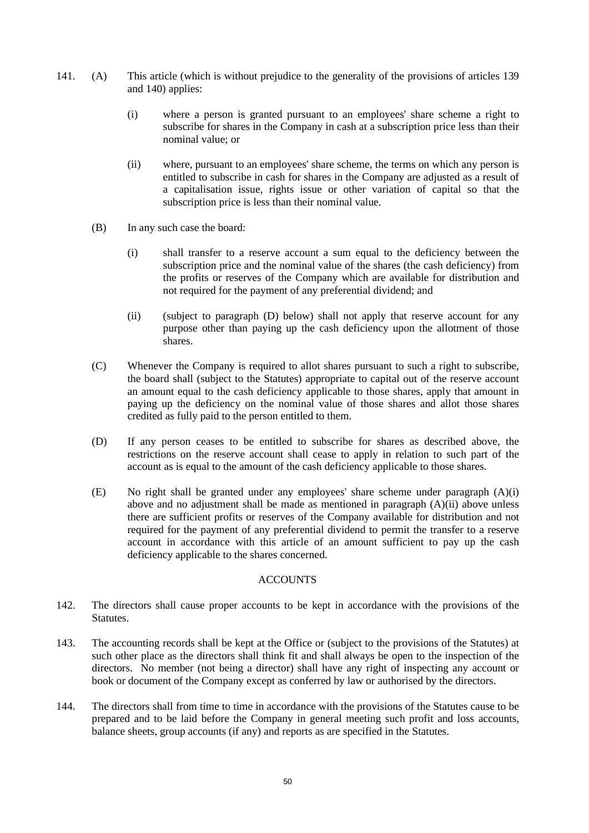- <span id="page-49-2"></span><span id="page-49-1"></span>141. (A) This article (which is without prejudice to the generality of the provisions of articles [139](#page-48-1) and [140\)](#page-48-2) applies:
	- (i) where a person is granted pursuant to an employees' share scheme a right to subscribe for shares in the Company in cash at a subscription price less than their nominal value; or
	- (ii) where, pursuant to an employees' share scheme, the terms on which any person is entitled to subscribe in cash for shares in the Company are adjusted as a result of a capitalisation issue, rights issue or other variation of capital so that the subscription price is less than their nominal value.
	- (B) In any such case the board:
		- (i) shall transfer to a reserve account a sum equal to the deficiency between the subscription price and the nominal value of the shares (the cash deficiency) from the profits or reserves of the Company which are available for distribution and not required for the payment of any preferential dividend; and
		- (ii) (subject to paragraph [\(D\) below\)](#page-49-0) shall not apply that reserve account for any purpose other than paying up the cash deficiency upon the allotment of those shares.
	- (C) Whenever the Company is required to allot shares pursuant to such a right to subscribe, the board shall (subject to the Statutes) appropriate to capital out of the reserve account an amount equal to the cash deficiency applicable to those shares, apply that amount in paying up the deficiency on the nominal value of those shares and allot those shares credited as fully paid to the person entitled to them.
	- (D) If any person ceases to be entitled to subscribe for shares as described above, the restrictions on the reserve account shall cease to apply in relation to such part of the account as is equal to the amount of the cash deficiency applicable to those shares.
	- (E) No right shall be granted under any employees' share scheme under paragraph [\(A\)\(i\)](#page-49-1)  [above](#page-49-1) and no adjustment shall be made as mentioned in paragraph [\(A\)\(ii\) above](#page-49-2) unless there are sufficient profits or reserves of the Company available for distribution and not required for the payment of any preferential dividend to permit the transfer to a reserve account in accordance with this article of an amount sufficient to pay up the cash deficiency applicable to the shares concerned.

## **ACCOUNTS**

- <span id="page-49-0"></span>142. The directors shall cause proper accounts to be kept in accordance with the provisions of the **Statutes**
- 143. The accounting records shall be kept at the Office or (subject to the provisions of the Statutes) at such other place as the directors shall think fit and shall always be open to the inspection of the directors. No member (not being a director) shall have any right of inspecting any account or book or document of the Company except as conferred by law or authorised by the directors.
- 144. The directors shall from time to time in accordance with the provisions of the Statutes cause to be prepared and to be laid before the Company in general meeting such profit and loss accounts, balance sheets, group accounts (if any) and reports as are specified in the Statutes.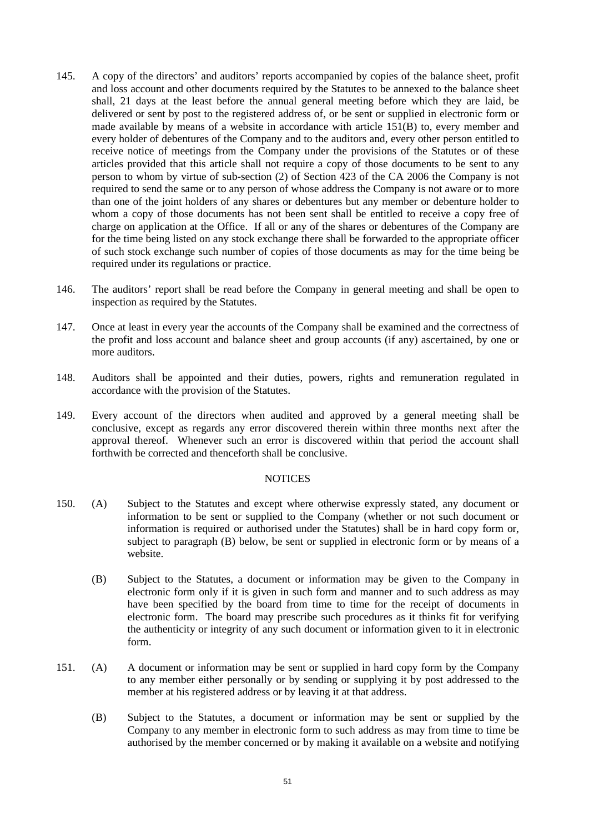- 145. A copy of the directors' and auditors' reports accompanied by copies of the balance sheet, profit and loss account and other documents required by the Statutes to be annexed to the balance sheet shall, 21 days at the least before the annual general meeting before which they are laid, be delivered or sent by post to the registered address of, or be sent or supplied in electronic form or made available by means of a website in accordance with article [151\(B\)](#page-50-2) to, every member and every holder of debentures of the Company and to the auditors and, every other person entitled to receive notice of meetings from the Company under the provisions of the Statutes or of these articles provided that this article shall not require a copy of those documents to be sent to any person to whom by virtue of sub-section (2) of Section 423 of the CA 2006 the Company is not required to send the same or to any person of whose address the Company is not aware or to more than one of the joint holders of any shares or debentures but any member or debenture holder to whom a copy of those documents has not been sent shall be entitled to receive a copy free of charge on application at the Office. If all or any of the shares or debentures of the Company are for the time being listed on any stock exchange there shall be forwarded to the appropriate officer of such stock exchange such number of copies of those documents as may for the time being be required under its regulations or practice.
- 146. The auditors' report shall be read before the Company in general meeting and shall be open to inspection as required by the Statutes.
- 147. Once at least in every year the accounts of the Company shall be examined and the correctness of the profit and loss account and balance sheet and group accounts (if any) ascertained, by one or more auditors.
- 148. Auditors shall be appointed and their duties, powers, rights and remuneration regulated in accordance with the provision of the Statutes.
- 149. Every account of the directors when audited and approved by a general meeting shall be conclusive, except as regards any error discovered therein within three months next after the approval thereof. Whenever such an error is discovered within that period the account shall forthwith be corrected and thenceforth shall be conclusive.

#### **NOTICES**

- <span id="page-50-3"></span><span id="page-50-0"></span>150. (A) Subject to the Statutes and except where otherwise expressly stated, any document or information to be sent or supplied to the Company (whether or not such document or information is required or authorised under the Statutes) shall be in hard copy form or, subject to paragraph [\(B\) below,](#page-50-3) be sent or supplied in electronic form or by means of a website.
	- (B) Subject to the Statutes, a document or information may be given to the Company in electronic form only if it is given in such form and manner and to such address as may have been specified by the board from time to time for the receipt of documents in electronic form. The board may prescribe such procedures as it thinks fit for verifying the authenticity or integrity of any such document or information given to it in electronic form.
- <span id="page-50-2"></span><span id="page-50-1"></span>151. (A) A document or information may be sent or supplied in hard copy form by the Company to any member either personally or by sending or supplying it by post addressed to the member at his registered address or by leaving it at that address.
	- (B) Subject to the Statutes, a document or information may be sent or supplied by the Company to any member in electronic form to such address as may from time to time be authorised by the member concerned or by making it available on a website and notifying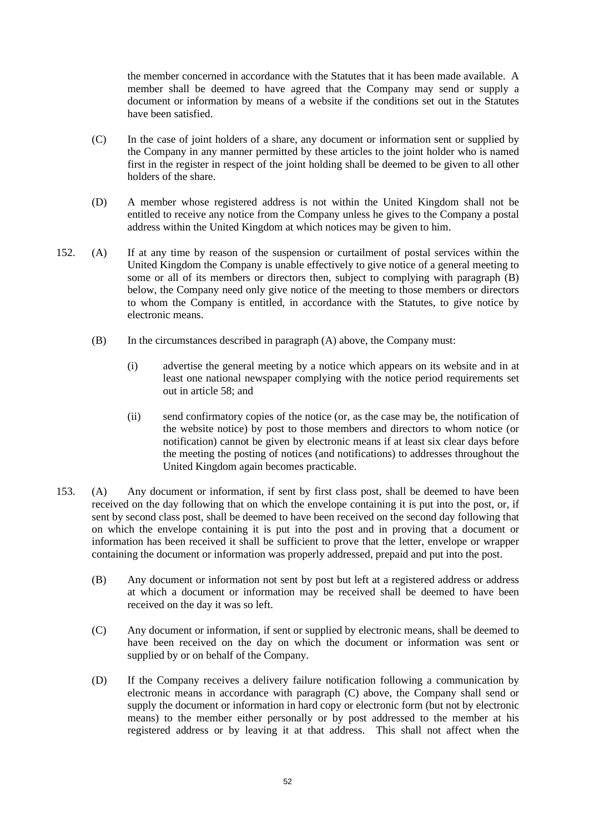the member concerned in accordance with the Statutes that it has been made available. A member shall be deemed to have agreed that the Company may send or supply a document or information by means of a website if the conditions set out in the Statutes have been satisfied.

- (C) In the case of joint holders of a share, any document or information sent or supplied by the Company in any manner permitted by these articles to the joint holder who is named first in the register in respect of the joint holding shall be deemed to be given to all other holders of the share.
- <span id="page-51-0"></span>(D) A member whose registered address is not within the United Kingdom shall not be entitled to receive any notice from the Company unless he gives to the Company a postal address within the United Kingdom at which notices may be given to him.
- <span id="page-51-3"></span><span id="page-51-2"></span>152. (A) If at any time by reason of the suspension or curtailment of postal services within the United Kingdom the Company is unable effectively to give notice of a general meeting to some or all of its members or directors then, subject to complying with paragraph [\(B\)](#page-51-2)  [below,](#page-51-2) the Company need only give notice of the meeting to those members or directors to whom the Company is entitled, in accordance with the Statutes, to give notice by electronic means.
	- (B) In the circumstances described in paragraph [\(A\)](#page-51-3) [above,](#page-51-3) the Company must:
		- (i) advertise the general meeting by a notice which appears on its website and in at least one national newspaper complying with the notice period requirements set out in article [58;](#page-27-2) and
		- (ii) send confirmatory copies of the notice (or, as the case may be, the notification of the website notice) by post to those members and directors to whom notice (or notification) cannot be given by electronic means if at least six clear days before the meeting the posting of notices (and notifications) to addresses throughout the United Kingdom again becomes practicable.
- <span id="page-51-4"></span><span id="page-51-1"></span>153. (A) Any document or information, if sent by first class post, shall be deemed to have been received on the day following that on which the envelope containing it is put into the post, or, if sent by second class post, shall be deemed to have been received on the second day following that on which the envelope containing it is put into the post and in proving that a document or information has been received it shall be sufficient to prove that the letter, envelope or wrapper containing the document or information was properly addressed, prepaid and put into the post.
	- (B) Any document or information not sent by post but left at a registered address or address at which a document or information may be received shall be deemed to have been received on the day it was so left.
	- (C) Any document or information, if sent or supplied by electronic means, shall be deemed to have been received on the day on which the document or information was sent or supplied by or on behalf of the Company.
	- (D) If the Company receives a delivery failure notification following a communication by electronic means in accordance with paragraph [\(C\) above,](#page-51-4) the Company shall send or supply the document or information in hard copy or electronic form (but not by electronic means) to the member either personally or by post addressed to the member at his registered address or by leaving it at that address. This shall not affect when the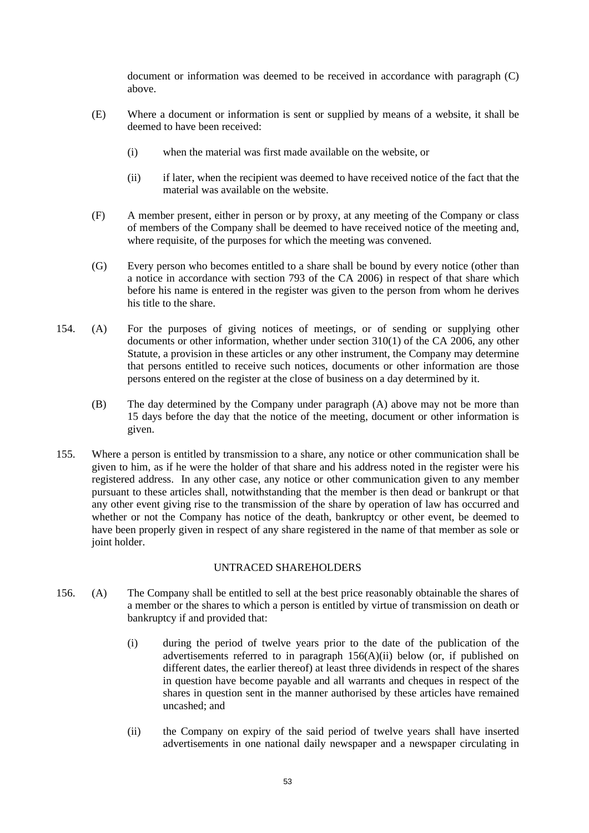document or information was deemed to be received in accordance with paragraph [\(C\)](#page-51-4)  [above.](#page-51-4)

- (E) Where a document or information is sent or supplied by means of a website, it shall be deemed to have been received:
	- (i) when the material was first made available on the website, or
	- (ii) if later, when the recipient was deemed to have received notice of the fact that the material was available on the website.
- (F) A member present, either in person or by proxy, at any meeting of the Company or class of members of the Company shall be deemed to have received notice of the meeting and, where requisite, of the purposes for which the meeting was convened.
- (G) Every person who becomes entitled to a share shall be bound by every notice (other than a notice in accordance with section 793 of the CA 2006) in respect of that share which before his name is entered in the register was given to the person from whom he derives his title to the share.
- <span id="page-52-1"></span>154. (A) For the purposes of giving notices of meetings, or of sending or supplying other documents or other information, whether under section 310(1) of the CA 2006, any other Statute, a provision in these articles or any other instrument, the Company may determine that persons entitled to receive such notices, documents or other information are those persons entered on the register at the close of business on a day determined by it.
	- (B) The day determined by the Company under paragraph [\(A\)](#page-52-1) [above](#page-52-1) may not be more than 15 days before the day that the notice of the meeting, document or other information is given.
- <span id="page-52-0"></span>155. Where a person is entitled by transmission to a share, any notice or other communication shall be given to him, as if he were the holder of that share and his address noted in the register were his registered address. In any other case, any notice or other communication given to any member pursuant to these articles shall, notwithstanding that the member is then dead or bankrupt or that any other event giving rise to the transmission of the share by operation of law has occurred and whether or not the Company has notice of the death, bankruptcy or other event, be deemed to have been properly given in respect of any share registered in the name of that member as sole or joint holder.

## UNTRACED SHAREHOLDERS

- <span id="page-52-3"></span><span id="page-52-2"></span>156. (A) The Company shall be entitled to sell at the best price reasonably obtainable the shares of a member or the shares to which a person is entitled by virtue of transmission on death or bankruptcy if and provided that:
	- (i) during the period of twelve years prior to the date of the publication of the advertisements referred to in paragraph [156](#page-52-2)[\(A\)](#page-51-3)[\(ii\) below](#page-52-3) (or, if published on different dates, the earlier thereof) at least three dividends in respect of the shares in question have become payable and all warrants and cheques in respect of the shares in question sent in the manner authorised by these articles have remained uncashed; and
	- (ii) the Company on expiry of the said period of twelve years shall have inserted advertisements in one national daily newspaper and a newspaper circulating in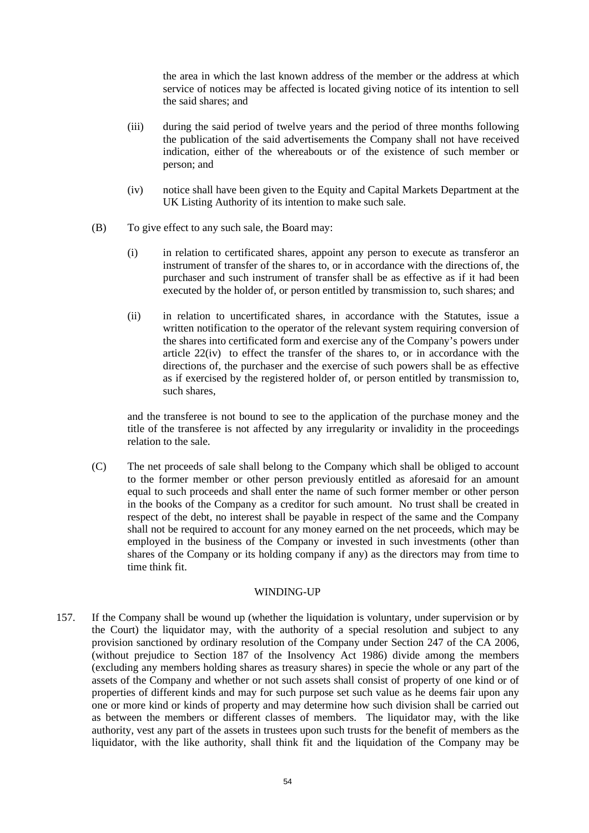the area in which the last known address of the member or the address at which service of notices may be affected is located giving notice of its intention to sell the said shares; and

- (iii) during the said period of twelve years and the period of three months following the publication of the said advertisements the Company shall not have received indication, either of the whereabouts or of the existence of such member or person; and
- (iv) notice shall have been given to the Equity and Capital Markets Department at the UK Listing Authority of its intention to make such sale.
- (B) To give effect to any such sale, the Board may:
	- (i) in relation to certificated shares, appoint any person to execute as transferor an instrument of transfer of the shares to, or in accordance with the directions of, the purchaser and such instrument of transfer shall be as effective as if it had been executed by the holder of, or person entitled by transmission to, such shares; and
	- (ii) in relation to uncertificated shares, in accordance with the Statutes, issue a written notification to the operator of the relevant system requiring conversion of the shares into certificated form and exercise any of the Company's powers under article [22\(iv\)](#page-18-0) to effect the transfer of the shares to, or in accordance with the directions of, the purchaser and the exercise of such powers shall be as effective as if exercised by the registered holder of, or person entitled by transmission to, such shares,

and the transferee is not bound to see to the application of the purchase money and the title of the transferee is not affected by any irregularity or invalidity in the proceedings relation to the sale.

(C) The net proceeds of sale shall belong to the Company which shall be obliged to account to the former member or other person previously entitled as aforesaid for an amount equal to such proceeds and shall enter the name of such former member or other person in the books of the Company as a creditor for such amount. No trust shall be created in respect of the debt, no interest shall be payable in respect of the same and the Company shall not be required to account for any money earned on the net proceeds, which may be employed in the business of the Company or invested in such investments (other than shares of the Company or its holding company if any) as the directors may from time to time think fit.

#### WINDING-UP

157. If the Company shall be wound up (whether the liquidation is voluntary, under supervision or by the Court) the liquidator may, with the authority of a special resolution and subject to any provision sanctioned by ordinary resolution of the Company under Section 247 of the CA 2006, (without prejudice to Section 187 of the Insolvency Act 1986) divide among the members (excluding any members holding shares as treasury shares) in specie the whole or any part of the assets of the Company and whether or not such assets shall consist of property of one kind or of properties of different kinds and may for such purpose set such value as he deems fair upon any one or more kind or kinds of property and may determine how such division shall be carried out as between the members or different classes of members. The liquidator may, with the like authority, vest any part of the assets in trustees upon such trusts for the benefit of members as the liquidator, with the like authority, shall think fit and the liquidation of the Company may be